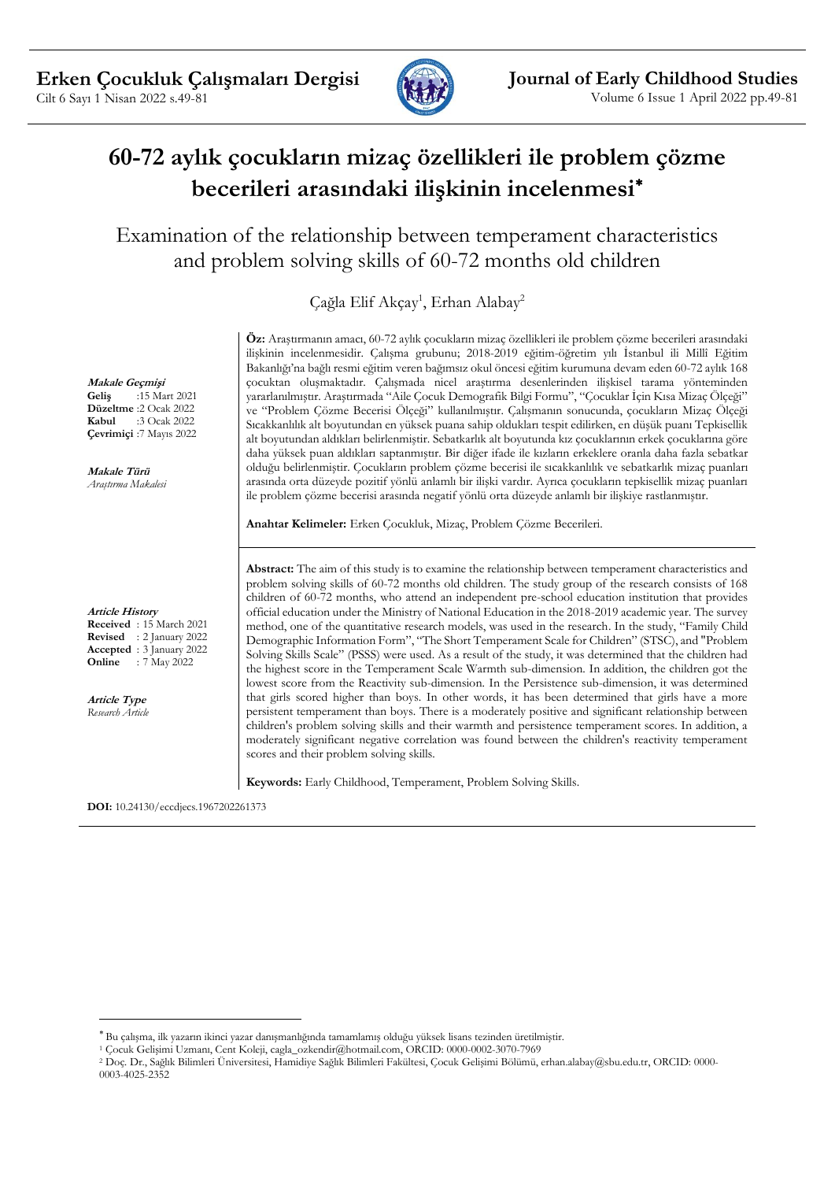

# **60-72 aylık çocukların mizaç özellikleri ile problem çözme becerileri arasındaki ilişkinin incelenmesi**

Examination of the relationship between temperament characteristics and problem solving skills of 60-72 months old children

Çağla Elif Akçay<sup>1</sup>, Erhan Alabay<sup>2</sup>

**Makale Geçmişi Geliş** :15 Mart 2021 **Düzeltme** :2 Ocak 2022<br>**Kabul** :3 Ocak 2022 **Kabul** :3 Ocak 2022 **Çevrimiçi** :7 Mayıs 2022

**Makale Türü** *Araştırma Makalesi*

#### **Article History**

**Received** : 15 March 2021 **Revised** : 2 January 2022 **Accepted** : 3 January 2022 **Online** : 7 May 2022

**Article Type** *Research Article* **Öz:** Araştırmanın amacı, 60-72 aylık çocukların mizaç özellikleri ile problem çözme becerileri arasındaki ilişkinin incelenmesidir. Çalışma grubunu; 2018-2019 eğitim-öğretim yılı İstanbul ili Millî Eğitim Bakanlığı'na bağlı resmi eğitim veren bağımsız okul öncesi eğitim kurumuna devam eden 60-72 aylık 168 çocuktan oluşmaktadır. Çalışmada nicel araştırma desenlerinden ilişkisel tarama yönteminden yararlanılmıştır. Araştırmada "Aile Çocuk Demografik Bilgi Formu", "Çocuklar İçin Kısa Mizaç Ölçeği" ve "Problem Çözme Becerisi Ölçeği" kullanılmıştır. Çalışmanın sonucunda, çocukların Mizaç Ölçeği Sıcakkanlılık alt boyutundan en yüksek puana sahip oldukları tespit edilirken, en düşük puanı Tepkisellik alt boyutundan aldıkları belirlenmiştir. Sebatkarlık alt boyutunda kız çocuklarının erkek çocuklarına göre daha yüksek puan aldıkları saptanmıştır. Bir diğer ifade ile kızların erkeklere oranla daha fazla sebatkar olduğu belirlenmiştir. Çocukların problem çözme becerisi ile sıcakkanlılık ve sebatkarlık mizaç puanları arasında orta düzeyde pozitif yönlü anlamlı bir ilişki vardır. Ayrıca çocukların tepkisellik mizaç puanları ile problem çözme becerisi arasında negatif yönlü orta düzeyde anlamlı bir ilişkiye rastlanmıştır.

**Anahtar Kelimeler:** Erken Çocukluk, Mizaç, Problem Çözme Becerileri.

**Abstract:** The aim of this study is to examine the relationship between temperament characteristics and problem solving skills of 60-72 months old children. The study group of the research consists of 168 children of 60-72 months, who attend an independent pre-school education institution that provides official education under the Ministry of National Education in the 2018-2019 academic year. The survey method, one of the quantitative research models, was used in the research. In the study, "Family Child Demographic Information Form", "The Short Temperament Scale for Children" (STSC), and "Problem Solving Skills Scale" (PSSS) were used. As a result of the study, it was determined that the children had the highest score in the Temperament Scale Warmth sub-dimension. In addition, the children got the lowest score from the Reactivity sub-dimension. In the Persistence sub-dimension, it was determined that girls scored higher than boys. In other words, it has been determined that girls have a more persistent temperament than boys. There is a moderately positive and significant relationship between children's problem solving skills and their warmth and persistence temperament scores. In addition, a moderately significant negative correlation was found between the children's reactivity temperament scores and their problem solving skills.

**Keywords:** Early Childhood, Temperament, Problem Solving Skills.

**DOI:** 10.24130/eccdjecs.1967202261373

Bu çalışma, ilk yazarın ikinci yazar danışmanlığında tamamlamış olduğu yüksek lisans tezinden üretilmiştir.

<sup>1</sup> Çocuk Gelişimi Uzmanı, Cent Koleji, cagla\_ozkendir@hotmail.com, ORCID: 0000-0002-3070-7969

<sup>2</sup> Doç. Dr., Sağlık Bilimleri Üniversitesi, Hamidiye Sağlık Bilimleri Fakültesi, Çocuk Gelişimi Bölümü, erhan.alabay@sbu.edu.tr, ORCID: 0000- 0003-4025-2352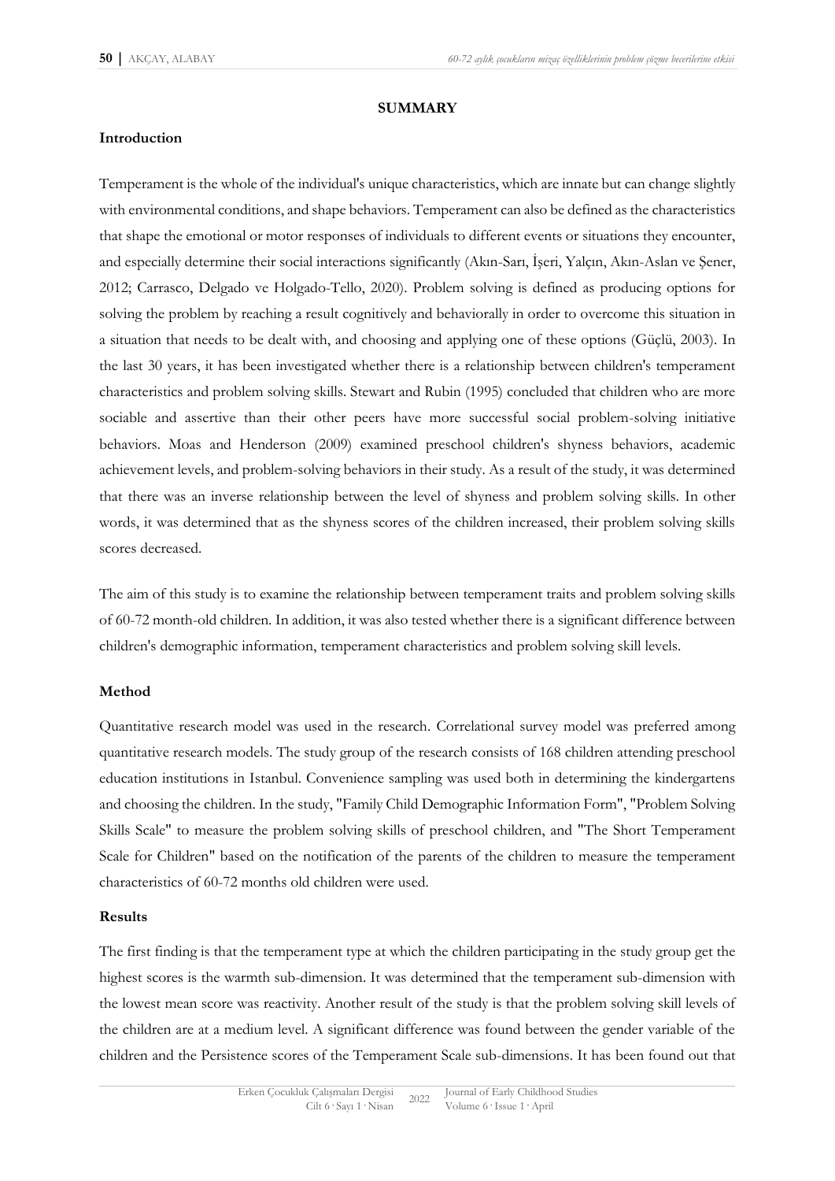#### **SUMMARY**

#### **Introduction**

Temperament is the whole of the individual's unique characteristics, which are innate but can change slightly with environmental conditions, and shape behaviors. Temperament can also be defined as the characteristics that shape the emotional or motor responses of individuals to different events or situations they encounter, and especially determine their social interactions significantly (Akın-Sarı, İşeri, Yalçın, Akın-Aslan ve Şener, 2012; Carrasco, Delgado ve Holgado-Tello, 2020). Problem solving is defined as producing options for solving the problem by reaching a result cognitively and behaviorally in order to overcome this situation in a situation that needs to be dealt with, and choosing and applying one of these options (Güçlü, 2003). In the last 30 years, it has been investigated whether there is a relationship between children's temperament characteristics and problem solving skills. Stewart and Rubin (1995) concluded that children who are more sociable and assertive than their other peers have more successful social problem-solving initiative behaviors. Moas and Henderson (2009) examined preschool children's shyness behaviors, academic achievement levels, and problem-solving behaviors in their study. As a result of the study, it was determined that there was an inverse relationship between the level of shyness and problem solving skills. In other words, it was determined that as the shyness scores of the children increased, their problem solving skills scores decreased.

The aim of this study is to examine the relationship between temperament traits and problem solving skills of 60-72 month-old children. In addition, it was also tested whether there is a significant difference between children's demographic information, temperament characteristics and problem solving skill levels.

#### **Method**

Quantitative research model was used in the research. Correlational survey model was preferred among quantitative research models. The study group of the research consists of 168 children attending preschool education institutions in Istanbul. Convenience sampling was used both in determining the kindergartens and choosing the children. In the study, "Family Child Demographic Information Form", "Problem Solving Skills Scale" to measure the problem solving skills of preschool children, and "The Short Temperament Scale for Children" based on the notification of the parents of the children to measure the temperament characteristics of 60-72 months old children were used.

#### **Results**

The first finding is that the temperament type at which the children participating in the study group get the highest scores is the warmth sub-dimension. It was determined that the temperament sub-dimension with the lowest mean score was reactivity. Another result of the study is that the problem solving skill levels of the children are at a medium level. A significant difference was found between the gender variable of the children and the Persistence scores of the Temperament Scale sub-dimensions. It has been found out that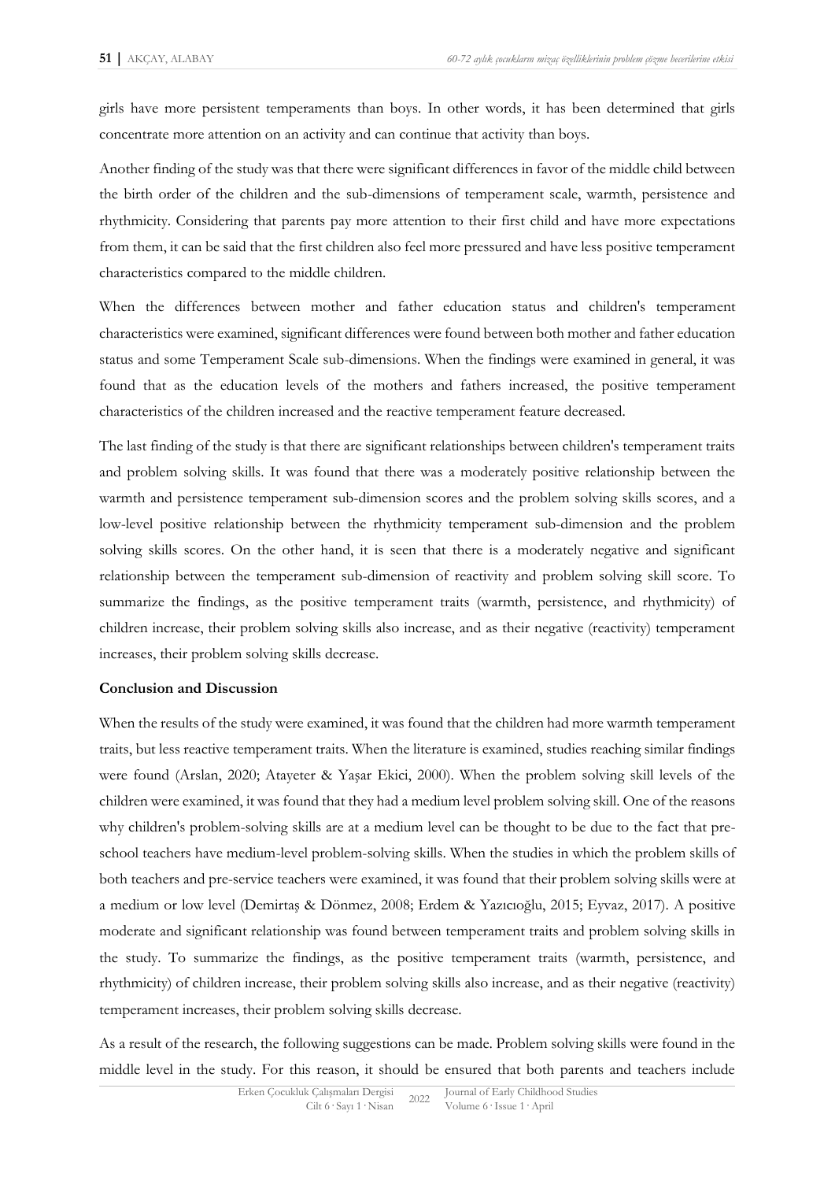girls have more persistent temperaments than boys. In other words, it has been determined that girls concentrate more attention on an activity and can continue that activity than boys.

Another finding of the study was that there were significant differences in favor of the middle child between the birth order of the children and the sub-dimensions of temperament scale, warmth, persistence and rhythmicity. Considering that parents pay more attention to their first child and have more expectations from them, it can be said that the first children also feel more pressured and have less positive temperament characteristics compared to the middle children.

When the differences between mother and father education status and children's temperament characteristics were examined, significant differences were found between both mother and father education status and some Temperament Scale sub-dimensions. When the findings were examined in general, it was found that as the education levels of the mothers and fathers increased, the positive temperament characteristics of the children increased and the reactive temperament feature decreased.

The last finding of the study is that there are significant relationships between children's temperament traits and problem solving skills. It was found that there was a moderately positive relationship between the warmth and persistence temperament sub-dimension scores and the problem solving skills scores, and a low-level positive relationship between the rhythmicity temperament sub-dimension and the problem solving skills scores. On the other hand, it is seen that there is a moderately negative and significant relationship between the temperament sub-dimension of reactivity and problem solving skill score. To summarize the findings, as the positive temperament traits (warmth, persistence, and rhythmicity) of children increase, their problem solving skills also increase, and as their negative (reactivity) temperament increases, their problem solving skills decrease.

#### **Conclusion and Discussion**

When the results of the study were examined, it was found that the children had more warmth temperament traits, but less reactive temperament traits. When the literature is examined, studies reaching similar findings were found (Arslan, 2020; Atayeter & Yaşar Ekici, 2000). When the problem solving skill levels of the children were examined, it was found that they had a medium level problem solving skill. One of the reasons why children's problem-solving skills are at a medium level can be thought to be due to the fact that preschool teachers have medium-level problem-solving skills. When the studies in which the problem skills of both teachers and pre-service teachers were examined, it was found that their problem solving skills were at a medium or low level (Demirtaş & Dönmez, 2008; Erdem & Yazıcıoğlu, 2015; Eyvaz, 2017). A positive moderate and significant relationship was found between temperament traits and problem solving skills in the study. To summarize the findings, as the positive temperament traits (warmth, persistence, and rhythmicity) of children increase, their problem solving skills also increase, and as their negative (reactivity) temperament increases, their problem solving skills decrease.

As a result of the research, the following suggestions can be made. Problem solving skills were found in the middle level in the study. For this reason, it should be ensured that both parents and teachers include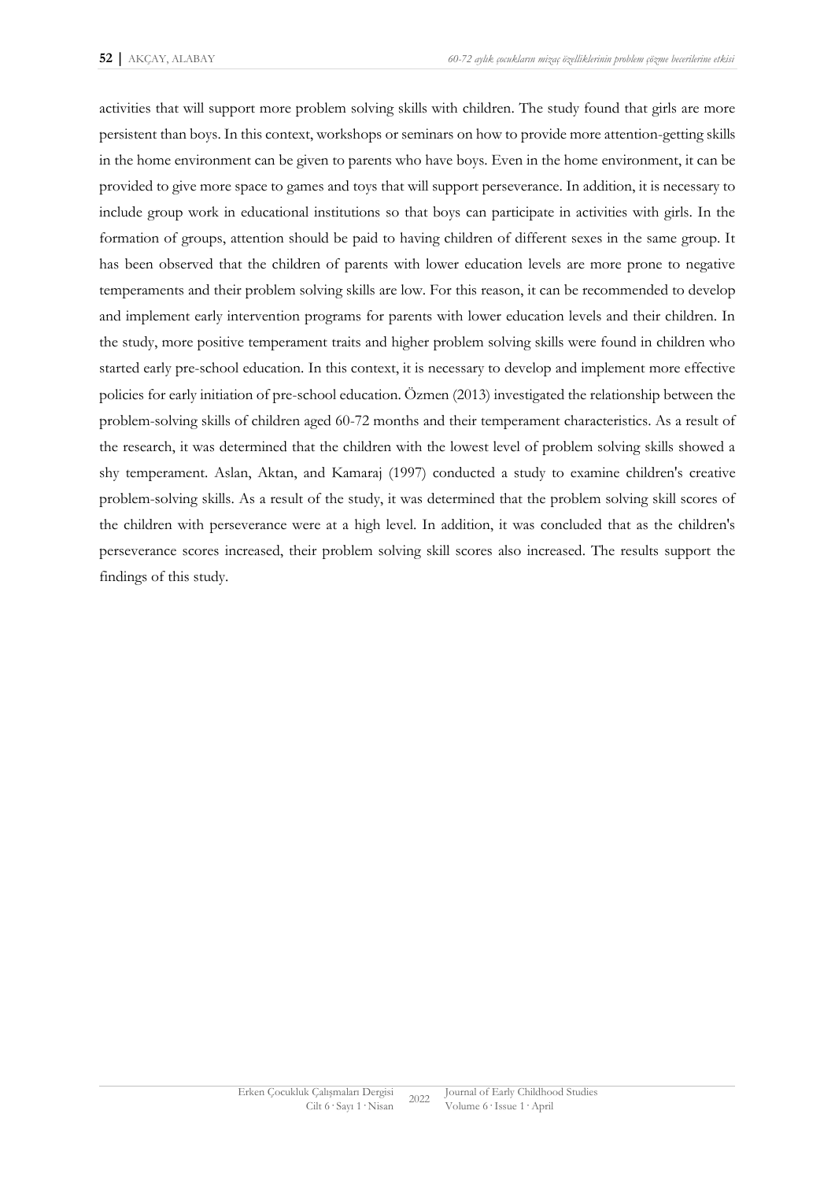activities that will support more problem solving skills with children. The study found that girls are more persistent than boys. In this context, workshops or seminars on how to provide more attention-getting skills in the home environment can be given to parents who have boys. Even in the home environment, it can be provided to give more space to games and toys that will support perseverance. In addition, it is necessary to include group work in educational institutions so that boys can participate in activities with girls. In the formation of groups, attention should be paid to having children of different sexes in the same group. It has been observed that the children of parents with lower education levels are more prone to negative temperaments and their problem solving skills are low. For this reason, it can be recommended to develop and implement early intervention programs for parents with lower education levels and their children. In the study, more positive temperament traits and higher problem solving skills were found in children who started early pre-school education. In this context, it is necessary to develop and implement more effective policies for early initiation of pre-school education. Özmen (2013) investigated the relationship between the problem-solving skills of children aged 60-72 months and their temperament characteristics. As a result of the research, it was determined that the children with the lowest level of problem solving skills showed a shy temperament. Aslan, Aktan, and Kamaraj (1997) conducted a study to examine children's creative problem-solving skills. As a result of the study, it was determined that the problem solving skill scores of the children with perseverance were at a high level. In addition, it was concluded that as the children's perseverance scores increased, their problem solving skill scores also increased. The results support the findings of this study.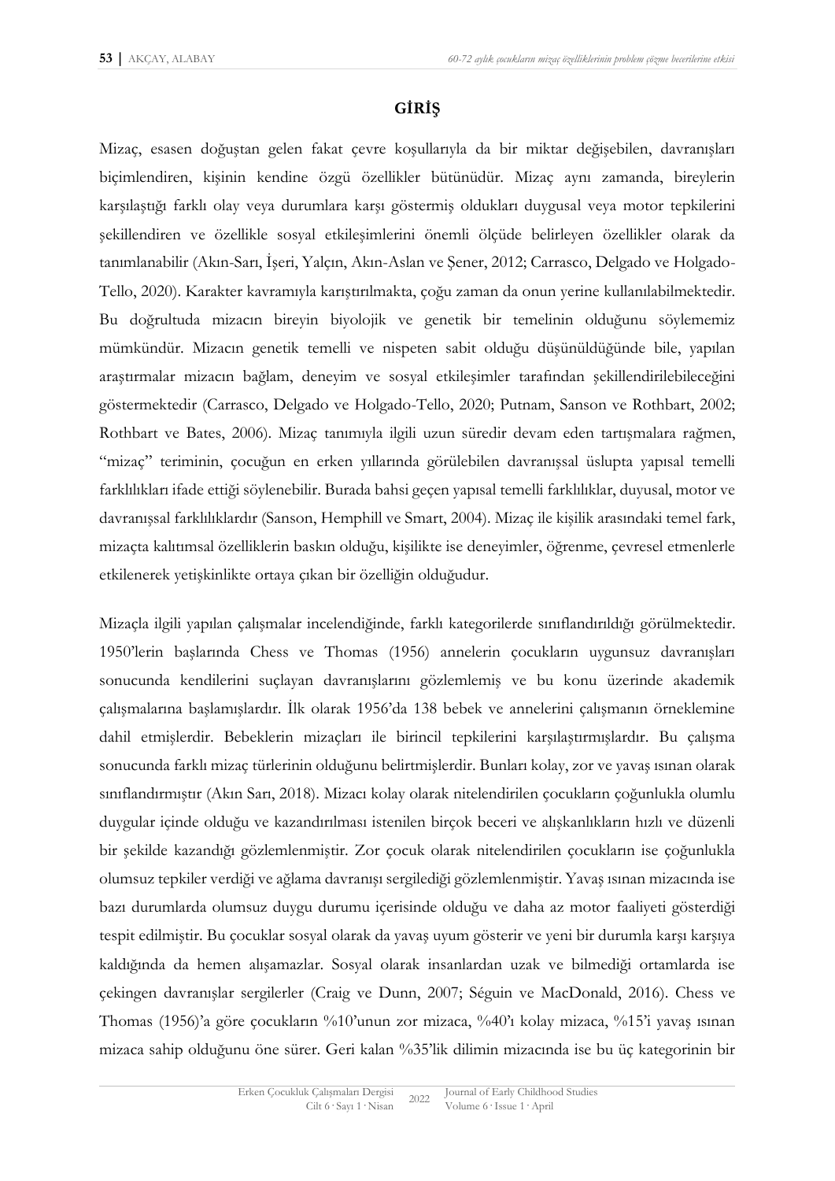### **GİRİŞ**

Mizaç, esasen doğuştan gelen fakat çevre koşullarıyla da bir miktar değişebilen, davranışları biçimlendiren, kişinin kendine özgü özellikler bütünüdür. Mizaç aynı zamanda, bireylerin karşılaştığı farklı olay veya durumlara karşı göstermiş oldukları duygusal veya motor tepkilerini şekillendiren ve özellikle sosyal etkileşimlerini önemli ölçüde belirleyen özellikler olarak da tanımlanabilir (Akın-Sarı, İşeri, Yalçın, Akın-Aslan ve Şener, 2012; Carrasco, Delgado ve Holgado-Tello, 2020). Karakter kavramıyla karıştırılmakta, çoğu zaman da onun yerine kullanılabilmektedir. Bu doğrultuda mizacın bireyin biyolojik ve genetik bir temelinin olduğunu söylememiz mümkündür. Mizacın genetik temelli ve nispeten sabit olduğu düşünüldüğünde bile, yapılan araştırmalar mizacın bağlam, deneyim ve sosyal etkileşimler tarafından şekillendirilebileceğini göstermektedir (Carrasco, Delgado ve Holgado-Tello, 2020; Putnam, Sanson ve Rothbart, 2002; Rothbart ve Bates, 2006). Mizaç tanımıyla ilgili uzun süredir devam eden tartışmalara rağmen, "mizaç" teriminin, çocuğun en erken yıllarında görülebilen davranışsal üslupta yapısal temelli farklılıkları ifade ettiği söylenebilir. Burada bahsi geçen yapısal temelli farklılıklar, duyusal, motor ve davranışsal farklılıklardır (Sanson, Hemphill ve Smart, 2004). Mizaç ile kişilik arasındaki temel fark, mizaçta kalıtımsal özelliklerin baskın olduğu, kişilikte ise deneyimler, öğrenme, çevresel etmenlerle etkilenerek yetişkinlikte ortaya çıkan bir özelliğin olduğudur.

Mizaçla ilgili yapılan çalışmalar incelendiğinde, farklı kategorilerde sınıflandırıldığı görülmektedir. 1950'lerin başlarında Chess ve Thomas (1956) annelerin çocukların uygunsuz davranışları sonucunda kendilerini suçlayan davranışlarını gözlemlemiş ve bu konu üzerinde akademik çalışmalarına başlamışlardır. İlk olarak 1956'da 138 bebek ve annelerini çalışmanın örneklemine dahil etmişlerdir. Bebeklerin mizaçları ile birincil tepkilerini karşılaştırmışlardır. Bu çalışma sonucunda farklı mizaç türlerinin olduğunu belirtmişlerdir. Bunları kolay, zor ve yavaş ısınan olarak sınıflandırmıştır (Akın Sarı, 2018). Mizacı kolay olarak nitelendirilen çocukların çoğunlukla olumlu duygular içinde olduğu ve kazandırılması istenilen birçok beceri ve alışkanlıkların hızlı ve düzenli bir şekilde kazandığı gözlemlenmiştir. Zor çocuk olarak nitelendirilen çocukların ise çoğunlukla olumsuz tepkiler verdiği ve ağlama davranışı sergilediği gözlemlenmiştir. Yavaş ısınan mizacında ise bazı durumlarda olumsuz duygu durumu içerisinde olduğu ve daha az motor faaliyeti gösterdiği tespit edilmiştir. Bu çocuklar sosyal olarak da yavaş uyum gösterir ve yeni bir durumla karşı karşıya kaldığında da hemen alışamazlar. Sosyal olarak insanlardan uzak ve bilmediği ortamlarda ise çekingen davranışlar sergilerler (Craig ve Dunn, 2007; Séguin ve MacDonald, 2016). Chess ve Thomas (1956)'a göre çocukların %10'unun zor mizaca, %40'ı kolay mizaca, %15'i yavaş ısınan mizaca sahip olduğunu öne sürer. Geri kalan %35'lik dilimin mizacında ise bu üç kategorinin bir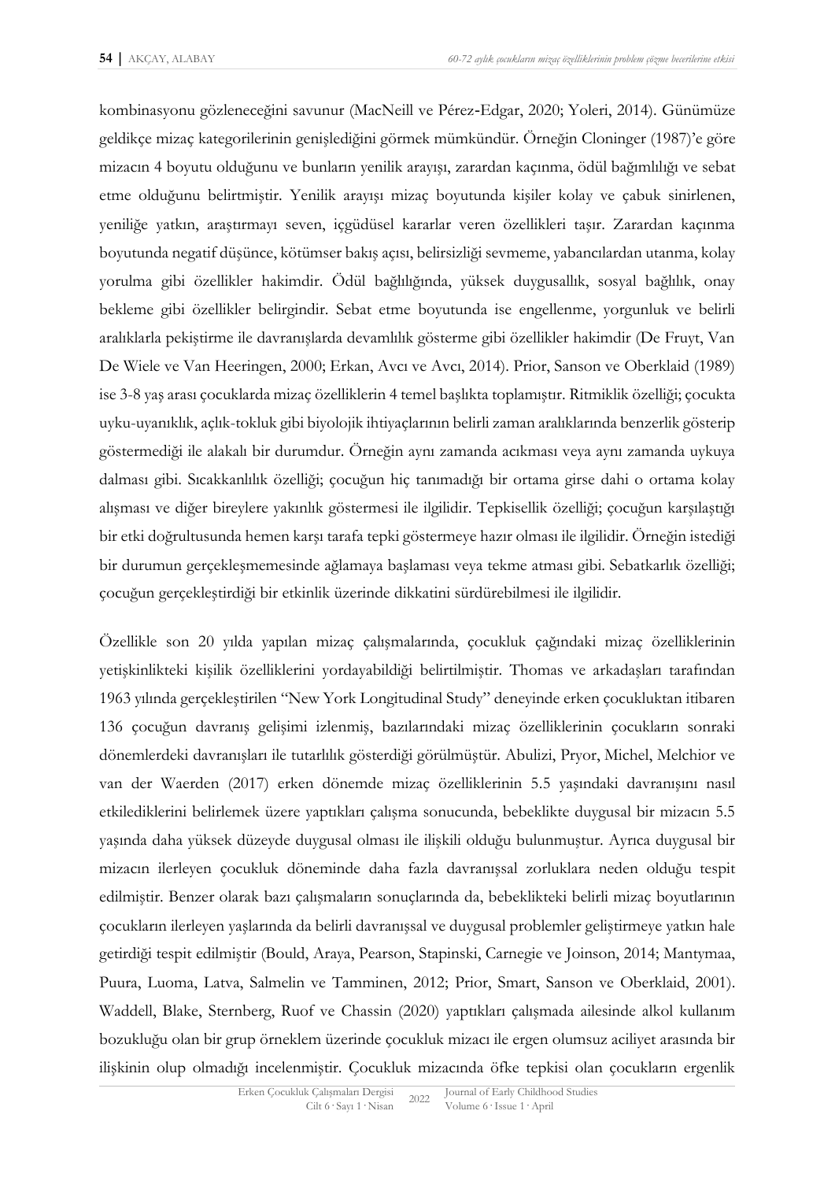kombinasyonu gözleneceğini savunur (MacNeill ve Pérez‐Edgar, 2020; Yoleri, 2014). Günümüze geldikçe mizaç kategorilerinin genişlediğini görmek mümkündür. Örneğin Cloninger (1987)'e göre mizacın 4 boyutu olduğunu ve bunların yenilik arayışı, zarardan kaçınma, ödül bağımlılığı ve sebat etme olduğunu belirtmiştir. Yenilik arayışı mizaç boyutunda kişiler kolay ve çabuk sinirlenen, yeniliğe yatkın, araştırmayı seven, içgüdüsel kararlar veren özellikleri taşır. Zarardan kaçınma boyutunda negatif düşünce, kötümser bakış açısı, belirsizliği sevmeme, yabancılardan utanma, kolay yorulma gibi özellikler hakimdir. Ödül bağlılığında, yüksek duygusallık, sosyal bağlılık, onay bekleme gibi özellikler belirgindir. Sebat etme boyutunda ise engellenme, yorgunluk ve belirli aralıklarla pekiştirme ile davranışlarda devamlılık gösterme gibi özellikler hakimdir (De Fruyt, Van De Wiele ve Van Heeringen, 2000; Erkan, Avcı ve Avcı, 2014). Prior, Sanson ve Oberklaid (1989) ise 3-8 yaş arası çocuklarda mizaç özelliklerin 4 temel başlıkta toplamıştır. Ritmiklik özelliği; çocukta uyku-uyanıklık, açlık-tokluk gibi biyolojik ihtiyaçlarının belirli zaman aralıklarında benzerlik gösterip göstermediği ile alakalı bir durumdur. Örneğin aynı zamanda acıkması veya aynı zamanda uykuya dalması gibi. Sıcakkanlılık özelliği; çocuğun hiç tanımadığı bir ortama girse dahi o ortama kolay alışması ve diğer bireylere yakınlık göstermesi ile ilgilidir. Tepkisellik özelliği; çocuğun karşılaştığı bir etki doğrultusunda hemen karşı tarafa tepki göstermeye hazır olması ile ilgilidir. Örneğin istediği bir durumun gerçekleşmemesinde ağlamaya başlaması veya tekme atması gibi. Sebatkarlık özelliği; çocuğun gerçekleştirdiği bir etkinlik üzerinde dikkatini sürdürebilmesi ile ilgilidir.

Özellikle son 20 yılda yapılan mizaç çalışmalarında, çocukluk çağındaki mizaç özelliklerinin yetişkinlikteki kişilik özelliklerini yordayabildiği belirtilmiştir. Thomas ve arkadaşları tarafından 1963 yılında gerçekleştirilen "New York Longitudinal Study" deneyinde erken çocukluktan itibaren 136 çocuğun davranış gelişimi izlenmiş, bazılarındaki mizaç özelliklerinin çocukların sonraki dönemlerdeki davranışları ile tutarlılık gösterdiği görülmüştür. Abulizi, Pryor, Michel, Melchior ve van der Waerden (2017) erken dönemde mizaç özelliklerinin 5.5 yaşındaki davranışını nasıl etkilediklerini belirlemek üzere yaptıkları çalışma sonucunda, bebeklikte duygusal bir mizacın 5.5 yaşında daha yüksek düzeyde duygusal olması ile ilişkili olduğu bulunmuştur. Ayrıca duygusal bir mizacın ilerleyen çocukluk döneminde daha fazla davranışsal zorluklara neden olduğu tespit edilmiştir. Benzer olarak bazı çalışmaların sonuçlarında da, bebeklikteki belirli mizaç boyutlarının çocukların ilerleyen yaşlarında da belirli davranışsal ve duygusal problemler geliştirmeye yatkın hale getirdiği tespit edilmiştir (Bould, Araya, Pearson, Stapinski, Carnegie ve Joinson, 2014; Mantymaa, Puura, Luoma, Latva, Salmelin ve Tamminen, 2012; Prior, Smart, Sanson ve Oberklaid, 2001). Waddell, Blake, Sternberg, Ruof ve Chassin (2020) yaptıkları çalışmada ailesinde alkol kullanım bozukluğu olan bir grup örneklem üzerinde çocukluk mizacı ile ergen olumsuz aciliyet arasında bir ilişkinin olup olmadığı incelenmiştir. Çocukluk mizacında öfke tepkisi olan çocukların ergenlik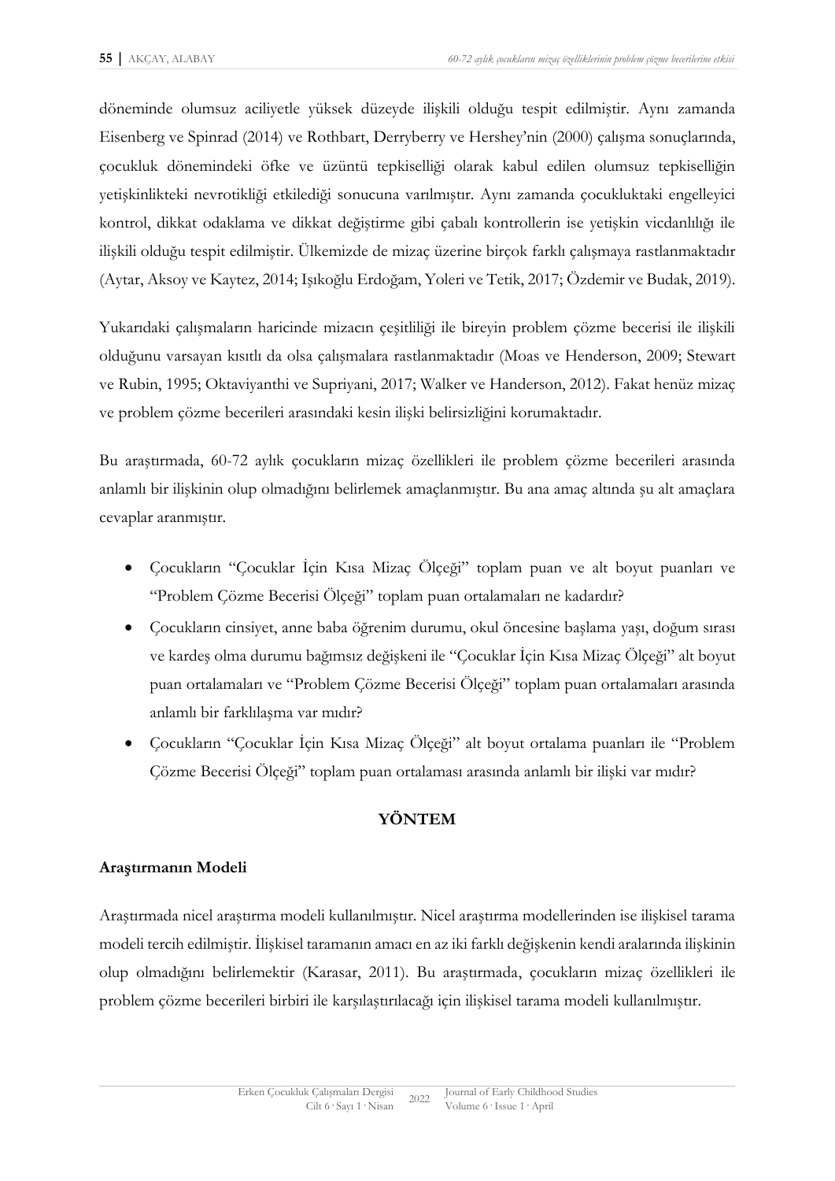döneminde olumsuz aciliyetle yüksek düzeyde ilişkili olduğu tespit edilmiştir. Aynı zamanda Eisenberg ve Spinrad (2014) ve Rothbart, Derryberry ve Hershey'nin (2000) çalışma sonuçlarında, çocukluk dönemindeki öfke ve üzüntü tepkiselliği olarak kabul edilen olumsuz tepkiselliğin yetişkinlikteki nevrotikliği etkilediği sonucuna varılmıştır. Aynı zamanda çocukluktaki engelleyici kontrol, dikkat odaklama ve dikkat değiştirme gibi çabalı kontrollerin ise yetişkin vicdanlılığı ile ilişkili olduğu tespit edilmiştir. Ülkemizde de mizaç üzerine birçok farklı çalışmaya rastlanmaktadır (Aytar, Aksoy ve Kaytez, 2014; Işıkoğlu Erdoğam, Yoleri ve Tetik, 2017; Özdemir ve Budak, 2019).

Yukarıdaki çalışmaların haricinde mizacın çeşitliliği ile bireyin problem çözme becerisi ile ilişkili olduğunu varsayan kısıtlı da olsa çalışmalara rastlanmaktadır (Moas ve Henderson, 2009; Stewart ve Rubin, 1995; Oktaviyanthi ve Supriyani, 2017; Walker ve Handerson, 2012). Fakat henüz mizaç ve problem çözme becerileri arasındaki kesin ilişki belirsizliğini korumaktadır.

Bu araştırmada, 60-72 aylık çocukların mizaç özellikleri ile problem çözme becerileri arasında anlamlı bir ilişkinin olup olmadığını belirlemek amaçlanmıştır. Bu ana amaç altında şu alt amaçlara cevaplar aranmıştır.

- Çocukların "Çocuklar İçin Kısa Mizaç Ölçeği" toplam puan ve alt boyut puanları ve "Problem Çözme Becerisi Ölçeği" toplam puan ortalamaları ne kadardır?
- Çocukların cinsiyet, anne baba öğrenim durumu, okul öncesine başlama yaşı, doğum sırası ve kardeş olma durumu bağımsız değişkeni ile "Çocuklar İçin Kısa Mizaç Ölçeği" alt boyut puan ortalamaları ve "Problem Çözme Becerisi Ölçeği" toplam puan ortalamaları arasında anlamlı bir farklılaşma var mıdır?
- Çocukların "Çocuklar İçin Kısa Mizaç Ölçeği" alt boyut ortalama puanları ile "Problem Çözme Becerisi Ölçeği" toplam puan ortalaması arasında anlamlı bir ilişki var mıdır?

# **YÖNTEM**

# **Araştırmanın Modeli**

Araştırmada nicel araştırma modeli kullanılmıştır. Nicel araştırma modellerinden ise ilişkisel tarama modeli tercih edilmiştir. İlişkisel taramanın amacı en az iki farklı değişkenin kendi aralarında ilişkinin olup olmadığını belirlemektir (Karasar, 2011). Bu araştırmada, çocukların mizaç özellikleri ile problem çözme becerileri birbiri ile karşılaştırılacağı için ilişkisel tarama modeli kullanılmıştır.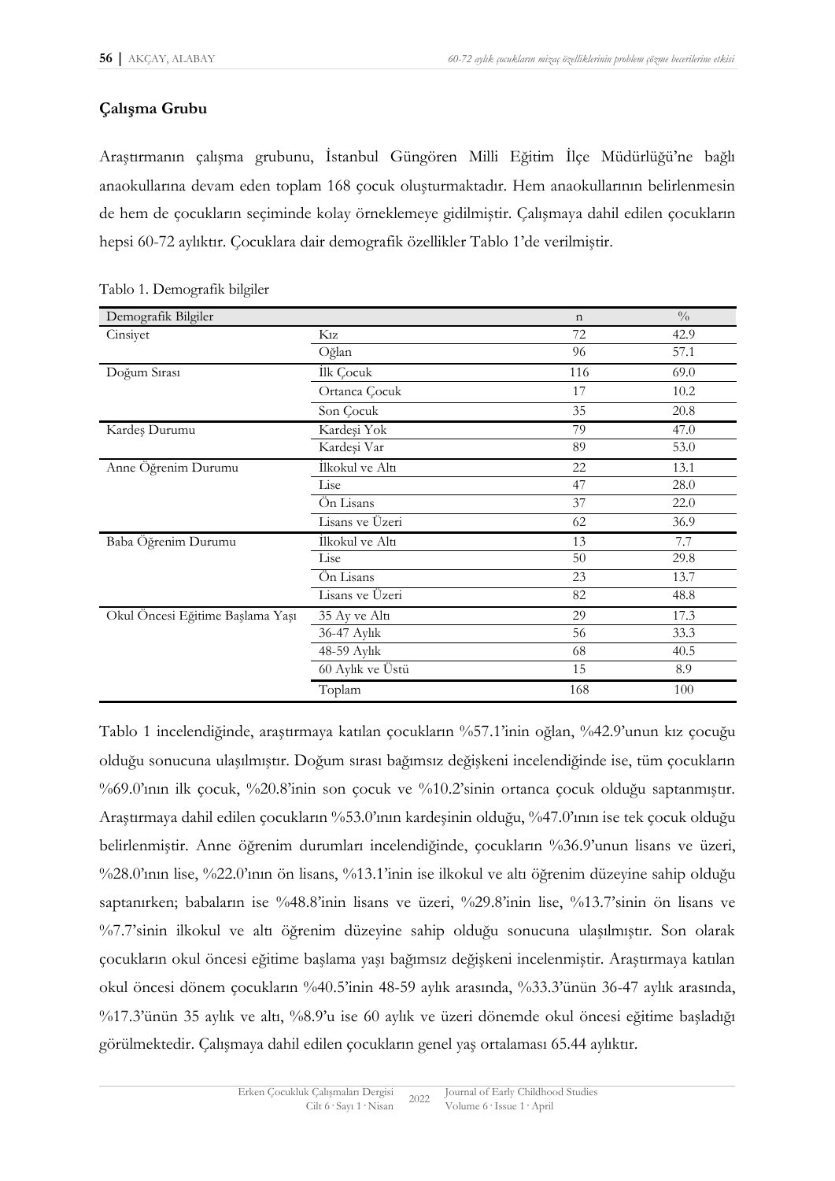# **Çalışma Grubu**

Araştırmanın çalışma grubunu, İstanbul Güngören Milli Eğitim İlçe Müdürlüğü'ne bağlı anaokullarına devam eden toplam 168 çocuk oluşturmaktadır. Hem anaokullarının belirlenmesin de hem de çocukların seçiminde kolay örneklemeye gidilmiştir. Çalışmaya dahil edilen çocukların hepsi 60-72 aylıktır. Çocuklara dair demografik özellikler Tablo 1'de verilmiştir.

| Demografik Bilgiler              |                  | $\mathbf n$ | $\frac{0}{0}$ |
|----------------------------------|------------------|-------------|---------------|
| Cinsiyet                         | $K_{1Z}$         | 72          | 42.9          |
|                                  | Oğlan            | 96          | 57.1          |
| Doğum Sırası                     | İlk Çocuk        | 116         | 69.0          |
|                                  | Ortanca Çocuk    | 17          | 10.2          |
|                                  | Son Cocuk        | 35          | 20.8          |
| Kardeş Durumu                    | Kardeşi Yok      | 79          | 47.0          |
|                                  | Kardeşi Var      | 89          | 53.0          |
| Anne Öğrenim Durumu              | İlkokul ve Altı  | 22          | 13.1          |
|                                  | Lise             | 47          | 28.0          |
|                                  | Ön Lisans        | 37          | 22.0          |
|                                  | Lisans ve Üzeri  | 62          | 36.9          |
| Baba Öğrenim Durumu              | İlkokul ve Altı  | 13          | 7.7           |
|                                  | Lise             | 50          | 29.8          |
|                                  | Ön Lisans        | 23          | 13.7          |
|                                  | Lisans ve Üzeri  | 82          | 48.8          |
| Okul Öncesi Eğitime Başlama Yaşı | 35 Ay ve Altı    | 29          | 17.3          |
|                                  | 36-47 Aylık      | 56          | 33.3          |
|                                  | 48-59 Aylık      | 68          | 40.5          |
|                                  | 60 Aylık ve Üstü | 15          | 8.9           |
|                                  | Toplam           | 168         | 100           |

Tablo 1 incelendiğinde, araştırmaya katılan çocukların %57.1'inin oğlan, %42.9'unun kız çocuğu olduğu sonucuna ulaşılmıştır. Doğum sırası bağımsız değişkeni incelendiğinde ise, tüm çocukların %69.0'ının ilk çocuk, %20.8'inin son çocuk ve %10.2'sinin ortanca çocuk olduğu saptanmıştır. Araştırmaya dahil edilen çocukların %53.0'ının kardeşinin olduğu, %47.0'ının ise tek çocuk olduğu belirlenmiştir. Anne öğrenim durumları incelendiğinde, çocukların %36.9'unun lisans ve üzeri, %28.0'ının lise, %22.0'ının ön lisans, %13.1'inin ise ilkokul ve altı öğrenim düzeyine sahip olduğu saptanırken; babaların ise %48.8'inin lisans ve üzeri, %29.8'inin lise, %13.7'sinin ön lisans ve %7.7'sinin ilkokul ve altı öğrenim düzeyine sahip olduğu sonucuna ulaşılmıştır. Son olarak çocukların okul öncesi eğitime başlama yaşı bağımsız değişkeni incelenmiştir. Araştırmaya katılan okul öncesi dönem çocukların %40.5'inin 48-59 aylık arasında, %33.3'ünün 36-47 aylık arasında, %17.3'ünün 35 aylık ve altı, %8.9'u ise 60 aylık ve üzeri dönemde okul öncesi eğitime başladığı görülmektedir. Çalışmaya dahil edilen çocukların genel yaş ortalaması 65.44 aylıktır.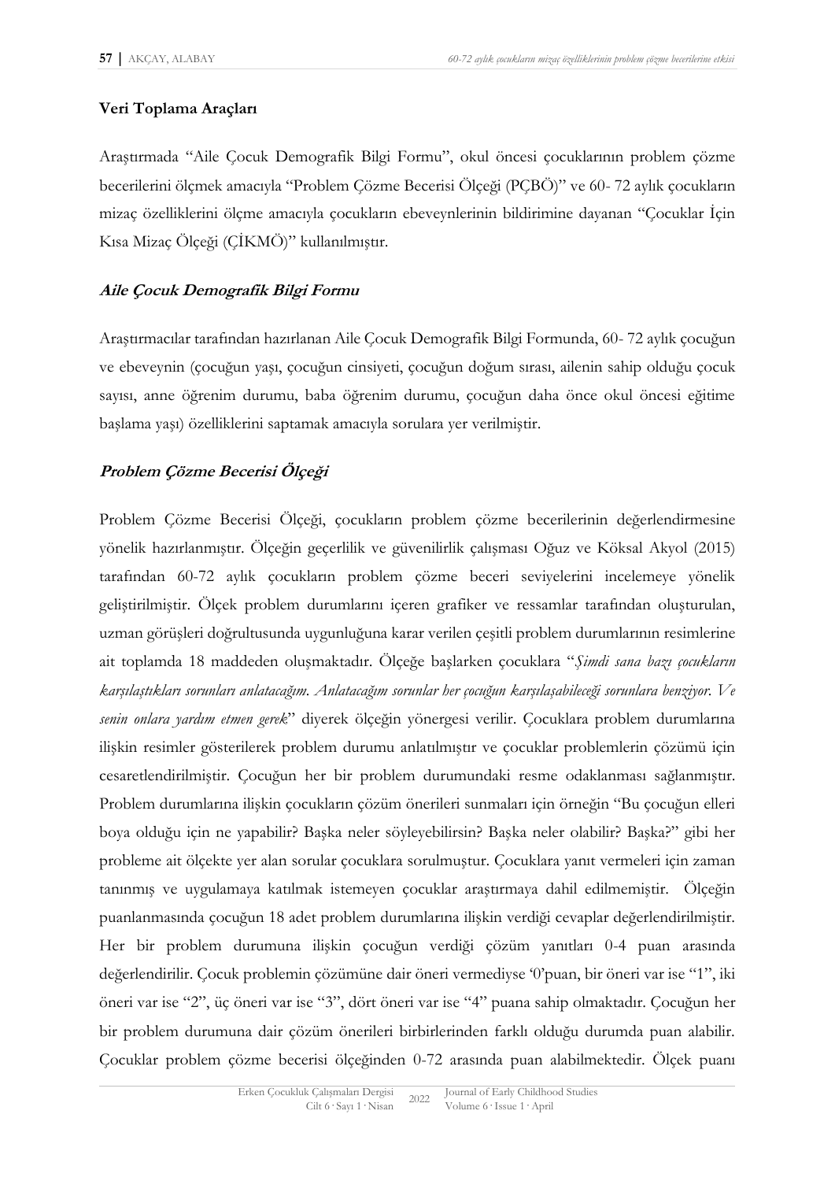### **Veri Toplama Araçları**

Araştırmada "Aile Çocuk Demografik Bilgi Formu", okul öncesi çocuklarının problem çözme becerilerini ölçmek amacıyla "Problem Çözme Becerisi Ölçeği (PÇBÖ)" ve 60- 72 aylık çocukların mizaç özelliklerini ölçme amacıyla çocukların ebeveynlerinin bildirimine dayanan "Çocuklar İçin Kısa Mizaç Ölçeği (ÇİKMÖ)" kullanılmıştır.

### **Aile Çocuk Demografik Bilgi Formu**

Araştırmacılar tarafından hazırlanan Aile Çocuk Demografik Bilgi Formunda, 60- 72 aylık çocuğun ve ebeveynin (çocuğun yaşı, çocuğun cinsiyeti, çocuğun doğum sırası, ailenin sahip olduğu çocuk sayısı, anne öğrenim durumu, baba öğrenim durumu, çocuğun daha önce okul öncesi eğitime başlama yaşı) özelliklerini saptamak amacıyla sorulara yer verilmiştir.

# **Problem Çözme Becerisi Ölçeği**

Problem Çözme Becerisi Ölçeği, çocukların problem çözme becerilerinin değerlendirmesine yönelik hazırlanmıştır. Ölçeğin geçerlilik ve güvenilirlik çalışması Oğuz ve Köksal Akyol (2015) tarafından 60-72 aylık çocukların problem çözme beceri seviyelerini incelemeye yönelik geliştirilmiştir. Ölçek problem durumlarını içeren grafiker ve ressamlar tarafından oluşturulan, uzman görüşleri doğrultusunda uygunluğuna karar verilen çeşitli problem durumlarının resimlerine ait toplamda 18 maddeden oluşmaktadır. Ölçeğe başlarken çocuklara "*Şimdi sana bazı çocukların karşılaştıkları sorunları anlatacağım. Anlatacağım sorunlar her çocuğun karşılaşabileceği sorunlara benziyor. Ve senin onlara yardım etmen gerek*" diyerek ölçeğin yönergesi verilir. Çocuklara problem durumlarına ilişkin resimler gösterilerek problem durumu anlatılmıştır ve çocuklar problemlerin çözümü için cesaretlendirilmiştir. Çocuğun her bir problem durumundaki resme odaklanması sağlanmıştır. Problem durumlarına ilişkin çocukların çözüm önerileri sunmaları için örneğin "Bu çocuğun elleri boya olduğu için ne yapabilir? Başka neler söyleyebilirsin? Başka neler olabilir? Başka?" gibi her probleme ait ölçekte yer alan sorular çocuklara sorulmuştur. Çocuklara yanıt vermeleri için zaman tanınmış ve uygulamaya katılmak istemeyen çocuklar araştırmaya dahil edilmemiştir. Ölçeğin puanlanmasında çocuğun 18 adet problem durumlarına ilişkin verdiği cevaplar değerlendirilmiştir. Her bir problem durumuna ilişkin çocuğun verdiği çözüm yanıtları 0-4 puan arasında değerlendirilir. Çocuk problemin çözümüne dair öneri vermediyse '0'puan, bir öneri var ise "1", iki öneri var ise "2", üç öneri var ise "3", dört öneri var ise "4" puana sahip olmaktadır. Çocuğun her bir problem durumuna dair çözüm önerileri birbirlerinden farklı olduğu durumda puan alabilir. Çocuklar problem çözme becerisi ölçeğinden 0-72 arasında puan alabilmektedir. Ölçek puanı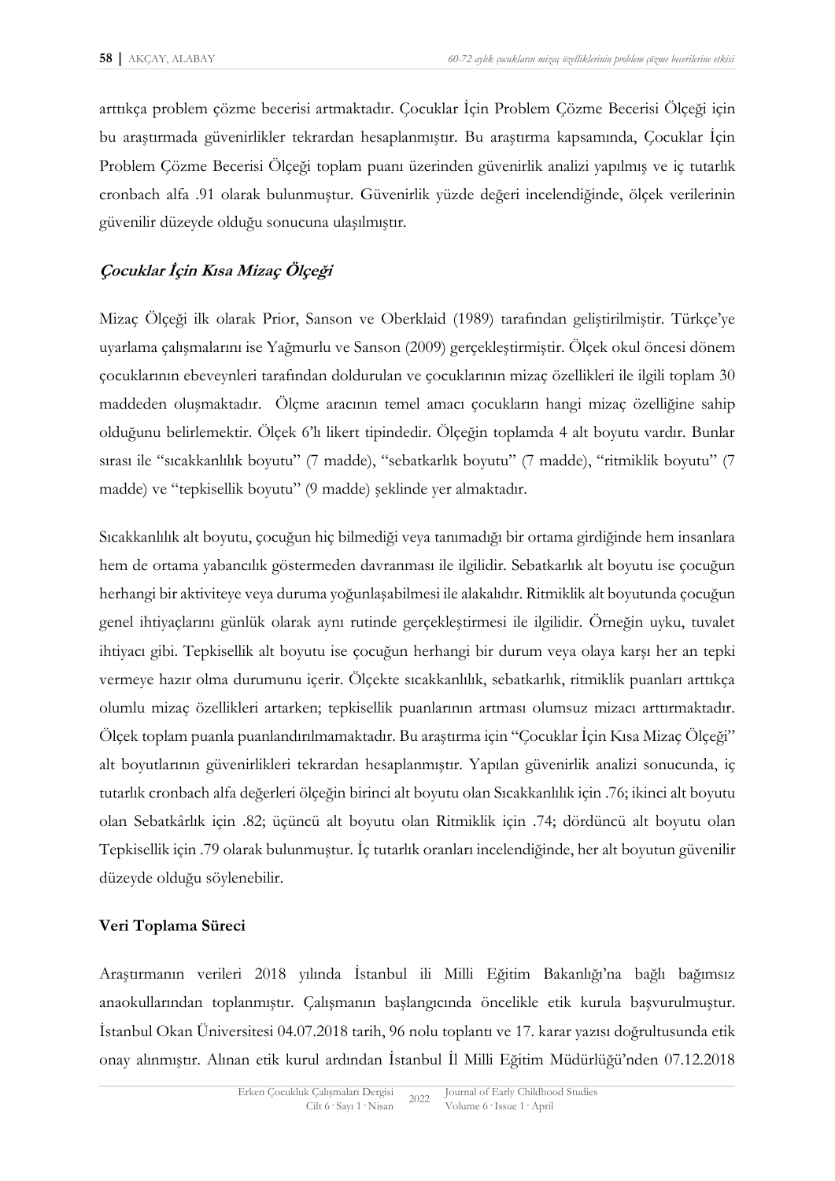arttıkça problem çözme becerisi artmaktadır. Çocuklar İçin Problem Çözme Becerisi Ölçeği için bu araştırmada güvenirlikler tekrardan hesaplanmıştır. Bu araştırma kapsamında, Çocuklar İçin Problem Çözme Becerisi Ölçeği toplam puanı üzerinden güvenirlik analizi yapılmış ve iç tutarlık cronbach alfa .91 olarak bulunmuştur. Güvenirlik yüzde değeri incelendiğinde, ölçek verilerinin güvenilir düzeyde olduğu sonucuna ulaşılmıştır.

### **Çocuklar İçin Kısa Mizaç Ölçeği**

Mizaç Ölçeği ilk olarak Prior, Sanson ve Oberklaid (1989) tarafından geliştirilmiştir. Türkçe'ye uyarlama çalışmalarını ise Yağmurlu ve Sanson (2009) gerçekleştirmiştir. Ölçek okul öncesi dönem çocuklarının ebeveynleri tarafından doldurulan ve çocuklarının mizaç özellikleri ile ilgili toplam 30 maddeden oluşmaktadır. Ölçme aracının temel amacı çocukların hangi mizaç özelliğine sahip olduğunu belirlemektir. Ölçek 6'lı likert tipindedir. Ölçeğin toplamda 4 alt boyutu vardır. Bunlar sırası ile "sıcakkanlılık boyutu" (7 madde), "sebatkarlık boyutu" (7 madde), "ritmiklik boyutu" (7 madde) ve "tepkisellik boyutu" (9 madde) şeklinde yer almaktadır.

Sıcakkanlılık alt boyutu, çocuğun hiç bilmediği veya tanımadığı bir ortama girdiğinde hem insanlara hem de ortama yabancılık göstermeden davranması ile ilgilidir. Sebatkarlık alt boyutu ise çocuğun herhangi bir aktiviteye veya duruma yoğunlaşabilmesi ile alakalıdır. Ritmiklik alt boyutunda çocuğun genel ihtiyaçlarını günlük olarak aynı rutinde gerçekleştirmesi ile ilgilidir. Örneğin uyku, tuvalet ihtiyacı gibi. Tepkisellik alt boyutu ise çocuğun herhangi bir durum veya olaya karşı her an tepki vermeye hazır olma durumunu içerir. Ölçekte sıcakkanlılık, sebatkarlık, ritmiklik puanları arttıkça olumlu mizaç özellikleri artarken; tepkisellik puanlarının artması olumsuz mizacı arttırmaktadır. Ölçek toplam puanla puanlandırılmamaktadır. Bu araştırma için "Çocuklar İçin Kısa Mizaç Ölçeği" alt boyutlarının güvenirlikleri tekrardan hesaplanmıştır. Yapılan güvenirlik analizi sonucunda, iç tutarlık cronbach alfa değerleri ölçeğin birinci alt boyutu olan Sıcakkanlılık için .76; ikinci alt boyutu olan Sebatkârlık için .82; üçüncü alt boyutu olan Ritmiklik için .74; dördüncü alt boyutu olan Tepkisellik için .79 olarak bulunmuştur. İç tutarlık oranları incelendiğinde, her alt boyutun güvenilir düzeyde olduğu söylenebilir.

### **Veri Toplama Süreci**

Araştırmanın verileri 2018 yılında İstanbul ili Milli Eğitim Bakanlığı'na bağlı bağımsız anaokullarından toplanmıştır. Çalışmanın başlangıcında öncelikle etik kurula başvurulmuştur. İstanbul Okan Üniversitesi 04.07.2018 tarih, 96 nolu toplantı ve 17. karar yazısı doğrultusunda etik onay alınmıştır. Alınan etik kurul ardından İstanbul İl Milli Eğitim Müdürlüğü'nden 07.12.2018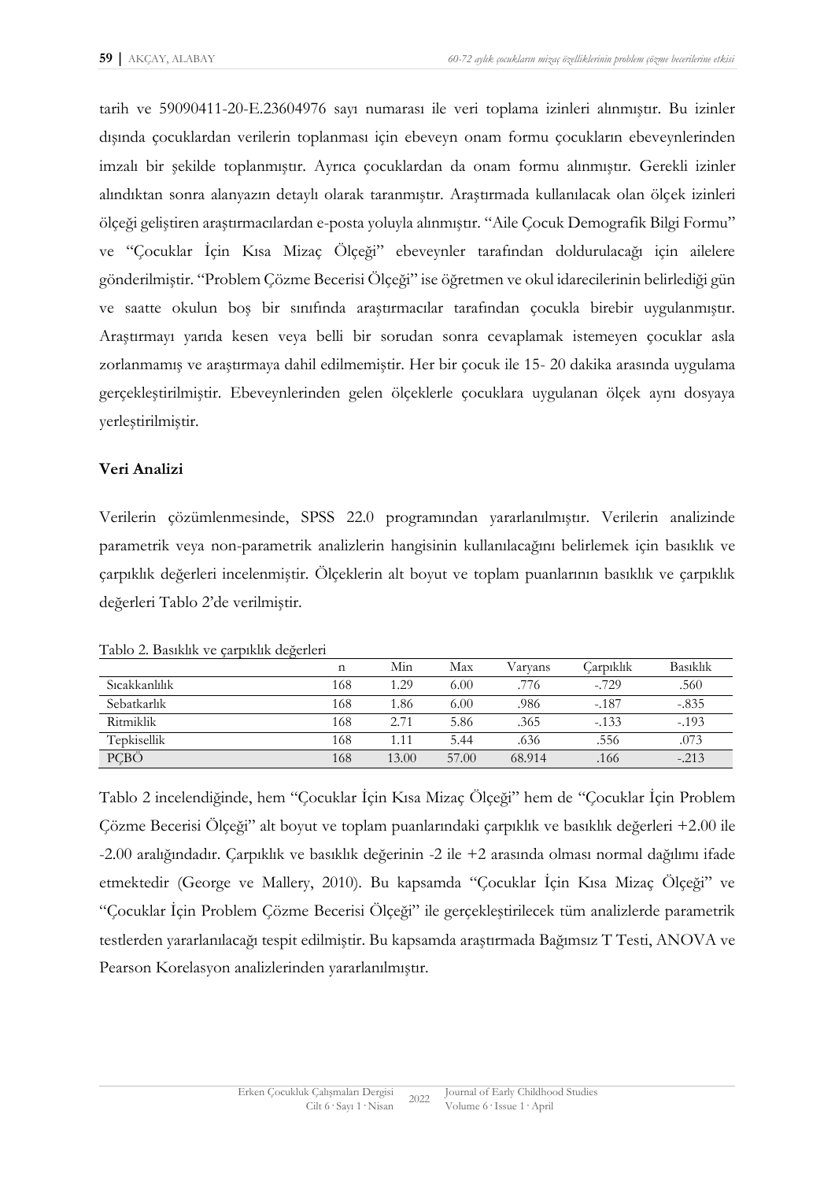tarih ve 59090411-20-E.23604976 sayı numarası ile veri toplama izinleri alınmıştır. Bu izinler dışında çocuklardan verilerin toplanması için ebeveyn onam formu çocukların ebeveynlerinden imzalı bir şekilde toplanmıştır. Ayrıca çocuklardan da onam formu alınmıştır. Gerekli izinler alındıktan sonra alanyazın detaylı olarak taranmıştır. Araştırmada kullanılacak olan ölçek izinleri ölçeği geliştiren araştırmacılardan e-posta yoluyla alınmıştır. "Aile Çocuk Demografik Bilgi Formu" ve "Çocuklar İçin Kısa Mizaç Ölçeği" ebeveynler tarafından doldurulacağı için ailelere gönderilmiştir. "Problem Çözme Becerisi Ölçeği" ise öğretmen ve okul idarecilerinin belirlediği gün ve saatte okulun boş bir sınıfında araştırmacılar tarafından çocukla birebir uygulanmıştır. Araştırmayı yarıda kesen veya belli bir sorudan sonra cevaplamak istemeyen çocuklar asla zorlanmamış ve araştırmaya dahil edilmemiştir. Her bir çocuk ile 15- 20 dakika arasında uygulama gerçekleştirilmiştir. Ebeveynlerinden gelen ölçeklerle çocuklara uygulanan ölçek aynı dosyaya yerleştirilmiştir.

### **Veri Analizi**

Verilerin çözümlenmesinde, SPSS 22.0 programından yararlanılmıştır. Verilerin analizinde parametrik veya non-parametrik analizlerin hangisinin kullanılacağını belirlemek için basıklık ve çarpıklık değerleri incelenmiştir. Ölçeklerin alt boyut ve toplam puanlarının basıklık ve çarpıklık değerleri Tablo 2'de verilmiştir.

|                      | $\mathbf n$ | Min   | Max   | Varvans | Carpıklık | Basıklık |
|----------------------|-------------|-------|-------|---------|-----------|----------|
| <b>Sicakkanlilik</b> | 168         | 1.29  | 6.00  | .776    | $-.729$   | .560     |
| Sebatkarlık          | 168         | 1.86  | 6.00  | .986    | $-.187$   | $-.835$  |
| <b>Ritmiklik</b>     | 168         | 2.71  | 5.86  | .365    | $-133$    | $-.193$  |
| Tepkisellik          | 168         | 1.11  | 5.44  | .636    | .556      | .073     |
| PÇBÖ                 | 168         | 13.00 | 57.00 | 68.914  | .166      | $-.213$  |

Tablo 2. Basıklık ve çarpıklık değerleri

Tablo 2 incelendiğinde, hem "Çocuklar İçin Kısa Mizaç Ölçeği" hem de "Çocuklar İçin Problem Çözme Becerisi Ölçeği" alt boyut ve toplam puanlarındaki çarpıklık ve basıklık değerleri +2.00 ile -2.00 aralığındadır. Çarpıklık ve basıklık değerinin -2 ile +2 arasında olması normal dağılımı ifade etmektedir (George ve Mallery, 2010). Bu kapsamda "Çocuklar İçin Kısa Mizaç Ölçeği" ve "Çocuklar İçin Problem Çözme Becerisi Ölçeği" ile gerçekleştirilecek tüm analizlerde parametrik testlerden yararlanılacağı tespit edilmiştir. Bu kapsamda araştırmada Bağımsız T Testi, ANOVA ve Pearson Korelasyon analizlerinden yararlanılmıştır.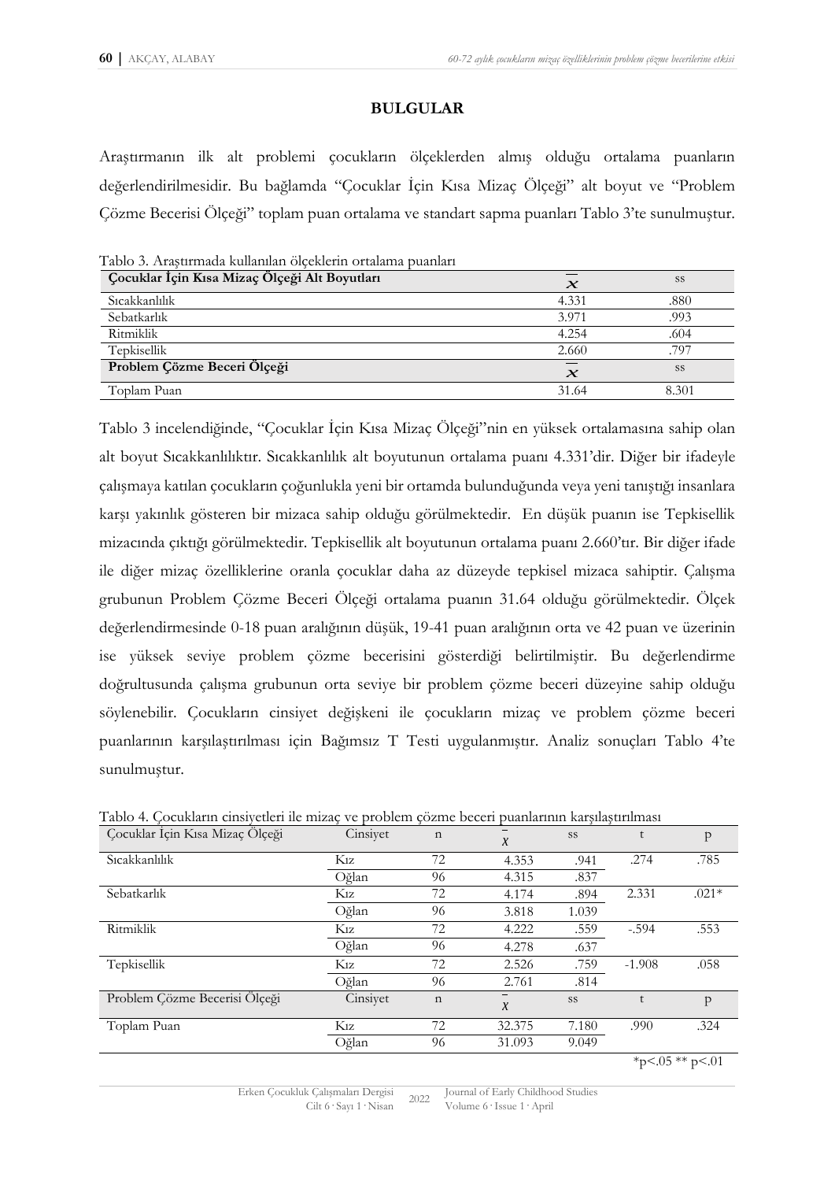### **BULGULAR**

Araştırmanın ilk alt problemi çocukların ölçeklerden almış olduğu ortalama puanların değerlendirilmesidir. Bu bağlamda "Çocuklar İçin Kısa Mizaç Ölçeği" alt boyut ve "Problem Çözme Becerisi Ölçeği" toplam puan ortalama ve standart sapma puanları Tablo 3'te sunulmuştur.

| Tadio 5. Arasurinada kunannan olçeklerin ortalama puanları |                     |       |
|------------------------------------------------------------|---------------------|-------|
| Çocuklar İçin Kısa Mizaç Ölçeği Alt Boyutları              | $\boldsymbol{\chi}$ | SS    |
| Sicakkanlılık                                              | 4.331               | .880  |
| Sebatkarlık                                                | 3.971               | .993  |
| Ritmiklik                                                  | 4.254               | .604  |
| Tepkisellik                                                | 2.660               | .797  |
| Problem Çözme Beceri Ölçeği                                | $\boldsymbol{\chi}$ | SS    |
| Toplam Puan                                                | 31.64               | 8.301 |

Tablo 3. Araştırmada kullanılan ölçeklerin ortalama puanları

Tablo 3 incelendiğinde, "Çocuklar İçin Kısa Mizaç Ölçeği"nin en yüksek ortalamasına sahip olan alt boyut Sıcakkanlılıktır. Sıcakkanlılık alt boyutunun ortalama puanı 4.331'dir. Diğer bir ifadeyle çalışmaya katılan çocukların çoğunlukla yeni bir ortamda bulunduğunda veya yeni tanıştığı insanlara karşı yakınlık gösteren bir mizaca sahip olduğu görülmektedir. En düşük puanın ise Tepkisellik mizacında çıktığı görülmektedir. Tepkisellik alt boyutunun ortalama puanı 2.660'tır. Bir diğer ifade ile diğer mizaç özelliklerine oranla çocuklar daha az düzeyde tepkisel mizaca sahiptir. Çalışma grubunun Problem Çözme Beceri Ölçeği ortalama puanın 31.64 olduğu görülmektedir. Ölçek değerlendirmesinde 0-18 puan aralığının düşük, 19-41 puan aralığının orta ve 42 puan ve üzerinin ise yüksek seviye problem çözme becerisini gösterdiği belirtilmiştir. Bu değerlendirme doğrultusunda çalışma grubunun orta seviye bir problem çözme beceri düzeyine sahip olduğu söylenebilir. Çocukların cinsiyet değişkeni ile çocukların mizaç ve problem çözme beceri puanlarının karşılaştırılması için Bağımsız T Testi uygulanmıştır. Analiz sonuçları Tablo 4'te sunulmuştur.

|  |  |  |  | Tablo 4. Cocukların cinsiyetleri ile mizac ve problem çözme beceri puanlarının karsılastırılması |
|--|--|--|--|--------------------------------------------------------------------------------------------------|
|  |  |  |  |                                                                                                  |

| Çocuklar İçin Kısa Mizaç Ölçeği | Cinsiyet         | $\mathbf n$ | $\chi$                             | SS    | t        | p       |
|---------------------------------|------------------|-------------|------------------------------------|-------|----------|---------|
| Sicakkanlılık                   | Kız              | 72          | 4.353                              | .941  | .274     | .785    |
|                                 | Oğlan            | 96          | 4.315                              | .837  |          |         |
| Sebatkarlık                     | Kız              | 72          | 4.174                              | .894  | 2.331    | $.021*$ |
|                                 | Oğlan            | 96          | 3.818                              | 1.039 |          |         |
| Ritmiklik                       | K1z              | 72          | 4.222                              | .559  | $-.594$  | .553    |
|                                 | Oğlan            | 96          | 4.278                              | .637  |          |         |
| Tepkisellik                     | K <sub>1</sub> z | 72          | 2.526                              | .759  | $-1.908$ | .058    |
|                                 | Oğlan            | 96          | 2.761                              | .814  |          |         |
| Problem Çözme Becerisi Ölçeği   | Cinsiyet         | $\mathbf n$ | $\overline{\phantom{m}}$<br>$\chi$ | SS    | $†$      | p       |
| Toplam Puan                     | K1z              | 72          | 32.375                             | 7.180 | .990     | .324    |
|                                 | Oğlan            | 96          | 31.093                             | 9.049 |          |         |

 $*_{p}<.05**p<.01$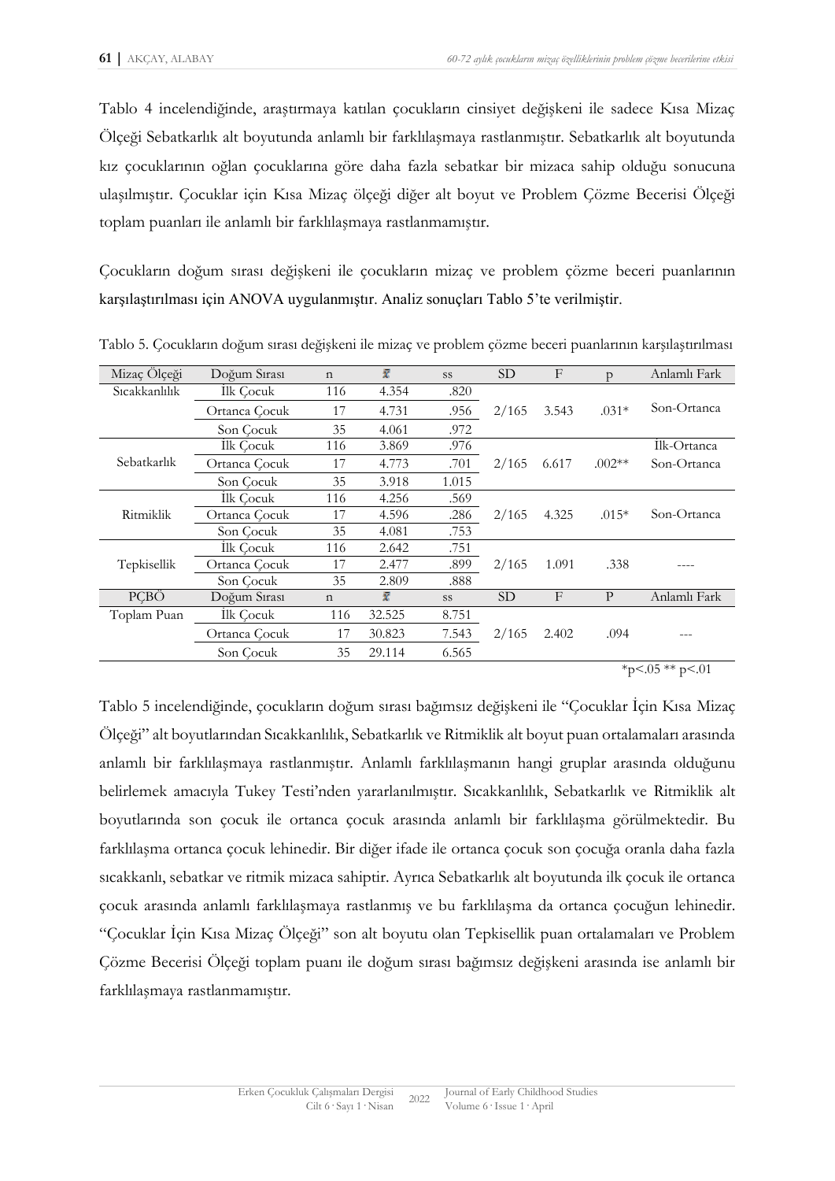Tablo 4 incelendiğinde, araştırmaya katılan çocukların cinsiyet değişkeni ile sadece Kısa Mizaç Ölçeği Sebatkarlık alt boyutunda anlamlı bir farklılaşmaya rastlanmıştır. Sebatkarlık alt boyutunda kız çocuklarının oğlan çocuklarına göre daha fazla sebatkar bir mizaca sahip olduğu sonucuna ulaşılmıştır. Çocuklar için Kısa Mizaç ölçeği diğer alt boyut ve Problem Çözme Becerisi Ölçeği toplam puanları ile anlamlı bir farklılaşmaya rastlanmamıştır.

Çocukların doğum sırası değişkeni ile çocukların mizaç ve problem çözme beceri puanlarının karşılaştırılması için ANOVA uygulanmıştır. Analiz sonuçları Tablo 5'te verilmiştir.

| Mizaç Ölçeği  | Doğum Sırası  | $\mathbf n$  | ī      | SS        | <b>SD</b> | F            | D            | Anlamlı Fark |
|---------------|---------------|--------------|--------|-----------|-----------|--------------|--------------|--------------|
| Sicakkanlılık | Ilk Cocuk     | 116          | 4.354  | .820      |           |              |              |              |
|               | Ortanca Cocuk | 17           | 4.731  | .956      | 2/165     | 3.543        | $.031*$      | Son-Ortanca  |
|               | Son Cocuk     | 35           | 4.061  | .972      |           |              |              |              |
|               | Ilk Cocuk     | 116          | 3.869  | .976      |           |              |              | İlk-Ortanca  |
| Sebatkarlık   | Ortanca Cocuk | 17           | 4.773  | .701      | 2/165     | 6.617        | $.002**$     | Son-Ortanca  |
|               | Son Cocuk     | 35           | 3.918  | 1.015     |           |              |              |              |
|               | Ilk Cocuk     | 116          | 4.256  | .569      |           |              |              |              |
| Ritmiklik     | Ortanca Cocuk | 17           | 4.596  | .286      | 2/165     | 4.325        | $.015*$      | Son-Ortanca  |
|               | Son Cocuk     | 35           | 4.081  | .753      |           |              |              |              |
|               | Ilk Cocuk     | 116          | 2.642  | .751      |           |              |              |              |
| Tepkisellik   | Ortanca Cocuk | 17           | 2.477  | .899      | 2/165     | 1.091        | .338         |              |
|               | Son Cocuk     | 35           | 2.809  | .888      |           |              |              |              |
| <b>PCBÖ</b>   | Doğum Sırası  | $\mathsf{n}$ | ī      | <b>SS</b> | <b>SD</b> | $\mathbf{F}$ | $\mathbf{P}$ | Anlamlı Fark |
| Toplam Puan   | Ilk Cocuk     | 116          | 32.525 | 8.751     |           |              |              |              |
|               | Ortanca Çocuk | 17           | 30.823 | 7.543     | 2/165     | 2.402        | .094         |              |
|               | Son Cocuk     | 35           | 29.114 | 6.565     |           |              |              |              |

Tablo 5. Çocukların doğum sırası değişkeni ile mizaç ve problem çözme beceri puanlarının karşılaştırılması

 $*_{p<.05}$  \*\* p<.01

Tablo 5 incelendiğinde, çocukların doğum sırası bağımsız değişkeni ile "Çocuklar İçin Kısa Mizaç Ölçeği" alt boyutlarından Sıcakkanlılık, Sebatkarlık ve Ritmiklik alt boyut puan ortalamaları arasında anlamlı bir farklılaşmaya rastlanmıştır. Anlamlı farklılaşmanın hangi gruplar arasında olduğunu belirlemek amacıyla Tukey Testi'nden yararlanılmıştır. Sıcakkanlılık, Sebatkarlık ve Ritmiklik alt boyutlarında son çocuk ile ortanca çocuk arasında anlamlı bir farklılaşma görülmektedir. Bu farklılaşma ortanca çocuk lehinedir. Bir diğer ifade ile ortanca çocuk son çocuğa oranla daha fazla sıcakkanlı, sebatkar ve ritmik mizaca sahiptir. Ayrıca Sebatkarlık alt boyutunda ilk çocuk ile ortanca çocuk arasında anlamlı farklılaşmaya rastlanmış ve bu farklılaşma da ortanca çocuğun lehinedir. "Çocuklar İçin Kısa Mizaç Ölçeği" son alt boyutu olan Tepkisellik puan ortalamaları ve Problem Çözme Becerisi Ölçeği toplam puanı ile doğum sırası bağımsız değişkeni arasında ise anlamlı bir farklılaşmaya rastlanmamıştır.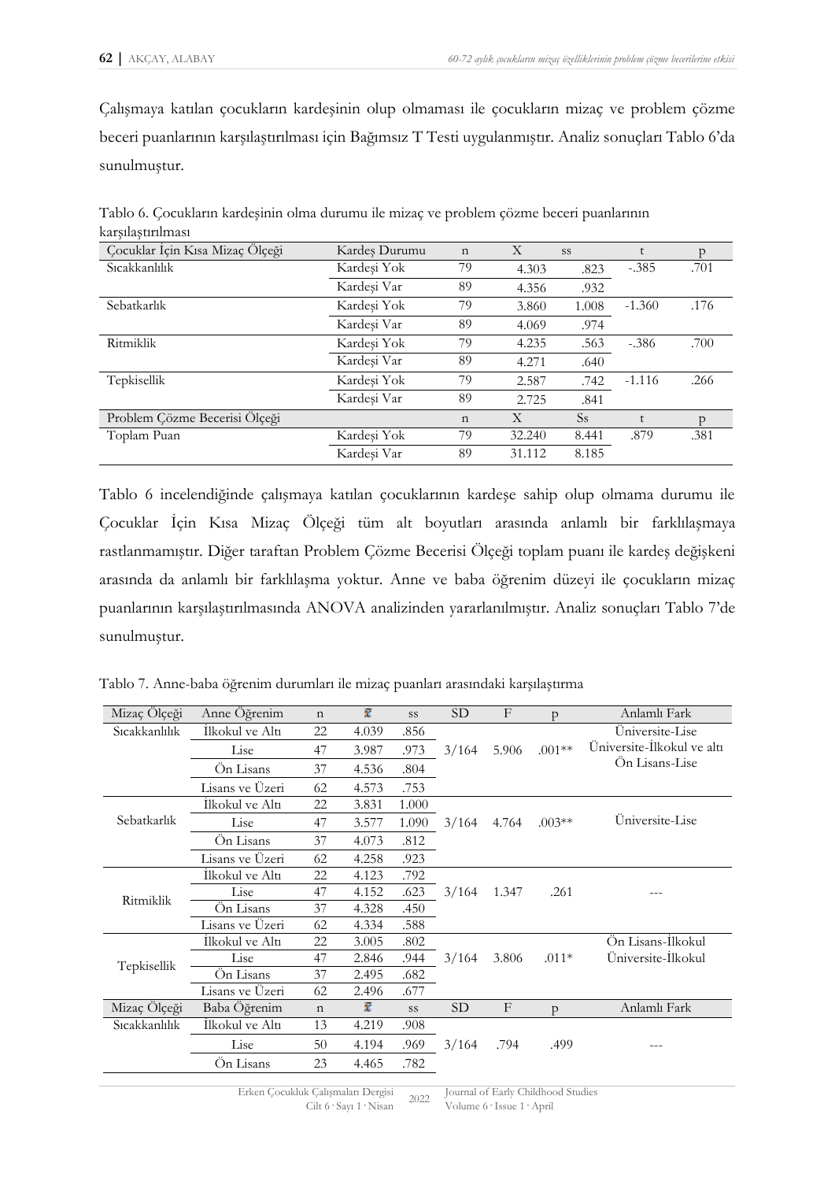Çalışmaya katılan çocukların kardeşinin olup olmaması ile çocukların mizaç ve problem çözme beceri puanlarının karşılaştırılması için Bağımsız T Testi uygulanmıştır. Analiz sonuçları Tablo 6'da sunulmuştur.

| Tablo 6. Çocukların kardeşinin olma durumu ile mizaç ve problem çözme beceri puanlarının |  |
|------------------------------------------------------------------------------------------|--|
| karşılaştırılması                                                                        |  |

| Çocuklar İçin Kısa Mizaç Ölçeği | Kardes Durumu | $\mathbf n$ | Χ      | <b>SS</b> |          | p    |
|---------------------------------|---------------|-------------|--------|-----------|----------|------|
| Sıcakkanlılık                   | Kardeşi Yok   | 79          | 4.303  | .823      | $-.385$  | .701 |
|                                 | Kardesi Var   | 89          | 4.356  | .932      |          |      |
| Sebatkarlık                     | Kardeşi Yok   | 79          | 3.860  | 1.008     | $-1.360$ | .176 |
|                                 | Kardesi Var   | 89          | 4.069  | .974      |          |      |
| Ritmiklik                       | Kardeşi Yok   | 79          | 4.235  | .563      | $-.386$  | .700 |
|                                 | Kardeşi Var   | 89          | 4.271  | .640      |          |      |
| Tepkisellik                     | Kardeşi Yok   | 79          | 2.587  | .742      | $-1.116$ | .266 |
|                                 | Kardeşi Var   | 89          | 2.725  | .841      |          |      |
| Problem Çözme Becerisi Ölçeği   |               | $\mathbf n$ | X      | <b>Ss</b> |          | D    |
| Toplam Puan                     | Kardeşi Yok   | 79          | 32.240 | 8.441     | .879     | .381 |
|                                 | Kardeşi Var   | 89          | 31.112 | 8.185     |          |      |

Tablo 6 incelendiğinde çalışmaya katılan çocuklarının kardeşe sahip olup olmama durumu ile Çocuklar İçin Kısa Mizaç Ölçeği tüm alt boyutları arasında anlamlı bir farklılaşmaya rastlanmamıştır. Diğer taraftan Problem Çözme Becerisi Ölçeği toplam puanı ile kardeş değişkeni arasında da anlamlı bir farklılaşma yoktur. Anne ve baba öğrenim düzeyi ile çocukların mizaç puanlarının karşılaştırılmasında ANOVA analizinden yararlanılmıştır. Analiz sonuçları Tablo 7'de sunulmuştur.

Tablo 7. Anne-baba öğrenim durumları ile mizaç puanları arasındaki karşılaştırma

| Üniversite-Lise<br>Sicakkanlılık<br>İlkokul ve Altı<br>22<br>4.039<br>.856<br>$.001**$<br>5.906<br>3.987<br>.973<br>3/164<br>Lise<br>47<br>Ön Lisans-Lise<br>Ön Lisans<br>37<br>.804<br>4.536<br>Lisans ve Üzeri<br>.753<br>4.573<br>62<br>İlkokul ve Altı<br>1.000<br>22<br>3.831<br>Üniversite-Lise<br>Sebatkarlık<br>$.003**$<br>Lise<br>3.577<br>3/164<br>47<br>1.090<br>4.764<br>Ön Lisans<br>37<br>.812<br>4.073<br>Lisans ve Üzeri<br>.923<br>62<br>4.258<br>İlkokul ve Altı<br>22<br>4.123<br>.792<br>Lise<br>47<br>4.152<br>.623<br>3/164<br>1.347<br>.261<br>Ritmiklik<br>On Lisans<br>37<br>4.328<br>.450<br>Lisans ve Üzeri<br>.588<br>62<br>4.334<br>Ön Lisans-İlkokul<br>İlkokul ve Altı<br>22<br>.802<br>3.005<br>Üniversite-İlkokul<br>Lise<br>3/164<br>$.011*$<br>47<br>.944<br>3.806<br>2.846<br>Tepkisellik<br>Ön Lisans<br>.682<br>37<br>2.495<br>Lisans ve Üzeri<br>2.496<br>.677<br>62 | Mizaç Ölçeği | Anne Öğrenim | $\mathbf n$ | x | SS | <b>SD</b> | F            | p            | Anlamlı Fark               |
|--------------------------------------------------------------------------------------------------------------------------------------------------------------------------------------------------------------------------------------------------------------------------------------------------------------------------------------------------------------------------------------------------------------------------------------------------------------------------------------------------------------------------------------------------------------------------------------------------------------------------------------------------------------------------------------------------------------------------------------------------------------------------------------------------------------------------------------------------------------------------------------------------------------|--------------|--------------|-------------|---|----|-----------|--------------|--------------|----------------------------|
|                                                                                                                                                                                                                                                                                                                                                                                                                                                                                                                                                                                                                                                                                                                                                                                                                                                                                                              |              |              |             |   |    |           |              |              |                            |
|                                                                                                                                                                                                                                                                                                                                                                                                                                                                                                                                                                                                                                                                                                                                                                                                                                                                                                              |              |              |             |   |    |           |              |              | Üniversite-İlkokul ve altı |
|                                                                                                                                                                                                                                                                                                                                                                                                                                                                                                                                                                                                                                                                                                                                                                                                                                                                                                              |              |              |             |   |    |           |              |              |                            |
|                                                                                                                                                                                                                                                                                                                                                                                                                                                                                                                                                                                                                                                                                                                                                                                                                                                                                                              |              |              |             |   |    |           |              |              |                            |
|                                                                                                                                                                                                                                                                                                                                                                                                                                                                                                                                                                                                                                                                                                                                                                                                                                                                                                              |              |              |             |   |    |           |              |              |                            |
|                                                                                                                                                                                                                                                                                                                                                                                                                                                                                                                                                                                                                                                                                                                                                                                                                                                                                                              |              |              |             |   |    |           |              |              |                            |
|                                                                                                                                                                                                                                                                                                                                                                                                                                                                                                                                                                                                                                                                                                                                                                                                                                                                                                              |              |              |             |   |    |           |              |              |                            |
|                                                                                                                                                                                                                                                                                                                                                                                                                                                                                                                                                                                                                                                                                                                                                                                                                                                                                                              |              |              |             |   |    |           |              |              |                            |
|                                                                                                                                                                                                                                                                                                                                                                                                                                                                                                                                                                                                                                                                                                                                                                                                                                                                                                              |              |              |             |   |    |           |              |              |                            |
|                                                                                                                                                                                                                                                                                                                                                                                                                                                                                                                                                                                                                                                                                                                                                                                                                                                                                                              |              |              |             |   |    |           |              |              |                            |
|                                                                                                                                                                                                                                                                                                                                                                                                                                                                                                                                                                                                                                                                                                                                                                                                                                                                                                              |              |              |             |   |    |           |              |              |                            |
|                                                                                                                                                                                                                                                                                                                                                                                                                                                                                                                                                                                                                                                                                                                                                                                                                                                                                                              |              |              |             |   |    |           |              |              |                            |
|                                                                                                                                                                                                                                                                                                                                                                                                                                                                                                                                                                                                                                                                                                                                                                                                                                                                                                              |              |              |             |   |    |           |              |              |                            |
|                                                                                                                                                                                                                                                                                                                                                                                                                                                                                                                                                                                                                                                                                                                                                                                                                                                                                                              |              |              |             |   |    |           |              |              |                            |
|                                                                                                                                                                                                                                                                                                                                                                                                                                                                                                                                                                                                                                                                                                                                                                                                                                                                                                              |              |              |             |   |    |           |              |              |                            |
|                                                                                                                                                                                                                                                                                                                                                                                                                                                                                                                                                                                                                                                                                                                                                                                                                                                                                                              |              |              |             |   |    |           |              |              |                            |
|                                                                                                                                                                                                                                                                                                                                                                                                                                                                                                                                                                                                                                                                                                                                                                                                                                                                                                              | Mizaç Ölçeği | Baba Öğrenim | $\mathbf n$ | ī | SS | <b>SD</b> | $\mathbf{F}$ | $\mathsf{D}$ | Anlamlı Fark               |
| Sicakkanlılık<br>İlkokul ve Altı<br>13<br>4.219<br>.908                                                                                                                                                                                                                                                                                                                                                                                                                                                                                                                                                                                                                                                                                                                                                                                                                                                      |              |              |             |   |    |           |              |              |                            |
| 3/164<br>Lise<br>50<br>4.194<br>.969<br>.794<br>.499                                                                                                                                                                                                                                                                                                                                                                                                                                                                                                                                                                                                                                                                                                                                                                                                                                                         |              |              |             |   |    |           |              |              |                            |
| On Lisans<br>23<br>4.465<br>.782                                                                                                                                                                                                                                                                                                                                                                                                                                                                                                                                                                                                                                                                                                                                                                                                                                                                             |              |              |             |   |    |           |              |              |                            |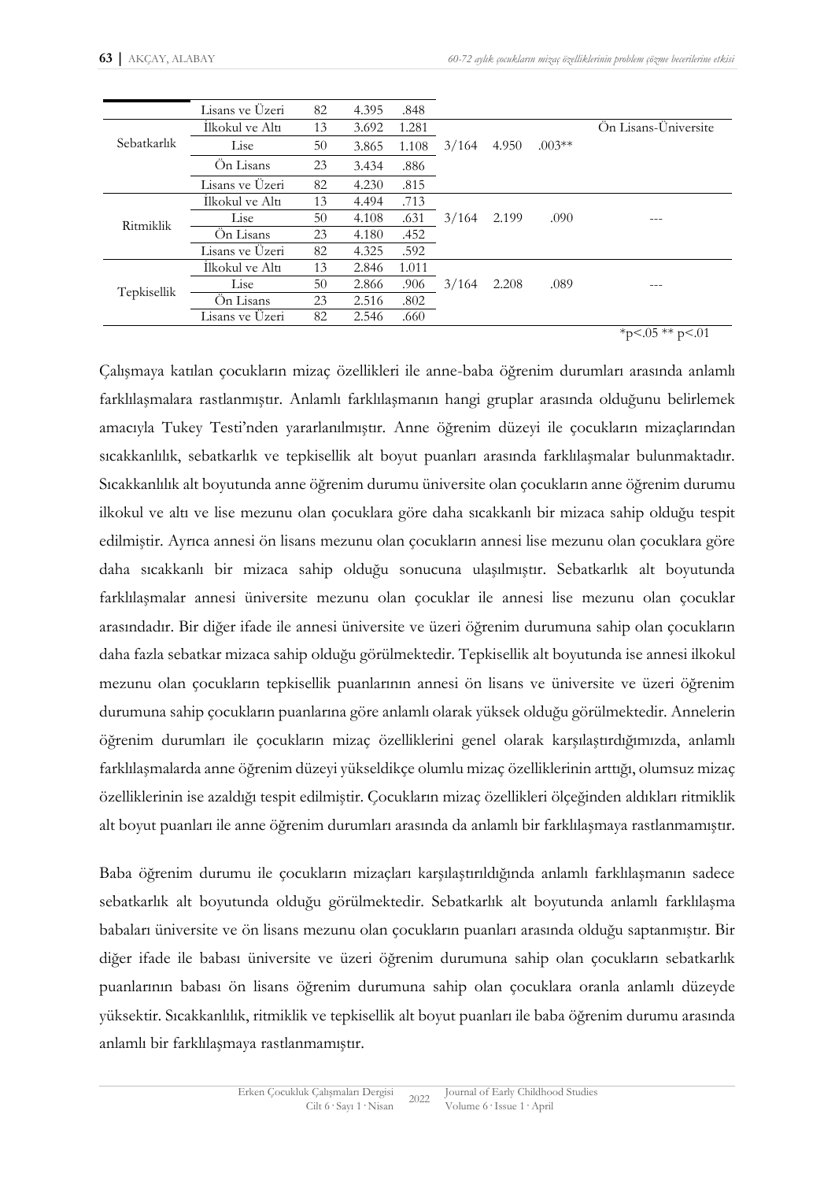|             | Lisans ve Üzeri | 82 | 4.395 | .848  |       |       |          |                      |
|-------------|-----------------|----|-------|-------|-------|-------|----------|----------------------|
|             | İlkokul ve Altı | 13 | 3.692 | 1.281 |       |       |          | Ön Lisans-Üniversite |
| Sebatkarlık | Lise            | 50 | 3.865 | 1.108 | 3/164 | 4.950 | $.003**$ |                      |
|             | On Lisans       | 23 | 3.434 | .886  |       |       |          |                      |
|             | Lisans ve Uzeri | 82 | 4.230 | .815  |       |       |          |                      |
|             | Ilkokul ve Altı | 13 | 4.494 | .713  |       |       |          |                      |
| Ritmiklik   | Lise            | 50 | 4.108 | .631  | 3/164 | 2.199 | .090     |                      |
|             | On Lisans       | 23 | 4.180 | .452  |       |       |          |                      |
|             | Lisans ve Üzeri | 82 | 4.325 | .592  |       |       |          |                      |
|             | Ilkokul ve Altı | 13 | 2.846 | 1.011 |       |       |          |                      |
|             | Lise            | 50 | 2.866 | .906  | 3/164 | 2.208 | .089     | ---                  |
| Tepkisellik | On Lisans       | 23 | 2.516 | .802  |       |       |          |                      |
|             | Lisans ve Uzeri | 82 | 2.546 | .660  |       |       |          |                      |

 $*_{p}$ <.05  $*$  $*$  p<.01

Çalışmaya katılan çocukların mizaç özellikleri ile anne-baba öğrenim durumları arasında anlamlı farklılaşmalara rastlanmıştır. Anlamlı farklılaşmanın hangi gruplar arasında olduğunu belirlemek amacıyla Tukey Testi'nden yararlanılmıştır. Anne öğrenim düzeyi ile çocukların mizaçlarından sıcakkanlılık, sebatkarlık ve tepkisellik alt boyut puanları arasında farklılaşmalar bulunmaktadır. Sıcakkanlılık alt boyutunda anne öğrenim durumu üniversite olan çocukların anne öğrenim durumu ilkokul ve altı ve lise mezunu olan çocuklara göre daha sıcakkanlı bir mizaca sahip olduğu tespit edilmiştir. Ayrıca annesi ön lisans mezunu olan çocukların annesi lise mezunu olan çocuklara göre daha sıcakkanlı bir mizaca sahip olduğu sonucuna ulaşılmıştır. Sebatkarlık alt boyutunda farklılaşmalar annesi üniversite mezunu olan çocuklar ile annesi lise mezunu olan çocuklar arasındadır. Bir diğer ifade ile annesi üniversite ve üzeri öğrenim durumuna sahip olan çocukların daha fazla sebatkar mizaca sahip olduğu görülmektedir. Tepkisellik alt boyutunda ise annesi ilkokul mezunu olan çocukların tepkisellik puanlarının annesi ön lisans ve üniversite ve üzeri öğrenim durumuna sahip çocukların puanlarına göre anlamlı olarak yüksek olduğu görülmektedir. Annelerin öğrenim durumları ile çocukların mizaç özelliklerini genel olarak karşılaştırdığımızda, anlamlı farklılaşmalarda anne öğrenim düzeyi yükseldikçe olumlu mizaç özelliklerinin arttığı, olumsuz mizaç özelliklerinin ise azaldığı tespit edilmiştir. Çocukların mizaç özellikleri ölçeğinden aldıkları ritmiklik alt boyut puanları ile anne öğrenim durumları arasında da anlamlı bir farklılaşmaya rastlanmamıştır.

Baba öğrenim durumu ile çocukların mizaçları karşılaştırıldığında anlamlı farklılaşmanın sadece sebatkarlık alt boyutunda olduğu görülmektedir. Sebatkarlık alt boyutunda anlamlı farklılaşma babaları üniversite ve ön lisans mezunu olan çocukların puanları arasında olduğu saptanmıştır. Bir diğer ifade ile babası üniversite ve üzeri öğrenim durumuna sahip olan çocukların sebatkarlık puanlarının babası ön lisans öğrenim durumuna sahip olan çocuklara oranla anlamlı düzeyde yüksektir. Sıcakkanlılık, ritmiklik ve tepkisellik alt boyut puanları ile baba öğrenim durumu arasında anlamlı bir farklılaşmaya rastlanmamıştır.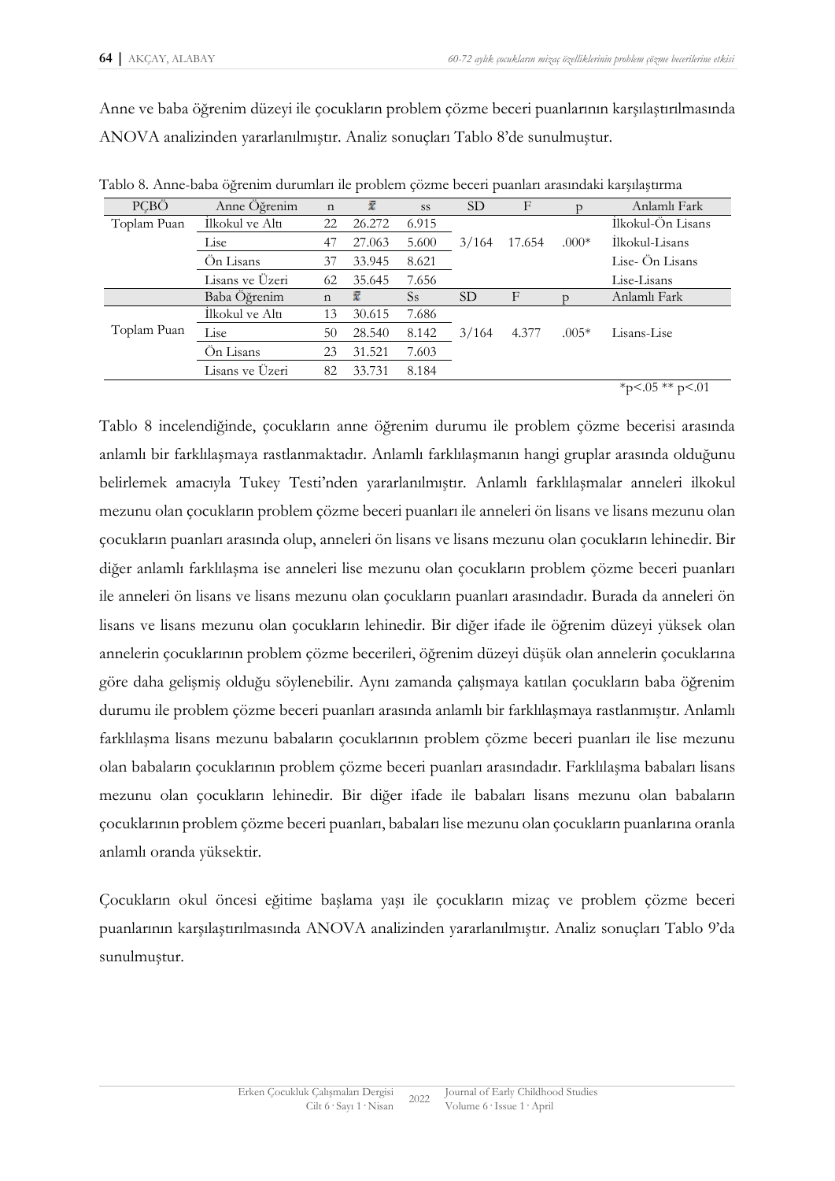Anne ve baba öğrenim düzeyi ile çocukların problem çözme beceri puanlarının karşılaştırılmasında ANOVA analizinden yararlanılmıştır. Analiz sonuçları Tablo 8'de sunulmuştur.

| PCBÖ        | Anne Öğrenim    | $\mathbf n$ | ī      | <b>SS</b>     | <b>SD</b> | F           |         | Anlamlı Fark      |
|-------------|-----------------|-------------|--------|---------------|-----------|-------------|---------|-------------------|
| Toplam Puan | İlkokul ve Altı | 22          | 26.272 | 6.915         |           |             |         | İlkokul-Ön Lisans |
|             | Lise            | 47          | 27.063 | 5.600         | 3/164     | 17.654      | $.000*$ | İlkokul-Lisans    |
|             | Ön Lisans       | 37          | 33.945 | 8.621         |           |             |         | Lise- Ön Lisans   |
|             | Lisans ve Üzeri | 62          | 35.645 | 7.656         |           |             |         | Lise-Lisans       |
|             | Baba Öğrenim    | $\mathbf n$ | x      | <sub>Ss</sub> | <b>SD</b> | $\mathbf F$ |         | Anlamlı Fark      |
|             | İlkokul ve Altı | 13          | 30.615 | 7.686         |           |             |         |                   |
| Toplam Puan | Lise            | 50          | 28.540 | 8.142         | 3/164     | 4.377       | $.005*$ | Lisans-Lise       |
|             | Ön Lisans       | 23          | 31.521 | 7.603         |           |             |         |                   |
|             | Lisans ve Üzeri | 82          | 33.731 | 8.184         |           |             |         |                   |
|             |                 |             |        |               |           |             |         | *p<.05 ** p<.01   |

Tablo 8. Anne-baba öğrenim durumları ile problem çözme beceri puanları arasındaki karşılaştırma

Tablo 8 incelendiğinde, çocukların anne öğrenim durumu ile problem çözme becerisi arasında anlamlı bir farklılaşmaya rastlanmaktadır. Anlamlı farklılaşmanın hangi gruplar arasında olduğunu belirlemek amacıyla Tukey Testi'nden yararlanılmıştır. Anlamlı farklılaşmalar anneleri ilkokul mezunu olan çocukların problem çözme beceri puanları ile anneleri ön lisans ve lisans mezunu olan çocukların puanları arasında olup, anneleri ön lisans ve lisans mezunu olan çocukların lehinedir. Bir diğer anlamlı farklılaşma ise anneleri lise mezunu olan çocukların problem çözme beceri puanları ile anneleri ön lisans ve lisans mezunu olan çocukların puanları arasındadır. Burada da anneleri ön lisans ve lisans mezunu olan çocukların lehinedir. Bir diğer ifade ile öğrenim düzeyi yüksek olan annelerin çocuklarının problem çözme becerileri, öğrenim düzeyi düşük olan annelerin çocuklarına göre daha gelişmiş olduğu söylenebilir. Aynı zamanda çalışmaya katılan çocukların baba öğrenim durumu ile problem çözme beceri puanları arasında anlamlı bir farklılaşmaya rastlanmıştır. Anlamlı farklılaşma lisans mezunu babaların çocuklarının problem çözme beceri puanları ile lise mezunu olan babaların çocuklarının problem çözme beceri puanları arasındadır. Farklılaşma babaları lisans mezunu olan çocukların lehinedir. Bir diğer ifade ile babaları lisans mezunu olan babaların çocuklarının problem çözme beceri puanları, babaları lise mezunu olan çocukların puanlarına oranla anlamlı oranda yüksektir.

Çocukların okul öncesi eğitime başlama yaşı ile çocukların mizaç ve problem çözme beceri puanlarının karşılaştırılmasında ANOVA analizinden yararlanılmıştır. Analiz sonuçları Tablo 9'da sunulmuştur.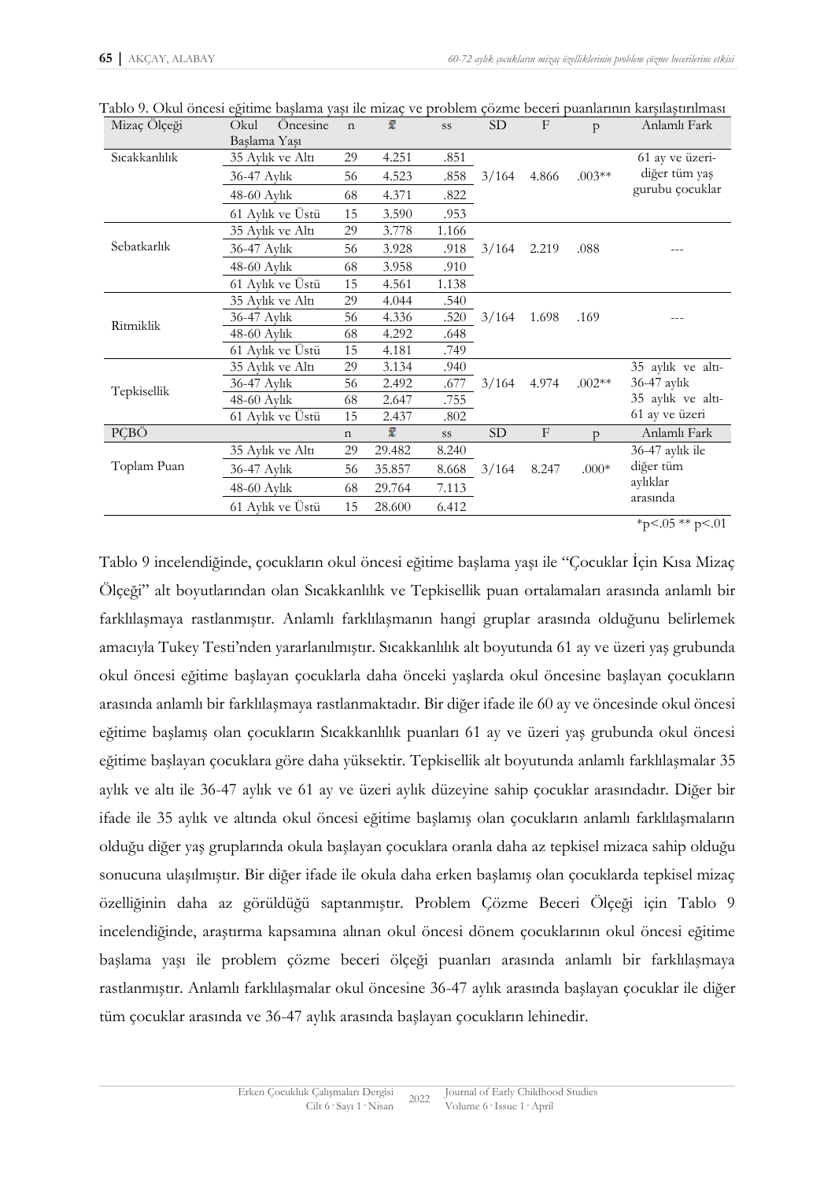| Mizaç Ölçeği  | Okul<br>Oncesine | $\mathbf n$ | ī      | SS    | <b>SD</b> | $\mathbf{F}$ | p        | Anlamlı Fark                     |
|---------------|------------------|-------------|--------|-------|-----------|--------------|----------|----------------------------------|
|               | Başlama Yaşı     |             |        |       |           |              |          |                                  |
| Sıcakkanlılık | 35 Aylık ve Altı | 29          | 4.251  | .851  |           |              | $.003**$ | 61 ay ve üzeri-<br>diğer tüm yaş |
|               | 36-47 Aylık      | 56          | 4.523  | .858  | 3/164     | 4.866        |          |                                  |
|               | 48-60 Aylık      | 68          | 4.371  | .822  |           |              |          | gurubu çocuklar                  |
|               | 61 Aylık ve Üstü | 15          | 3.590  | .953  |           |              |          |                                  |
| Sebatkarlık   | 35 Aylık ve Altı | 29          | 3.778  | 1.166 |           |              | .088     |                                  |
|               | 36-47 Aylık      | 56          | 3.928  | .918  | 3/164     | 2.219        |          |                                  |
|               | $48-60$ Aylık    | 68          | 3.958  | .910  |           |              |          |                                  |
|               | 61 Aylık ve Üstü | 15          | 4.561  | 1.138 |           |              |          |                                  |
| Ritmiklik     | 35 Aylık ve Altı | 29          | 4.044  | .540  |           |              |          |                                  |
|               | 36-47 Aylık      | 56          | 4.336  | .520  | 3/164     | 1.698        | .169     |                                  |
|               | 48-60 Aylık      | 68          | 4.292  | .648  |           |              |          |                                  |
|               | 61 Aylık ve Üstü | 15          | 4.181  | .749  |           |              |          |                                  |
| Tepkisellik   | 35 Aylık ve Altı | 29          | 3.134  | .940  |           |              | $.002**$ | 35 aylık ve altı-                |
|               | 36-47 Aylık      | 56          | 2.492  | .677  | 3/164     | 4.974        |          | 36-47 aylık                      |
|               | 48-60 Aylık      | 68          | 2.647  | .755  |           |              |          | 35 aylık ve altı-                |
|               | 61 Aylık ve Üstü | 15          | 2.437  | .802  |           |              |          | 61 ay ve üzeri                   |
| PÇBÖ          |                  | $\mathbf n$ | ī      | SS    | SD        | $\mathbf{F}$ | p        | Anlamlı Fark                     |
| Toplam Puan   | 35 Aylık ve Altı | 29          | 29.482 | 8.240 |           |              |          | 36-47 aylık ile                  |
|               | 36-47 Aylık      | 56          | 35.857 | 8.668 | 3/164     | 8.247        | $.000*$  | diğer tüm<br>aylıklar            |
|               | $48-60$ Aylık    | 68          | 29.764 | 7.113 |           |              |          |                                  |
|               | 61 Aylık ve Üstü | 15          | 28.600 | 6.412 |           |              |          | arasında                         |
|               |                  |             |        |       |           |              |          | *p<.05 ** p<.01                  |

Tablo 9. Okul öncesi eğitime başlama yaşı ile mizaç ve problem çözme beceri puanlarının karşılaştırılması

Tablo 9 incelendiğinde, çocukların okul öncesi eğitime başlama yaşı ile "Çocuklar İçin Kısa Mizaç Ölçeği" alt boyutlarından olan Sıcakkanlılık ve Tepkisellik puan ortalamaları arasında anlamlı bir farklılaşmaya rastlanmıştır. Anlamlı farklılaşmanın hangi gruplar arasında olduğunu belirlemek amacıyla Tukey Testi'nden yararlanılmıştır. Sıcakkanlılık alt boyutunda 61 ay ve üzeri yaş grubunda okul öncesi eğitime başlayan çocuklarla daha önceki yaşlarda okul öncesine başlayan çocukların arasında anlamlı bir farklılaşmaya rastlanmaktadır. Bir diğer ifade ile 60 ay ve öncesinde okul öncesi eğitime başlamış olan çocukların Sıcakkanlılık puanları 61 ay ve üzeri yaş grubunda okul öncesi eğitime başlayan çocuklara göre daha yüksektir. Tepkisellik alt boyutunda anlamlı farklılaşmalar 35 aylık ve altı ile 36-47 aylık ve 61 ay ve üzeri aylık düzeyine sahip çocuklar arasındadır. Diğer bir ifade ile 35 aylık ve altında okul öncesi eğitime başlamış olan çocukların anlamlı farklılaşmaların olduğu diğer yaş gruplarında okula başlayan çocuklara oranla daha az tepkisel mizaca sahip olduğu sonucuna ulaşılmıştır. Bir diğer ifade ile okula daha erken başlamış olan çocuklarda tepkisel mizaç özelliğinin daha az görüldüğü saptanmıştır. Problem Çözme Beceri Ölçeği için Tablo 9 incelendiğinde, araştırma kapsamına alınan okul öncesi dönem çocuklarının okul öncesi eğitime başlama yaşı ile problem çözme beceri ölçeği puanları arasında anlamlı bir farklılaşmaya rastlanmıştır. Anlamlı farklılaşmalar okul öncesine 36-47 aylık arasında başlayan çocuklar ile diğer tüm çocuklar arasında ve 36-47 aylık arasında başlayan çocukların lehinedir.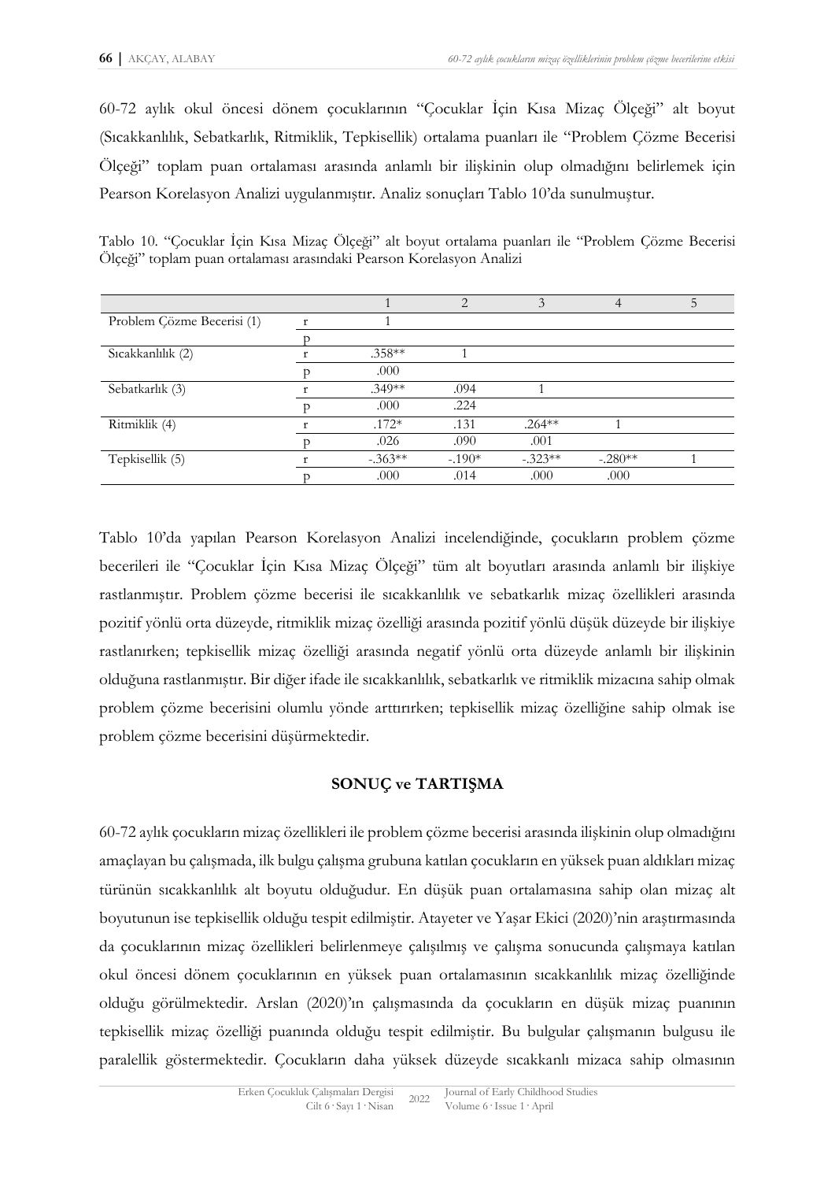60-72 aylık okul öncesi dönem çocuklarının "Çocuklar İçin Kısa Mizaç Ölçeği" alt boyut (Sıcakkanlılık, Sebatkarlık, Ritmiklik, Tepkisellik) ortalama puanları ile "Problem Çözme Becerisi Ölçeği" toplam puan ortalaması arasında anlamlı bir ilişkinin olup olmadığını belirlemek için Pearson Korelasyon Analizi uygulanmıştır. Analiz sonuçları Tablo 10'da sunulmuştur.

| Problem Çözme Becerisi (1) |           |          |           |           |  |
|----------------------------|-----------|----------|-----------|-----------|--|
|                            |           |          |           |           |  |
| Sıcakkanlılık (2)          | $.358**$  |          |           |           |  |
|                            | .000      |          |           |           |  |
| Sebatkarlık (3)            | $.349**$  | .094     |           |           |  |
|                            | .000      | .224     |           |           |  |
| Ritmiklik (4)              | $.172*$   | .131     | $.264***$ |           |  |
|                            | .026      | .090     | .001      |           |  |
| Tepkisellik (5)            | $-.363**$ | $-.190*$ | $-.323**$ | $-.280**$ |  |
|                            | .000      | .014     | .000      | .000      |  |

Tablo 10. "Çocuklar İçin Kısa Mizaç Ölçeği" alt boyut ortalama puanları ile "Problem Çözme Becerisi Ölçeği" toplam puan ortalaması arasındaki Pearson Korelasyon Analizi

Tablo 10'da yapılan Pearson Korelasyon Analizi incelendiğinde, çocukların problem çözme becerileri ile "Çocuklar İçin Kısa Mizaç Ölçeği" tüm alt boyutları arasında anlamlı bir ilişkiye rastlanmıştır. Problem çözme becerisi ile sıcakkanlılık ve sebatkarlık mizaç özellikleri arasında pozitif yönlü orta düzeyde, ritmiklik mizaç özelliği arasında pozitif yönlü düşük düzeyde bir ilişkiye rastlanırken; tepkisellik mizaç özelliği arasında negatif yönlü orta düzeyde anlamlı bir ilişkinin olduğuna rastlanmıştır. Bir diğer ifade ile sıcakkanlılık, sebatkarlık ve ritmiklik mizacına sahip olmak problem çözme becerisini olumlu yönde arttırırken; tepkisellik mizaç özelliğine sahip olmak ise problem çözme becerisini düşürmektedir.

### **SONUÇ ve TARTIŞMA**

60-72 aylık çocukların mizaç özellikleri ile problem çözme becerisi arasında ilişkinin olup olmadığını amaçlayan bu çalışmada, ilk bulgu çalışma grubuna katılan çocukların en yüksek puan aldıkları mizaç türünün sıcakkanlılık alt boyutu olduğudur. En düşük puan ortalamasına sahip olan mizaç alt boyutunun ise tepkisellik olduğu tespit edilmiştir. Atayeter ve Yaşar Ekici (2020)'nin araştırmasında da çocuklarının mizaç özellikleri belirlenmeye çalışılmış ve çalışma sonucunda çalışmaya katılan okul öncesi dönem çocuklarının en yüksek puan ortalamasının sıcakkanlılık mizaç özelliğinde olduğu görülmektedir. Arslan (2020)'ın çalışmasında da çocukların en düşük mizaç puanının tepkisellik mizaç özelliği puanında olduğu tespit edilmiştir. Bu bulgular çalışmanın bulgusu ile paralellik göstermektedir. Çocukların daha yüksek düzeyde sıcakkanlı mizaca sahip olmasının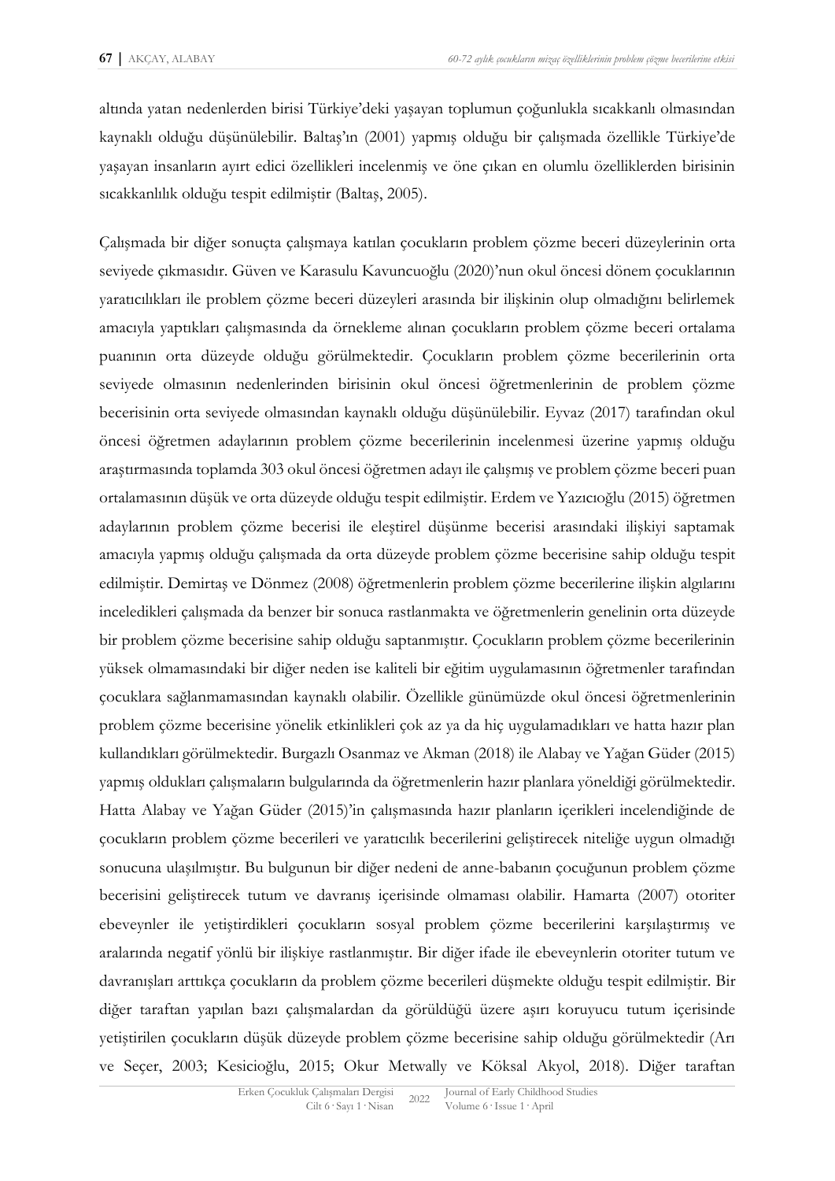altında yatan nedenlerden birisi Türkiye'deki yaşayan toplumun çoğunlukla sıcakkanlı olmasından kaynaklı olduğu düşünülebilir. Baltaş'ın (2001) yapmış olduğu bir çalışmada özellikle Türkiye'de yaşayan insanların ayırt edici özellikleri incelenmiş ve öne çıkan en olumlu özelliklerden birisinin sıcakkanlılık olduğu tespit edilmiştir (Baltaş, 2005).

Çalışmada bir diğer sonuçta çalışmaya katılan çocukların problem çözme beceri düzeylerinin orta seviyede çıkmasıdır. Güven ve Karasulu Kavuncuoğlu (2020)'nun okul öncesi dönem çocuklarının yaratıcılıkları ile problem çözme beceri düzeyleri arasında bir ilişkinin olup olmadığını belirlemek amacıyla yaptıkları çalışmasında da örnekleme alınan çocukların problem çözme beceri ortalama puanının orta düzeyde olduğu görülmektedir. Çocukların problem çözme becerilerinin orta seviyede olmasının nedenlerinden birisinin okul öncesi öğretmenlerinin de problem çözme becerisinin orta seviyede olmasından kaynaklı olduğu düşünülebilir. Eyvaz (2017) tarafından okul öncesi öğretmen adaylarının problem çözme becerilerinin incelenmesi üzerine yapmış olduğu araştırmasında toplamda 303 okul öncesi öğretmen adayı ile çalışmış ve problem çözme beceri puan ortalamasının düşük ve orta düzeyde olduğu tespit edilmiştir. Erdem ve Yazıcıoğlu (2015) öğretmen adaylarının problem çözme becerisi ile eleştirel düşünme becerisi arasındaki ilişkiyi saptamak amacıyla yapmış olduğu çalışmada da orta düzeyde problem çözme becerisine sahip olduğu tespit edilmiştir. Demirtaş ve Dönmez (2008) öğretmenlerin problem çözme becerilerine ilişkin algılarını inceledikleri çalışmada da benzer bir sonuca rastlanmakta ve öğretmenlerin genelinin orta düzeyde bir problem çözme becerisine sahip olduğu saptanmıştır. Çocukların problem çözme becerilerinin yüksek olmamasındaki bir diğer neden ise kaliteli bir eğitim uygulamasının öğretmenler tarafından çocuklara sağlanmamasından kaynaklı olabilir. Özellikle günümüzde okul öncesi öğretmenlerinin problem çözme becerisine yönelik etkinlikleri çok az ya da hiç uygulamadıkları ve hatta hazır plan kullandıkları görülmektedir. Burgazlı Osanmaz ve Akman (2018) ile Alabay ve Yağan Güder (2015) yapmış oldukları çalışmaların bulgularında da öğretmenlerin hazır planlara yöneldiği görülmektedir. Hatta Alabay ve Yağan Güder (2015)'in çalışmasında hazır planların içerikleri incelendiğinde de çocukların problem çözme becerileri ve yaratıcılık becerilerini geliştirecek niteliğe uygun olmadığı sonucuna ulaşılmıştır. Bu bulgunun bir diğer nedeni de anne-babanın çocuğunun problem çözme becerisini geliştirecek tutum ve davranış içerisinde olmaması olabilir. Hamarta (2007) otoriter ebeveynler ile yetiştirdikleri çocukların sosyal problem çözme becerilerini karşılaştırmış ve aralarında negatif yönlü bir ilişkiye rastlanmıştır. Bir diğer ifade ile ebeveynlerin otoriter tutum ve davranışları arttıkça çocukların da problem çözme becerileri düşmekte olduğu tespit edilmiştir. Bir diğer taraftan yapılan bazı çalışmalardan da görüldüğü üzere aşırı koruyucu tutum içerisinde yetiştirilen çocukların düşük düzeyde problem çözme becerisine sahip olduğu görülmektedir (Arı ve Seçer, 2003; Kesicioğlu, 2015; Okur Metwally ve Köksal Akyol, 2018). Diğer taraftan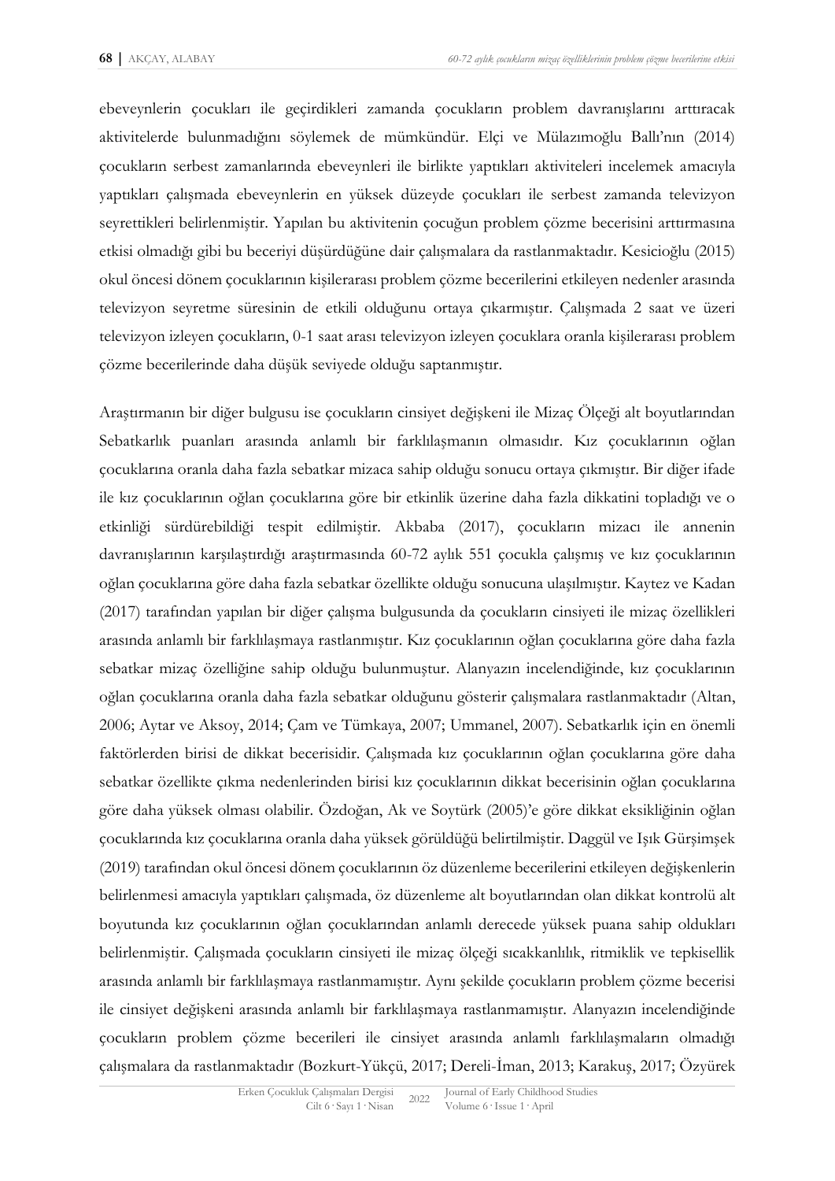ebeveynlerin çocukları ile geçirdikleri zamanda çocukların problem davranışlarını arttıracak aktivitelerde bulunmadığını söylemek de mümkündür. Elçi ve Mülazımoğlu Ballı'nın (2014) çocukların serbest zamanlarında ebeveynleri ile birlikte yaptıkları aktiviteleri incelemek amacıyla yaptıkları çalışmada ebeveynlerin en yüksek düzeyde çocukları ile serbest zamanda televizyon seyrettikleri belirlenmiştir. Yapılan bu aktivitenin çocuğun problem çözme becerisini arttırmasına etkisi olmadığı gibi bu beceriyi düşürdüğüne dair çalışmalara da rastlanmaktadır. Kesicioğlu (2015) okul öncesi dönem çocuklarının kişilerarası problem çözme becerilerini etkileyen nedenler arasında televizyon seyretme süresinin de etkili olduğunu ortaya çıkarmıştır. Çalışmada 2 saat ve üzeri televizyon izleyen çocukların, 0-1 saat arası televizyon izleyen çocuklara oranla kişilerarası problem çözme becerilerinde daha düşük seviyede olduğu saptanmıştır.

Araştırmanın bir diğer bulgusu ise çocukların cinsiyet değişkeni ile Mizaç Ölçeği alt boyutlarından Sebatkarlık puanları arasında anlamlı bir farklılaşmanın olmasıdır. Kız çocuklarının oğlan çocuklarına oranla daha fazla sebatkar mizaca sahip olduğu sonucu ortaya çıkmıştır. Bir diğer ifade ile kız çocuklarının oğlan çocuklarına göre bir etkinlik üzerine daha fazla dikkatini topladığı ve o etkinliği sürdürebildiği tespit edilmiştir. Akbaba (2017), çocukların mizacı ile annenin davranışlarının karşılaştırdığı araştırmasında 60-72 aylık 551 çocukla çalışmış ve kız çocuklarının oğlan çocuklarına göre daha fazla sebatkar özellikte olduğu sonucuna ulaşılmıştır. Kaytez ve Kadan (2017) tarafından yapılan bir diğer çalışma bulgusunda da çocukların cinsiyeti ile mizaç özellikleri arasında anlamlı bir farklılaşmaya rastlanmıştır. Kız çocuklarının oğlan çocuklarına göre daha fazla sebatkar mizaç özelliğine sahip olduğu bulunmuştur. Alanyazın incelendiğinde, kız çocuklarının oğlan çocuklarına oranla daha fazla sebatkar olduğunu gösterir çalışmalara rastlanmaktadır (Altan, 2006; Aytar ve Aksoy, 2014; Çam ve Tümkaya, 2007; Ummanel, 2007). Sebatkarlık için en önemli faktörlerden birisi de dikkat becerisidir. Çalışmada kız çocuklarının oğlan çocuklarına göre daha sebatkar özellikte çıkma nedenlerinden birisi kız çocuklarının dikkat becerisinin oğlan çocuklarına göre daha yüksek olması olabilir. Özdoğan, Ak ve Soytürk (2005)'e göre dikkat eksikliğinin oğlan çocuklarında kız çocuklarına oranla daha yüksek görüldüğü belirtilmiştir. Daggül ve Işık Gürşimşek (2019) tarafından okul öncesi dönem çocuklarının öz düzenleme becerilerini etkileyen değişkenlerin belirlenmesi amacıyla yaptıkları çalışmada, öz düzenleme alt boyutlarından olan dikkat kontrolü alt boyutunda kız çocuklarının oğlan çocuklarından anlamlı derecede yüksek puana sahip oldukları belirlenmiştir. Çalışmada çocukların cinsiyeti ile mizaç ölçeği sıcakkanlılık, ritmiklik ve tepkisellik arasında anlamlı bir farklılaşmaya rastlanmamıştır. Aynı şekilde çocukların problem çözme becerisi ile cinsiyet değişkeni arasında anlamlı bir farklılaşmaya rastlanmamıştır. Alanyazın incelendiğinde çocukların problem çözme becerileri ile cinsiyet arasında anlamlı farklılaşmaların olmadığı çalışmalara da rastlanmaktadır (Bozkurt-Yükçü, 2017; Dereli-İman, 2013; Karakuş, 2017; Özyürek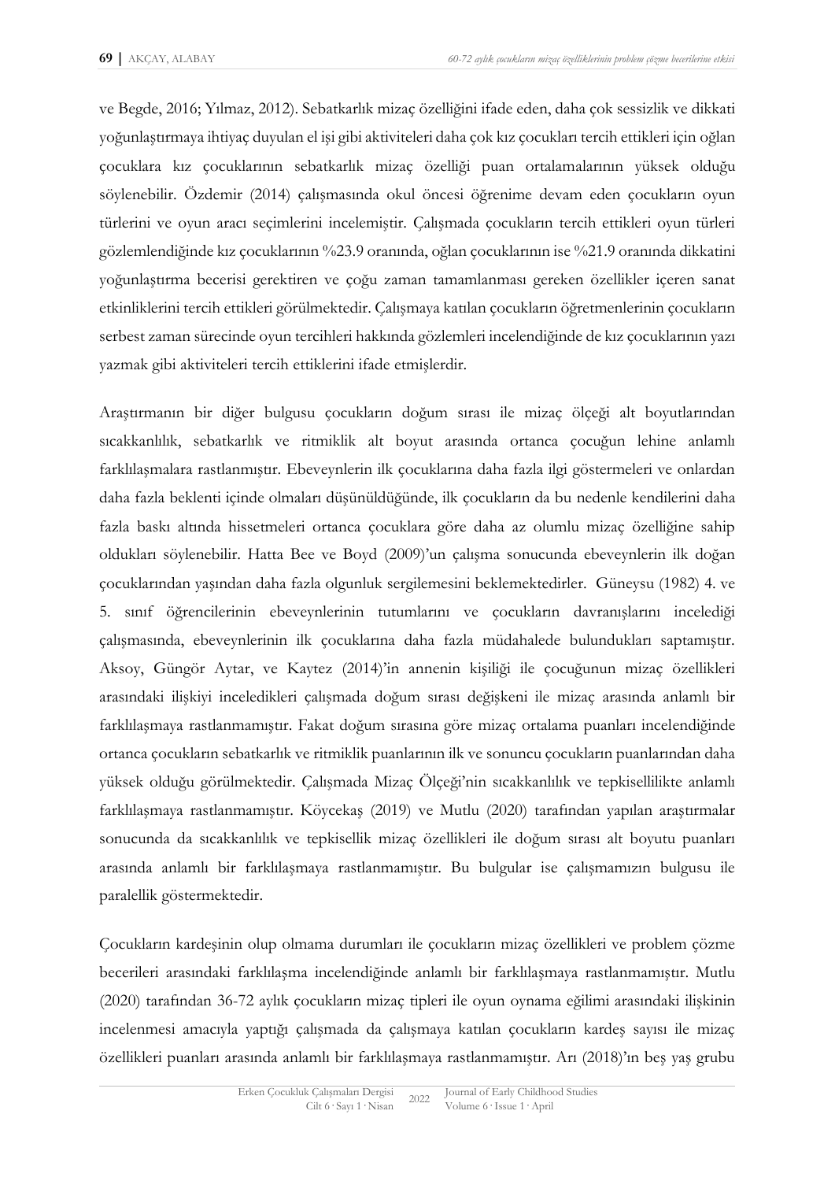ve Begde, 2016; Yılmaz, 2012). Sebatkarlık mizaç özelliğini ifade eden, daha çok sessizlik ve dikkati yoğunlaştırmaya ihtiyaç duyulan el işi gibi aktiviteleri daha çok kız çocukları tercih ettikleri için oğlan çocuklara kız çocuklarının sebatkarlık mizaç özelliği puan ortalamalarının yüksek olduğu söylenebilir. Özdemir (2014) çalışmasında okul öncesi öğrenime devam eden çocukların oyun türlerini ve oyun aracı seçimlerini incelemiştir. Çalışmada çocukların tercih ettikleri oyun türleri gözlemlendiğinde kız çocuklarının %23.9 oranında, oğlan çocuklarının ise %21.9 oranında dikkatini yoğunlaştırma becerisi gerektiren ve çoğu zaman tamamlanması gereken özellikler içeren sanat etkinliklerini tercih ettikleri görülmektedir. Çalışmaya katılan çocukların öğretmenlerinin çocukların serbest zaman sürecinde oyun tercihleri hakkında gözlemleri incelendiğinde de kız çocuklarının yazı yazmak gibi aktiviteleri tercih ettiklerini ifade etmişlerdir.

Araştırmanın bir diğer bulgusu çocukların doğum sırası ile mizaç ölçeği alt boyutlarından sıcakkanlılık, sebatkarlık ve ritmiklik alt boyut arasında ortanca çocuğun lehine anlamlı farklılaşmalara rastlanmıştır. Ebeveynlerin ilk çocuklarına daha fazla ilgi göstermeleri ve onlardan daha fazla beklenti içinde olmaları düşünüldüğünde, ilk çocukların da bu nedenle kendilerini daha fazla baskı altında hissetmeleri ortanca çocuklara göre daha az olumlu mizaç özelliğine sahip oldukları söylenebilir. Hatta Bee ve Boyd (2009)'un çalışma sonucunda ebeveynlerin ilk doğan çocuklarından yaşından daha fazla olgunluk sergilemesini beklemektedirler. Güneysu (1982) 4. ve 5. sınıf öğrencilerinin ebeveynlerinin tutumlarını ve çocukların davranışlarını incelediği çalışmasında, ebeveynlerinin ilk çocuklarına daha fazla müdahalede bulundukları saptamıştır. Aksoy, Güngör Aytar, ve Kaytez (2014)'in annenin kişiliği ile çocuğunun mizaç özellikleri arasındaki ilişkiyi inceledikleri çalışmada doğum sırası değişkeni ile mizaç arasında anlamlı bir farklılaşmaya rastlanmamıştır. Fakat doğum sırasına göre mizaç ortalama puanları incelendiğinde ortanca çocukların sebatkarlık ve ritmiklik puanlarının ilk ve sonuncu çocukların puanlarından daha yüksek olduğu görülmektedir. Çalışmada Mizaç Ölçeği'nin sıcakkanlılık ve tepkisellilikte anlamlı farklılaşmaya rastlanmamıştır. Köycekaş (2019) ve Mutlu (2020) tarafından yapılan araştırmalar sonucunda da sıcakkanlılık ve tepkisellik mizaç özellikleri ile doğum sırası alt boyutu puanları arasında anlamlı bir farklılaşmaya rastlanmamıştır. Bu bulgular ise çalışmamızın bulgusu ile paralellik göstermektedir.

Çocukların kardeşinin olup olmama durumları ile çocukların mizaç özellikleri ve problem çözme becerileri arasındaki farklılaşma incelendiğinde anlamlı bir farklılaşmaya rastlanmamıştır. Mutlu (2020) tarafından 36-72 aylık çocukların mizaç tipleri ile oyun oynama eğilimi arasındaki ilişkinin incelenmesi amacıyla yaptığı çalışmada da çalışmaya katılan çocukların kardeş sayısı ile mizaç özellikleri puanları arasında anlamlı bir farklılaşmaya rastlanmamıştır. Arı (2018)'ın beş yaş grubu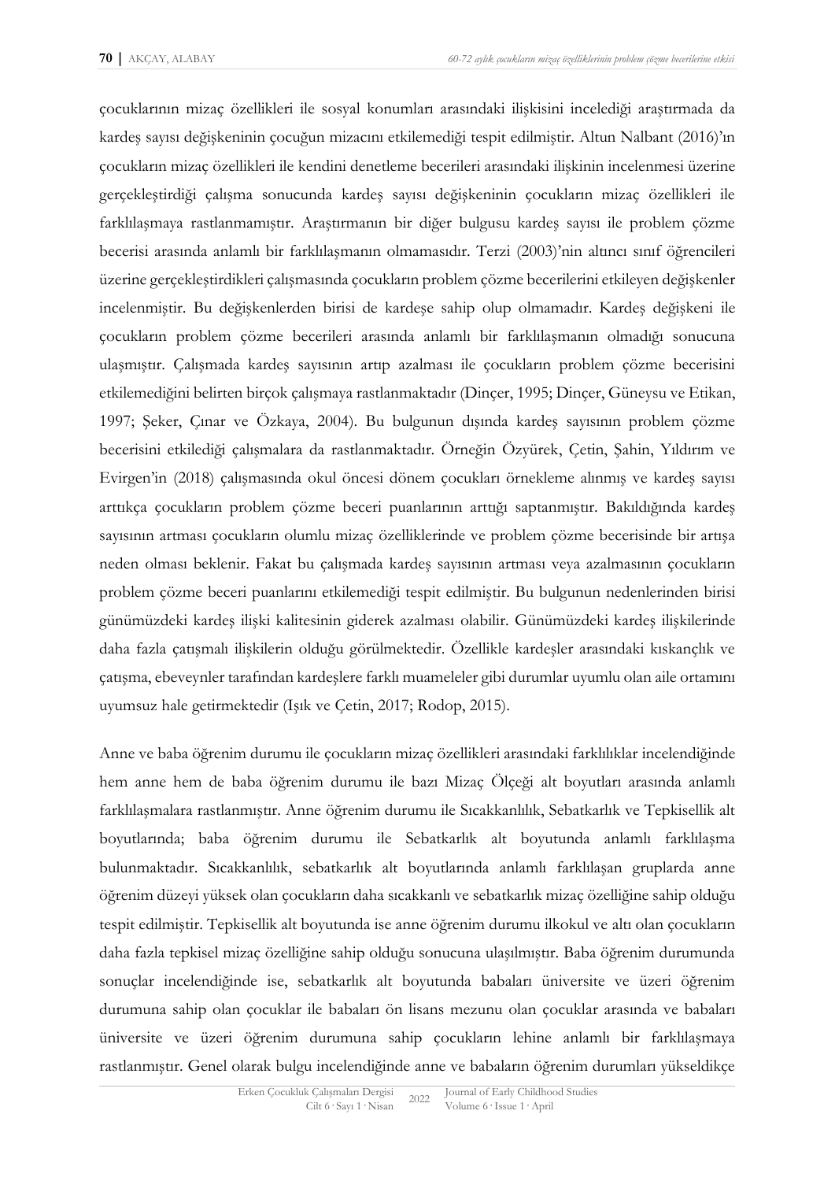çocuklarının mizaç özellikleri ile sosyal konumları arasındaki ilişkisini incelediği araştırmada da kardeş sayısı değişkeninin çocuğun mizacını etkilemediği tespit edilmiştir. Altun Nalbant (2016)'ın çocukların mizaç özellikleri ile kendini denetleme becerileri arasındaki ilişkinin incelenmesi üzerine gerçekleştirdiği çalışma sonucunda kardeş sayısı değişkeninin çocukların mizaç özellikleri ile farklılaşmaya rastlanmamıştır. Araştırmanın bir diğer bulgusu kardeş sayısı ile problem çözme becerisi arasında anlamlı bir farklılaşmanın olmamasıdır. Terzi (2003)'nin altıncı sınıf öğrencileri üzerine gerçekleştirdikleri çalışmasında çocukların problem çözme becerilerini etkileyen değişkenler incelenmiştir. Bu değişkenlerden birisi de kardeşe sahip olup olmamadır. Kardeş değişkeni ile çocukların problem çözme becerileri arasında anlamlı bir farklılaşmanın olmadığı sonucuna ulaşmıştır. Çalışmada kardeş sayısının artıp azalması ile çocukların problem çözme becerisini etkilemediğini belirten birçok çalışmaya rastlanmaktadır (Dinçer, 1995; Dinçer, Güneysu ve Etikan, 1997; Şeker, Çınar ve Özkaya, 2004). Bu bulgunun dışında kardeş sayısının problem çözme becerisini etkilediği çalışmalara da rastlanmaktadır. Örneğin Özyürek, Çetin, Şahin, Yıldırım ve Evirgen'in (2018) çalışmasında okul öncesi dönem çocukları örnekleme alınmış ve kardeş sayısı arttıkça çocukların problem çözme beceri puanlarının arttığı saptanmıştır. Bakıldığında kardeş sayısının artması çocukların olumlu mizaç özelliklerinde ve problem çözme becerisinde bir artışa neden olması beklenir. Fakat bu çalışmada kardeş sayısının artması veya azalmasının çocukların problem çözme beceri puanlarını etkilemediği tespit edilmiştir. Bu bulgunun nedenlerinden birisi günümüzdeki kardeş ilişki kalitesinin giderek azalması olabilir. Günümüzdeki kardeş ilişkilerinde daha fazla çatışmalı ilişkilerin olduğu görülmektedir. Özellikle kardeşler arasındaki kıskançlık ve çatışma, ebeveynler tarafından kardeşlere farklı muameleler gibi durumlar uyumlu olan aile ortamını uyumsuz hale getirmektedir (Işık ve Çetin, 2017; Rodop, 2015).

Anne ve baba öğrenim durumu ile çocukların mizaç özellikleri arasındaki farklılıklar incelendiğinde hem anne hem de baba öğrenim durumu ile bazı Mizaç Ölçeği alt boyutları arasında anlamlı farklılaşmalara rastlanmıştır. Anne öğrenim durumu ile Sıcakkanlılık, Sebatkarlık ve Tepkisellik alt boyutlarında; baba öğrenim durumu ile Sebatkarlık alt boyutunda anlamlı farklılaşma bulunmaktadır. Sıcakkanlılık, sebatkarlık alt boyutlarında anlamlı farklılaşan gruplarda anne öğrenim düzeyi yüksek olan çocukların daha sıcakkanlı ve sebatkarlık mizaç özelliğine sahip olduğu tespit edilmiştir. Tepkisellik alt boyutunda ise anne öğrenim durumu ilkokul ve altı olan çocukların daha fazla tepkisel mizaç özelliğine sahip olduğu sonucuna ulaşılmıştır. Baba öğrenim durumunda sonuçlar incelendiğinde ise, sebatkarlık alt boyutunda babaları üniversite ve üzeri öğrenim durumuna sahip olan çocuklar ile babaları ön lisans mezunu olan çocuklar arasında ve babaları üniversite ve üzeri öğrenim durumuna sahip çocukların lehine anlamlı bir farklılaşmaya rastlanmıştır. Genel olarak bulgu incelendiğinde anne ve babaların öğrenim durumları yükseldikçe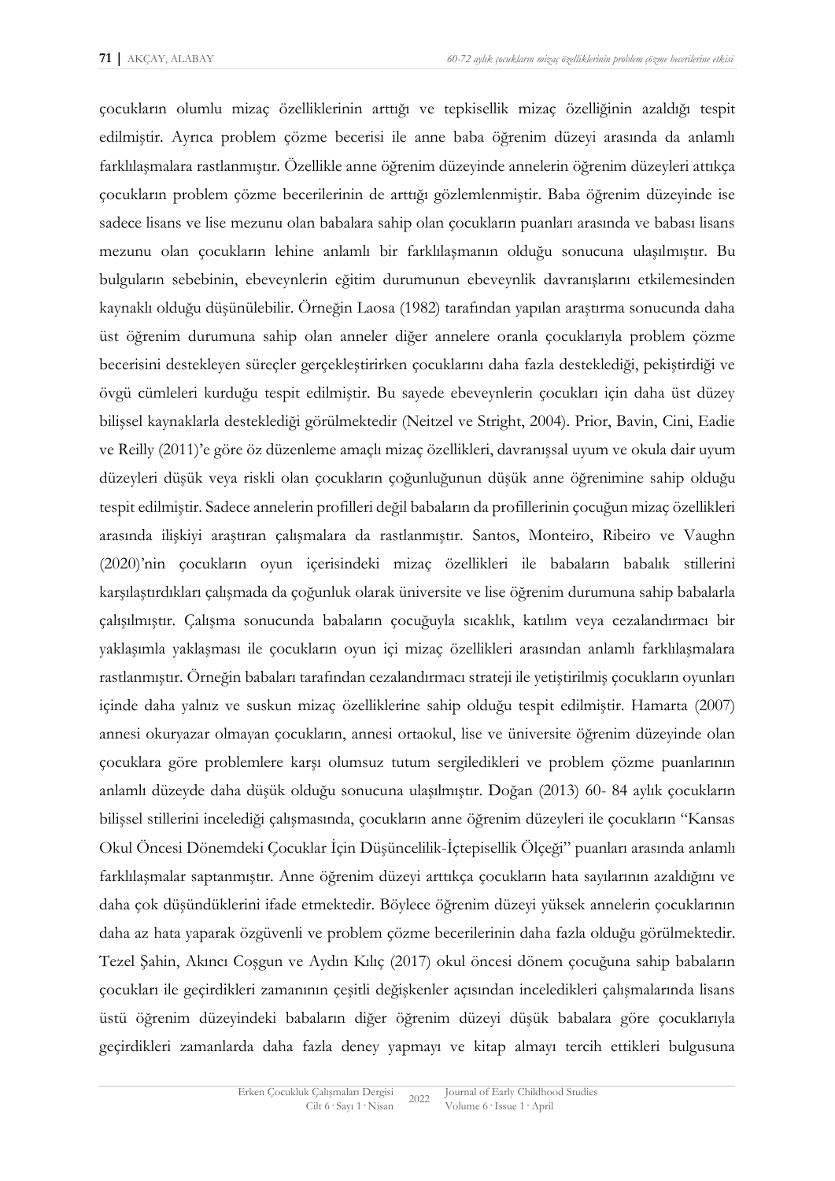çocukların olumlu mizaç özelliklerinin arttığı ve tepkisellik mizaç özelliğinin azaldığı tespit edilmiştir. Ayrıca problem çözme becerisi ile anne baba öğrenim düzeyi arasında da anlamlı farklılaşmalara rastlanmıştır. Özellikle anne öğrenim düzeyinde annelerin öğrenim düzeyleri attıkça çocukların problem çözme becerilerinin de arttığı gözlemlenmiştir. Baba öğrenim düzeyinde ise sadece lisans ve lise mezunu olan babalara sahip olan çocukların puanları arasında ve babası lisans mezunu olan çocukların lehine anlamlı bir farklılaşmanın olduğu sonucuna ulaşılmıştır. Bu bulguların sebebinin, ebeveynlerin eğitim durumunun ebeveynlik davranışlarını etkilemesinden kaynaklı olduğu düşünülebilir. Örneğin Laosa (1982) tarafından yapılan araştırma sonucunda daha üst öğrenim durumuna sahip olan anneler diğer annelere oranla çocuklarıyla problem çözme becerisini destekleyen süreçler gerçekleştirirken çocuklarını daha fazla desteklediği, pekiştirdiği ve övgü cümleleri kurduğu tespit edilmiştir. Bu sayede ebeveynlerin çocukları için daha üst düzey bilişsel kaynaklarla desteklediği görülmektedir (Neitzel ve Stright, 2004). Prior, Bavin, Cini, Eadie ve Reilly (2011)'e göre öz düzenleme amaçlı mizaç özellikleri, davranışsal uyum ve okula dair uyum düzeyleri düşük veya riskli olan çocukların çoğunluğunun düşük anne öğrenimine sahip olduğu tespit edilmiştir. Sadece annelerin profilleri değil babaların da profillerinin çocuğun mizaç özellikleri arasında ilişkiyi araştıran çalışmalara da rastlanmıştır. Santos, Monteiro, Ribeiro ve Vaughn (2020)'nin çocukların oyun içerisindeki mizaç özellikleri ile babaların babalık stillerini karşılaştırdıkları çalışmada da çoğunluk olarak üniversite ve lise öğrenim durumuna sahip babalarla çalışılmıştır. Çalışma sonucunda babaların çocuğuyla sıcaklık, katılım veya cezalandırmacı bir yaklaşımla yaklaşması ile çocukların oyun içi mizaç özellikleri arasından anlamlı farklılaşmalara rastlanmıştır. Örneğin babaları tarafından cezalandırmacı strateji ile yetiştirilmiş çocukların oyunları içinde daha yalnız ve suskun mizaç özelliklerine sahip olduğu tespit edilmiştir. Hamarta (2007) annesi okuryazar olmayan çocukların, annesi ortaokul, lise ve üniversite öğrenim düzeyinde olan çocuklara göre problemlere karşı olumsuz tutum sergiledikleri ve problem çözme puanlarının anlamlı düzeyde daha düşük olduğu sonucuna ulaşılmıştır. Doğan (2013) 60- 84 aylık çocukların bilişsel stillerini incelediği çalışmasında, çocukların anne öğrenim düzeyleri ile çocukların "Kansas Okul Öncesi Dönemdeki Çocuklar İçin Düşüncelilik-İçtepisellik Ölçeği" puanları arasında anlamlı farklılaşmalar saptanmıştır. Anne öğrenim düzeyi arttıkça çocukların hata sayılarının azaldığını ve daha çok düşündüklerini ifade etmektedir. Böylece öğrenim düzeyi yüksek annelerin çocuklarının daha az hata yaparak özgüvenli ve problem çözme becerilerinin daha fazla olduğu görülmektedir. Tezel Şahin, Akıncı Coşgun ve Aydın Kılıç (2017) okul öncesi dönem çocuğuna sahip babaların çocukları ile geçirdikleri zamanının çeşitli değişkenler açısından inceledikleri çalışmalarında lisans üstü öğrenim düzeyindeki babaların diğer öğrenim düzeyi düşük babalara göre çocuklarıyla geçirdikleri zamanlarda daha fazla deney yapmayı ve kitap almayı tercih ettikleri bulgusuna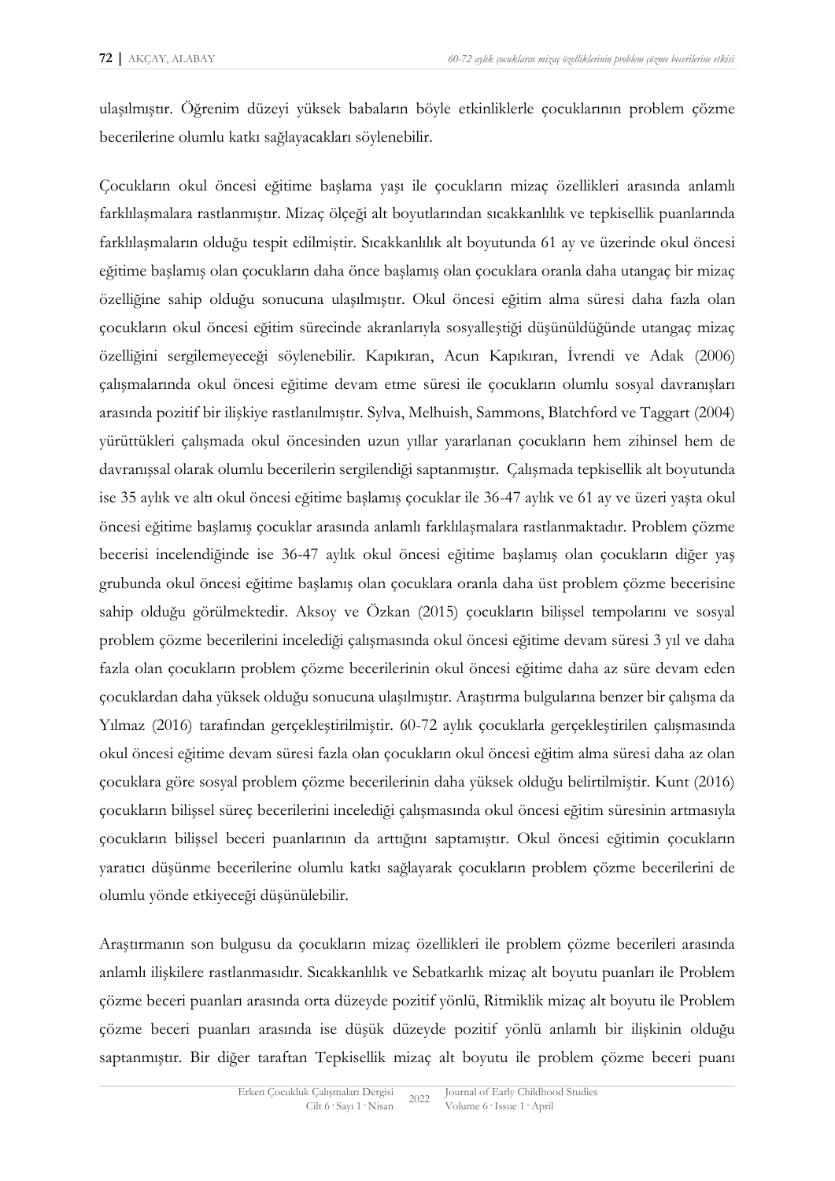ulaşılmıştır. Öğrenim düzeyi yüksek babaların böyle etkinliklerle çocuklarının problem çözme becerilerine olumlu katkı sağlayacakları söylenebilir.

Çocukların okul öncesi eğitime başlama yaşı ile çocukların mizaç özellikleri arasında anlamlı farklılaşmalara rastlanmıştır. Mizaç ölçeği alt boyutlarından sıcakkanlılık ve tepkisellik puanlarında farklılaşmaların olduğu tespit edilmiştir. Sıcakkanlılık alt boyutunda 61 ay ve üzerinde okul öncesi eğitime başlamış olan çocukların daha önce başlamış olan çocuklara oranla daha utangaç bir mizaç özelliğine sahip olduğu sonucuna ulaşılmıştır. Okul öncesi eğitim alma süresi daha fazla olan çocukların okul öncesi eğitim sürecinde akranlarıyla sosyalleştiği düşünüldüğünde utangaç mizaç özelliğini sergilemeyeceği söylenebilir. Kapıkıran, Acun Kapıkıran, İvrendi ve Adak (2006) çalışmalarında okul öncesi eğitime devam etme süresi ile çocukların olumlu sosyal davranışları arasında pozitif bir ilişkiye rastlanılmıştır. Sylva, Melhuish, Sammons, Blatchford ve Taggart (2004) yürüttükleri çalışmada okul öncesinden uzun yıllar yararlanan çocukların hem zihinsel hem de davranışsal olarak olumlu becerilerin sergilendiği saptanmıştır. Çalışmada tepkisellik alt boyutunda ise 35 aylık ve altı okul öncesi eğitime başlamış çocuklar ile 36-47 aylık ve 61 ay ve üzeri yaşta okul öncesi eğitime başlamış çocuklar arasında anlamlı farklılaşmalara rastlanmaktadır. Problem çözme becerisi incelendiğinde ise 36-47 aylık okul öncesi eğitime başlamış olan çocukların diğer yaş grubunda okul öncesi eğitime başlamış olan çocuklara oranla daha üst problem çözme becerisine sahip olduğu görülmektedir. Aksoy ve Özkan (2015) çocukların bilişsel tempolarını ve sosyal problem çözme becerilerini incelediği çalışmasında okul öncesi eğitime devam süresi 3 yıl ve daha fazla olan çocukların problem çözme becerilerinin okul öncesi eğitime daha az süre devam eden çocuklardan daha yüksek olduğu sonucuna ulaşılmıştır. Araştırma bulgularına benzer bir çalışma da Yılmaz (2016) tarafından gerçekleştirilmiştir. 60-72 aylık çocuklarla gerçekleştirilen çalışmasında okul öncesi eğitime devam süresi fazla olan çocukların okul öncesi eğitim alma süresi daha az olan çocuklara göre sosyal problem çözme becerilerinin daha yüksek olduğu belirtilmiştir. Kunt (2016) çocukların bilişsel süreç becerilerini incelediği çalışmasında okul öncesi eğitim süresinin artmasıyla çocukların bilişsel beceri puanlarının da arttığını saptamıştır. Okul öncesi eğitimin çocukların yaratıcı düşünme becerilerine olumlu katkı sağlayarak çocukların problem çözme becerilerini de olumlu yönde etkiyeceği düşünülebilir.

Araştırmanın son bulgusu da çocukların mizaç özellikleri ile problem çözme becerileri arasında anlamlı ilişkilere rastlanmasıdır. Sıcakkanlılık ve Sebatkarlık mizaç alt boyutu puanları ile Problem çözme beceri puanları arasında orta düzeyde pozitif yönlü, Ritmiklik mizaç alt boyutu ile Problem çözme beceri puanları arasında ise düşük düzeyde pozitif yönlü anlamlı bir ilişkinin olduğu saptanmıştır. Bir diğer taraftan Tepkisellik mizaç alt boyutu ile problem çözme beceri puanı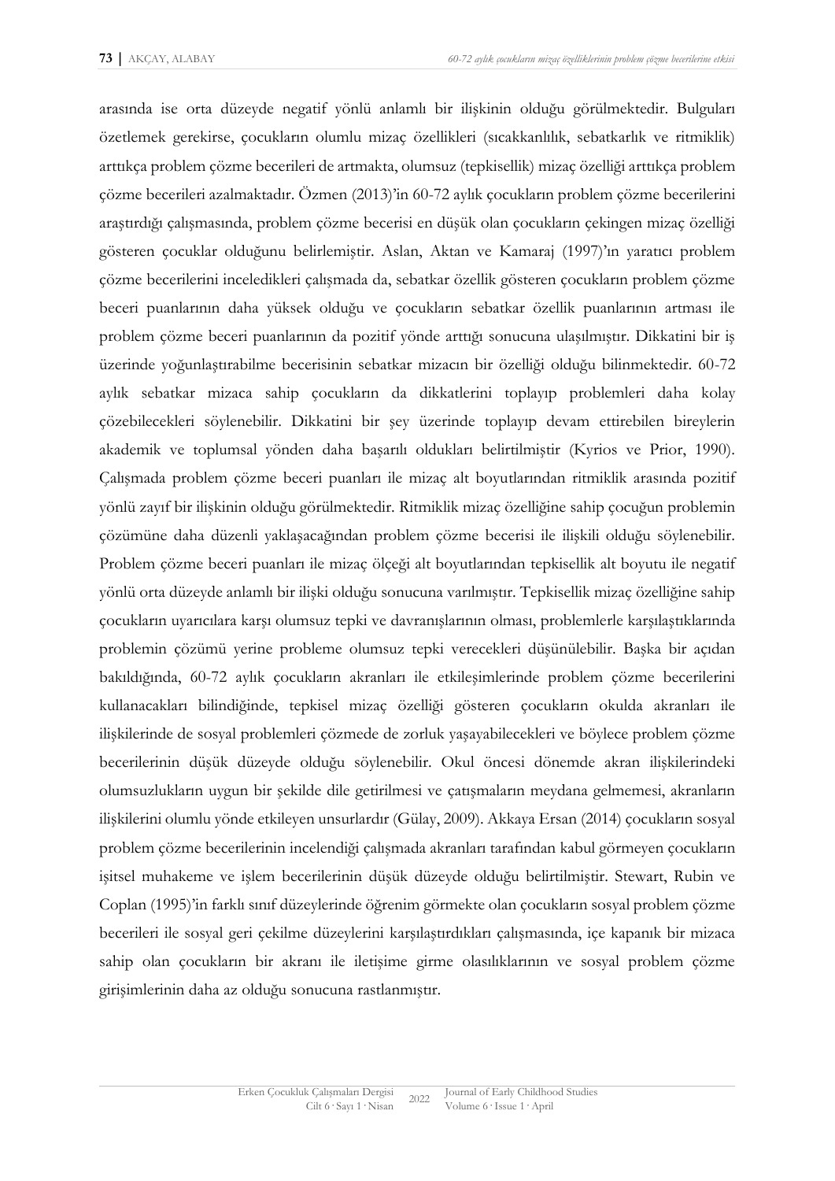arasında ise orta düzeyde negatif yönlü anlamlı bir ilişkinin olduğu görülmektedir. Bulguları özetlemek gerekirse, çocukların olumlu mizaç özellikleri (sıcakkanlılık, sebatkarlık ve ritmiklik) arttıkça problem çözme becerileri de artmakta, olumsuz (tepkisellik) mizaç özelliği arttıkça problem çözme becerileri azalmaktadır. Özmen (2013)'in 60-72 aylık çocukların problem çözme becerilerini araştırdığı çalışmasında, problem çözme becerisi en düşük olan çocukların çekingen mizaç özelliği gösteren çocuklar olduğunu belirlemiştir. Aslan, Aktan ve Kamaraj (1997)'ın yaratıcı problem çözme becerilerini inceledikleri çalışmada da, sebatkar özellik gösteren çocukların problem çözme beceri puanlarının daha yüksek olduğu ve çocukların sebatkar özellik puanlarının artması ile problem çözme beceri puanlarının da pozitif yönde arttığı sonucuna ulaşılmıştır. Dikkatini bir iş üzerinde yoğunlaştırabilme becerisinin sebatkar mizacın bir özelliği olduğu bilinmektedir. 60-72 aylık sebatkar mizaca sahip çocukların da dikkatlerini toplayıp problemleri daha kolay çözebilecekleri söylenebilir. Dikkatini bir şey üzerinde toplayıp devam ettirebilen bireylerin akademik ve toplumsal yönden daha başarılı oldukları belirtilmiştir (Kyrios ve Prior, 1990). Çalışmada problem çözme beceri puanları ile mizaç alt boyutlarından ritmiklik arasında pozitif yönlü zayıf bir ilişkinin olduğu görülmektedir. Ritmiklik mizaç özelliğine sahip çocuğun problemin çözümüne daha düzenli yaklaşacağından problem çözme becerisi ile ilişkili olduğu söylenebilir. Problem çözme beceri puanları ile mizaç ölçeği alt boyutlarından tepkisellik alt boyutu ile negatif yönlü orta düzeyde anlamlı bir ilişki olduğu sonucuna varılmıştır. Tepkisellik mizaç özelliğine sahip çocukların uyarıcılara karşı olumsuz tepki ve davranışlarının olması, problemlerle karşılaştıklarında problemin çözümü yerine probleme olumsuz tepki verecekleri düşünülebilir. Başka bir açıdan bakıldığında, 60-72 aylık çocukların akranları ile etkileşimlerinde problem çözme becerilerini kullanacakları bilindiğinde, tepkisel mizaç özelliği gösteren çocukların okulda akranları ile ilişkilerinde de sosyal problemleri çözmede de zorluk yaşayabilecekleri ve böylece problem çözme becerilerinin düşük düzeyde olduğu söylenebilir. Okul öncesi dönemde akran ilişkilerindeki olumsuzlukların uygun bir şekilde dile getirilmesi ve çatışmaların meydana gelmemesi, akranların ilişkilerini olumlu yönde etkileyen unsurlardır (Gülay, 2009). Akkaya Ersan (2014) çocukların sosyal problem çözme becerilerinin incelendiği çalışmada akranları tarafından kabul görmeyen çocukların işitsel muhakeme ve işlem becerilerinin düşük düzeyde olduğu belirtilmiştir. Stewart, Rubin ve Coplan (1995)'in farklı sınıf düzeylerinde öğrenim görmekte olan çocukların sosyal problem çözme becerileri ile sosyal geri çekilme düzeylerini karşılaştırdıkları çalışmasında, içe kapanık bir mizaca sahip olan çocukların bir akranı ile iletişime girme olasılıklarının ve sosyal problem çözme girişimlerinin daha az olduğu sonucuna rastlanmıştır.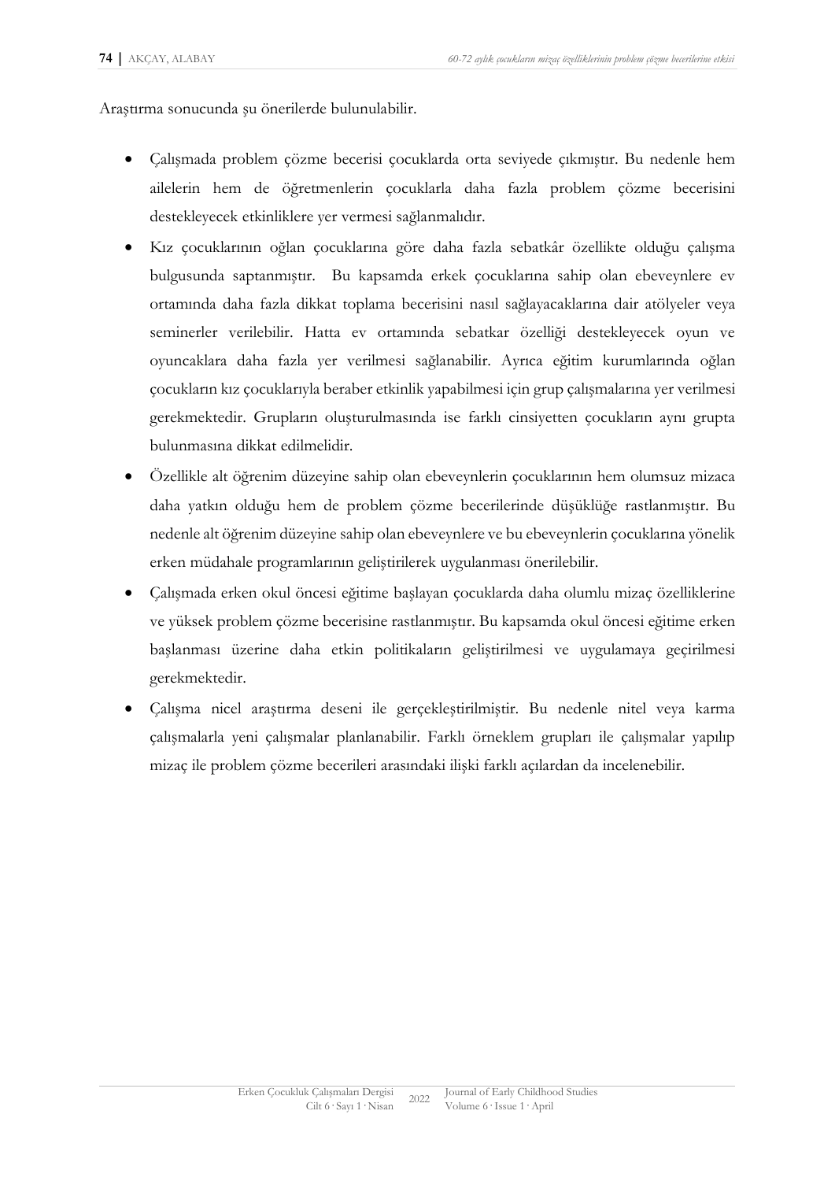Araştırma sonucunda şu önerilerde bulunulabilir.

- Çalışmada problem çözme becerisi çocuklarda orta seviyede çıkmıştır. Bu nedenle hem ailelerin hem de öğretmenlerin çocuklarla daha fazla problem çözme becerisini destekleyecek etkinliklere yer vermesi sağlanmalıdır.
- Kız çocuklarının oğlan çocuklarına göre daha fazla sebatkâr özellikte olduğu çalışma bulgusunda saptanmıştır. Bu kapsamda erkek çocuklarına sahip olan ebeveynlere ev ortamında daha fazla dikkat toplama becerisini nasıl sağlayacaklarına dair atölyeler veya seminerler verilebilir. Hatta ev ortamında sebatkar özelliği destekleyecek oyun ve oyuncaklara daha fazla yer verilmesi sağlanabilir. Ayrıca eğitim kurumlarında oğlan çocukların kız çocuklarıyla beraber etkinlik yapabilmesi için grup çalışmalarına yer verilmesi gerekmektedir. Grupların oluşturulmasında ise farklı cinsiyetten çocukların aynı grupta bulunmasına dikkat edilmelidir.
- Özellikle alt öğrenim düzeyine sahip olan ebeveynlerin çocuklarının hem olumsuz mizaca daha yatkın olduğu hem de problem çözme becerilerinde düşüklüğe rastlanmıştır. Bu nedenle alt öğrenim düzeyine sahip olan ebeveynlere ve bu ebeveynlerin çocuklarına yönelik erken müdahale programlarının geliştirilerek uygulanması önerilebilir.
- Çalışmada erken okul öncesi eğitime başlayan çocuklarda daha olumlu mizaç özelliklerine ve yüksek problem çözme becerisine rastlanmıştır. Bu kapsamda okul öncesi eğitime erken başlanması üzerine daha etkin politikaların geliştirilmesi ve uygulamaya geçirilmesi gerekmektedir.
- Çalışma nicel araştırma deseni ile gerçekleştirilmiştir. Bu nedenle nitel veya karma çalışmalarla yeni çalışmalar planlanabilir. Farklı örneklem grupları ile çalışmalar yapılıp mizaç ile problem çözme becerileri arasındaki ilişki farklı açılardan da incelenebilir.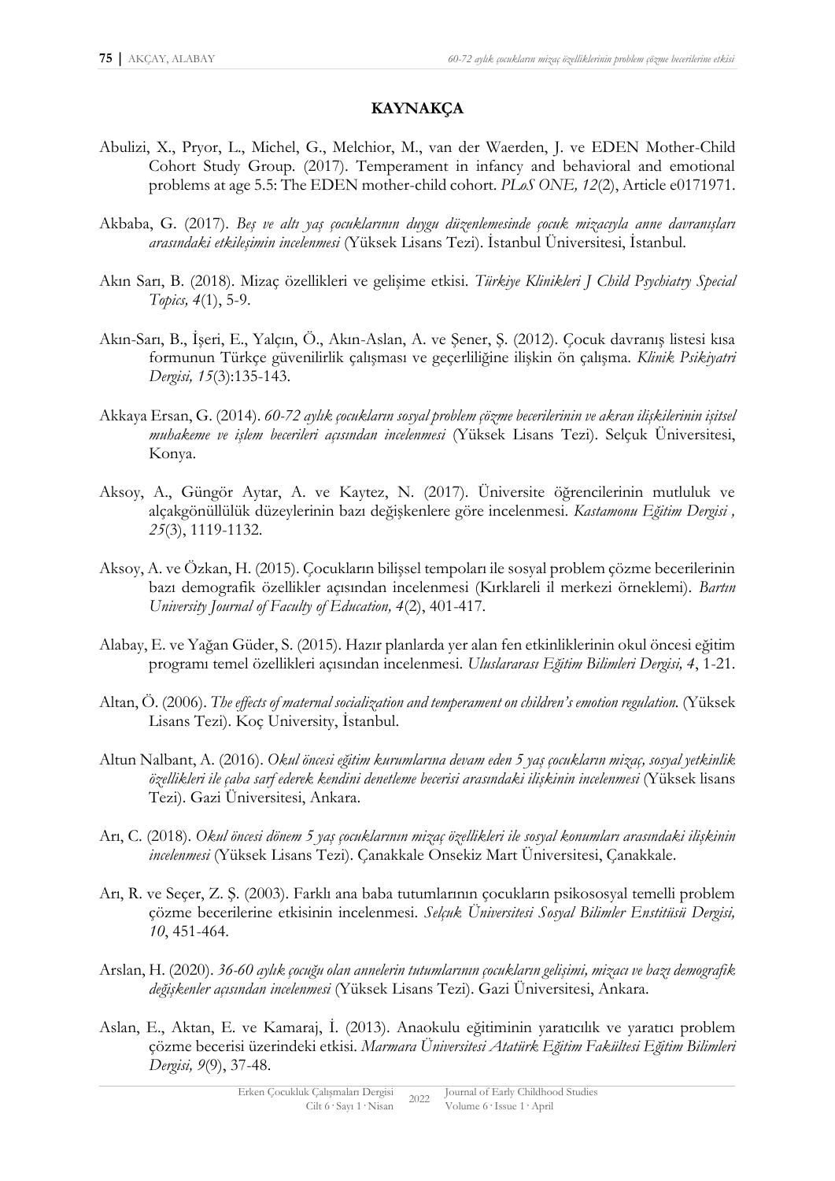### **KAYNAKÇA**

- Abulizi, X., Pryor, L., Michel, G., Melchior, M., van der Waerden, J. ve EDEN Mother-Child Cohort Study Group. (2017). Temperament in infancy and behavioral and emotional problems at age 5.5: The EDEN mother-child cohort. *PLoS ONE, 12*(2), Article e0171971.
- Akbaba, G. (2017). *Beş ve altı yaş çocuklarının duygu düzenlemesinde çocuk mizacıyla anne davranışları arasındaki etkileşimin incelenmesi* (Yüksek Lisans Tezi). İstanbul Üniversitesi, İstanbul.
- Akın Sarı, B. (2018). Mizaç özellikleri ve gelişime etkisi. *Türkiye Klinikleri J Child Psychiatry Special Topics, 4*(1), 5-9.
- Akın-Sarı, B., İşeri, E., Yalçın, Ö., Akın-Aslan, A. ve Şener, Ş. (2012). Çocuk davranış listesi kısa formunun Türkçe güvenilirlik çalışması ve geçerliliğine ilişkin ön çalışma. *Klinik Psikiyatri Dergisi, 15*(3):135-143.
- Akkaya Ersan, G. (2014). *60-72 aylık çocukların sosyal problem çözme becerilerinin ve akran ilişkilerinin işitsel muhakeme ve işlem becerileri açısından incelenmesi* (Yüksek Lisans Tezi). Selçuk Üniversitesi, Konya.
- Aksoy, A., Güngör Aytar, A. ve Kaytez, N. (2017). Üniversite öğrencilerinin mutluluk ve alçakgönüllülük düzeylerinin bazı değişkenlere göre incelenmesi. *Kastamonu Eğitim Dergisi , 25*(3), 1119-1132.
- Aksoy, A. ve Özkan, H. (2015). Çocukların bilişsel tempoları ile sosyal problem çözme becerilerinin bazı demografik özellikler açısından incelenmesi (Kırklareli il merkezi örneklemi). *Bartın University Journal of Faculty of Education, 4*(2), 401-417.
- Alabay, E. ve Yağan Güder, S. (2015). Hazır planlarda yer alan fen etkinliklerinin okul öncesi eğitim programı temel özellikleri açısından incelenmesi. *Uluslararası Eğitim Bilimleri Dergisi, 4*, 1-21.
- Altan, Ö. (2006). *The effects of maternal socialization and temperament on children's emotion regulation.* (Yüksek Lisans Tezi). Koç University, İstanbul.
- Altun Nalbant, A. (2016). *Okul öncesi eğitim kurumlarına devam eden 5 yaş çocukların mizaç, sosyal yetkinlik özellikleri ile çaba sarf ederek kendini denetleme becerisi arasındaki ilişkinin incelenmesi* (Yüksek lisans Tezi). Gazi Üniversitesi, Ankara.
- Arı, C. (2018). *Okul öncesi dönem 5 yaş çocuklarının mizaç özellikleri ile sosyal konumları arasındaki ilişkinin incelenmesi* (Yüksek Lisans Tezi). Çanakkale Onsekiz Mart Üniversitesi, Çanakkale.
- Arı, R. ve Seçer, Z. Ş. (2003). Farklı ana baba tutumlarının çocukların psikososyal temelli problem çözme becerilerine etkisinin incelenmesi. *Selçuk Üniversitesi Sosyal Bilimler Enstitüsü Dergisi, 10*, 451-464.
- Arslan, H. (2020). *36-60 aylık çocuğu olan annelerin tutumlarının çocukların gelişimi, mizacı ve bazı demografik değişkenler açısından incelenmesi* (Yüksek Lisans Tezi). Gazi Üniversitesi, Ankara.
- Aslan, E., Aktan, E. ve Kamaraj, İ. (2013). Anaokulu eğitiminin yaratıcılık ve yaratıcı problem çözme becerisi üzerindeki etkisi. *Marmara Üniversitesi Atatürk Eğitim Fakültesi Eğitim Bilimleri Dergisi, 9*(9), 37-48.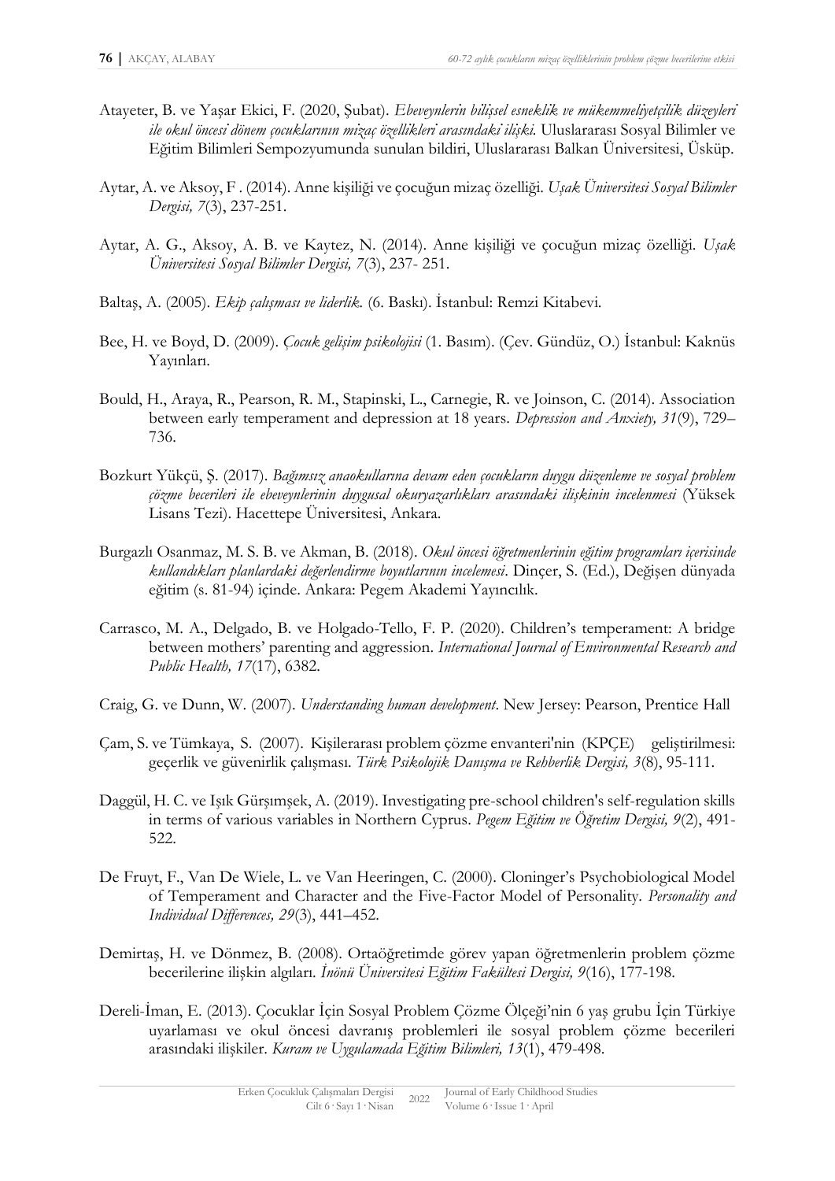- Atayeter, B. ve Yasar Ekici, F. (2020, Subat). Ebeveynlerin bilissel esneklik ve mükemmeliyetçilik düzeyleri ile okul öncesi dönem çocuklarının mizaç özellikleri arasındaki ilişki. Uluslararası Sosyal Bilimler ve Eğitim Bilimleri Sempozyumunda sunulan bildiri, Uluslararası Balkan Üniversitesi, Üsküp.
- Aytar, A. ve Aksoy, F . (2014). Anne kişiliği ve çocuğun mizaç özelliği. *Uşak Üniversitesi Sosyal Bilimler Dergisi, 7*(3), 237-251.
- Aytar, A. G., Aksoy, A. B. ve Kaytez, N. (2014). Anne kişiliği ve çocuğun mizaç özelliği. *Uşak Üniversitesi Sosyal Bilimler Dergisi, 7*(3), 237- 251.
- Baltaş, A. (2005). *Ekip çalışması ve liderlik.* (6. Baskı). İstanbul: Remzi Kitabevi.
- Bee, H. ve Boyd, D. (2009). *Çocuk gelişim psikolojisi* (1. Basım). (Çev. Gündüz, O.) İstanbul: Kaknüs Yayınları.
- Bould, H., Araya, R., Pearson, R. M., Stapinski, L., Carnegie, R. ve Joinson, C. (2014). Association between early temperament and depression at 18 years. *Depression and Anxiety, 31*(9), 729– 736.
- Bozkurt Yükçü, Ş. (2017). *Bağımsız anaokullarına devam eden çocukların duygu düzenleme ve sosyal problem çözme becerileri ile ebeveynlerinin duygusal okuryazarlıkları arasındaki ilişkinin incelenmesi* (Yüksek Lisans Tezi). Hacettepe Üniversitesi, Ankara.
- Burgazlı Osanmaz, M. S. B. ve Akman, B. (2018). *Okul öncesi öğretmenlerinin eğitim programları içerisinde kullandıkları planlardaki değerlendirme boyutlarının incelemesi*. Dinçer, S. (Ed.), Değişen dünyada eğitim (s. 81-94) içinde. Ankara: Pegem Akademi Yayıncılık.
- Carrasco, M. A., Delgado, B. ve Holgado-Tello, F. P. (2020). Children's temperament: A bridge between mothers' parenting and aggression. *International Journal of Environmental Research and Public Health, 17*(17), 6382.
- Craig, G. ve Dunn, W. (2007). *Understanding human development*. New Jersey: Pearson, Prentice Hall
- Çam, S. ve Tümkaya, S. (2007). Kişilerarası problem çözme envanteri'nin (KPÇE) geliştirilmesi: geçerlik ve güvenirlik çalışması. *Türk Psikolojik Danışma ve Rehberlik Dergisi, 3*(8), 95-111.
- Daggül, H. C. ve Işık Gürşımşek, A. (2019). Investigating pre-school children's self-regulation skills in terms of various variables in Northern Cyprus. *Pegem Eğitim ve Öğretim Dergisi, 9*(2), 491- 522.
- De Fruyt, F., Van De Wiele, L. ve Van Heeringen, C. (2000). Cloninger's Psychobiological Model of Temperament and Character and the Five-Factor Model of Personality. *Personality and Individual Differences, 29*(3), 441–452.
- Demirtaş, H. ve Dönmez, B. (2008). Ortaöğretimde görev yapan öğretmenlerin problem çözme becerilerine ilişkin algıları. *İnönü Üniversitesi Eğitim Fakültesi Dergisi, 9*(16), 177-198.
- Dereli-İman, E. (2013). Çocuklar İçin Sosyal Problem Çözme Ölçeği'nin 6 yaş grubu İçin Türkiye uyarlaması ve okul öncesi davranış problemleri ile sosyal problem çözme becerileri arasındaki ilişkiler. *Kuram ve Uygulamada Eğitim Bilimleri, 13*(1), 479-498.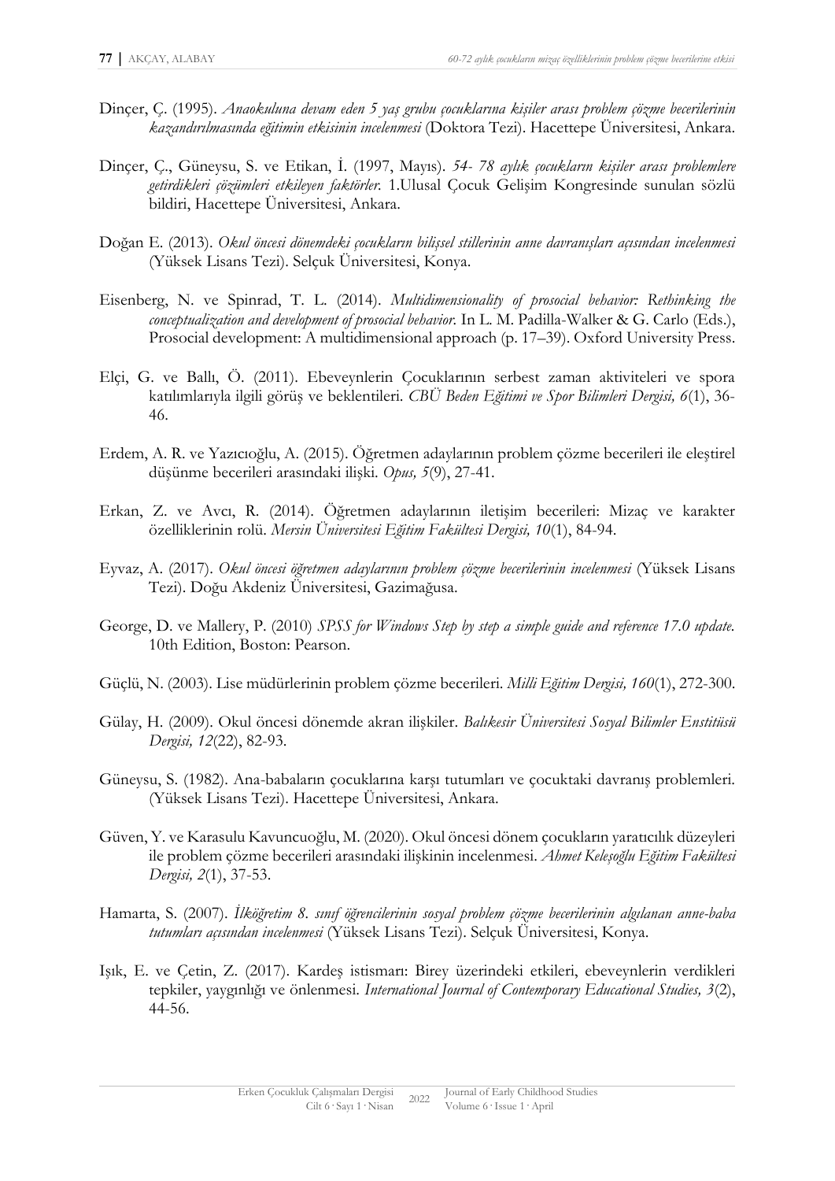- Dinçer, Ç. (1995). *Anaokuluna devam eden 5 yaş grubu çocuklarına kişiler arası problem çözme becerilerinin kazandırılmasında eğitimin etkisinin incelenmesi* (Doktora Tezi). Hacettepe Üniversitesi, Ankara.
- Dinçer, Ç., Güneysu, S. ve Etikan, İ. (1997, Mayıs). *54- 78 aylık çocukların kişiler arası problemlere getirdikleri çözümleri etkileyen faktörler.* 1.Ulusal Çocuk Gelişim Kongresinde sunulan sözlü bildiri, Hacettepe Üniversitesi, Ankara.
- Doğan E. (2013). *Okul öncesi dönemdeki çocukların bilişsel stillerinin anne davranışları açısından incelenmesi* (Yüksek Lisans Tezi). Selçuk Üniversitesi, Konya.
- Eisenberg, N. ve Spinrad, T. L. (2014). *Multidimensionality of prosocial behavior: Rethinking the conceptualization and development of prosocial behavior.* In L. M. Padilla-Walker & G. Carlo (Eds.), Prosocial development: A multidimensional approach (p. 17–39). Oxford University Press.
- Elçi, G. ve Ballı, Ö. (2011). Ebeveynlerin Çocuklarının serbest zaman aktiviteleri ve spora katılımlarıyla ilgili görüş ve beklentileri. *CBÜ Beden Eğitimi ve Spor Bilimleri Dergisi, 6*(1), 36- 46.
- Erdem, A. R. ve Yazıcıoğlu, A. (2015). Öğretmen adaylarının problem çözme becerileri ile eleştirel düşünme becerileri arasındaki ilişki. *Opus, 5*(9), 27-41.
- Erkan, Z. ve Avcı, R. (2014). Öğretmen adaylarının iletişim becerileri: Mizaç ve karakter özelliklerinin rolü. *Mersin Üniversitesi Eğitim Fakültesi Dergisi, 10*(1), 84-94.
- Eyvaz, A. (2017). *Okul öncesi öğretmen adaylarının problem çözme becerilerinin incelenmesi* (Yüksek Lisans Tezi). Doğu Akdeniz Üniversitesi, Gazimağusa.
- George, D. ve Mallery, P. (2010) *SPSS for Windows Step by step a simple guide and reference 17.0 update.* 10th Edition, Boston: Pearson.
- Güçlü, N. (2003). Lise müdürlerinin problem çözme becerileri. *Milli Eğitim Dergisi, 160*(1), 272-300.
- Gülay, H. (2009). Okul öncesi dönemde akran ilişkiler. *Balıkesir Üniversitesi Sosyal Bilimler Enstitüsü Dergisi, 12*(22), 82-93.
- Güneysu, S. (1982). Ana-babaların çocuklarına karşı tutumları ve çocuktaki davranış problemleri. (Yüksek Lisans Tezi). Hacettepe Üniversitesi, Ankara.
- Güven, Y. ve Karasulu Kavuncuoğlu, M. (2020). Okul öncesi dönem çocukların yaratıcılık düzeyleri ile problem çözme becerileri arasındaki ilişkinin incelenmesi. *Ahmet Keleşoğlu Eğitim Fakültesi Dergisi, 2*(1), 37-53.
- Hamarta, S. (2007). *İlköğretim 8. sınıf öğrencilerinin sosyal problem çözme becerilerinin algılanan anne-baba tutumları açısından incelenmesi* (Yüksek Lisans Tezi). Selçuk Üniversitesi, Konya.
- Işık, E. ve Çetin, Z. (2017). Kardeş istismarı: Birey üzerindeki etkileri, ebeveynlerin verdikleri tepkiler, yaygınlığı ve önlenmesi. *International Journal of Contemporary Educational Studies, 3*(2), 44-56.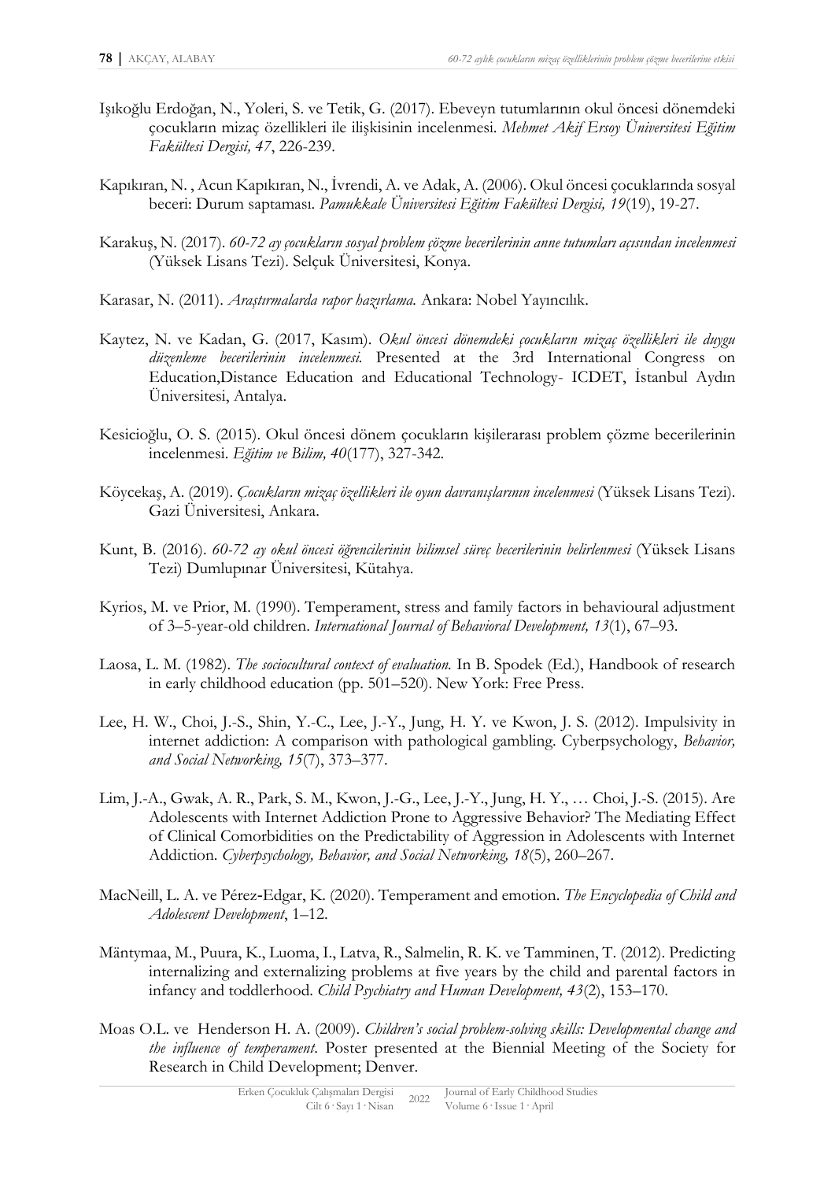- Işıkoğlu Erdoğan, N., Yoleri, S. ve Tetik, G. (2017). Ebeveyn tutumlarının okul öncesi dönemdeki çocukların mizaç özellikleri ile ilişkisinin incelenmesi. *Mehmet Akif Ersoy Üniversitesi Eğitim Fakültesi Dergisi, 47*, 226-239.
- Kapıkıran, N. , Acun Kapıkıran, N., İvrendi, A. ve Adak, A. (2006). Okul öncesi çocuklarında sosyal beceri: Durum saptaması. *Pamukkale Üniversitesi Eğitim Fakültesi Dergisi, 19*(19), 19-27.
- Karakuş, N. (2017). *60-72 ay çocukların sosyal problem çözme becerilerinin anne tutumları açısından incelenmesi* (Yüksek Lisans Tezi). Selçuk Üniversitesi, Konya.
- Karasar, N. (2011). *Araştırmalarda rapor hazırlama.* Ankara: Nobel Yayıncılık.
- Kaytez, N. ve Kadan, G. (2017, Kasım). *Okul öncesi dönemdeki çocukların mizaç özellikleri ile duygu düzenleme becerilerinin incelenmesi.* Presented at the 3rd International Congress on Education,Distance Education and Educational Technology- ICDET, İstanbul Aydın Üniversitesi, Antalya.
- Kesicioğlu, O. S. (2015). Okul öncesi dönem çocukların kişilerarası problem çözme becerilerinin incelenmesi. *Eğitim ve Bilim, 40*(177), 327-342.
- Köycekaş, A. (2019). *Çocukların mizaç özellikleri ile oyun davranışlarının incelenmesi* (Yüksek Lisans Tezi). Gazi Üniversitesi, Ankara.
- Kunt, B. (2016). *60-72 ay okul öncesi öğrencilerinin bilimsel süreç becerilerinin belirlenmesi* (Yüksek Lisans Tezi) Dumlupınar Üniversitesi, Kütahya.
- Kyrios, M. ve Prior, M. (1990). Temperament, stress and family factors in behavioural adjustment of 3–5-year-old children. *International Journal of Behavioral Development, 13*(1), 67–93.
- Laosa, L. M. (1982). *The sociocultural context of evaluation.* In B. Spodek (Ed.), Handbook of research in early childhood education (pp. 501–520). New York: Free Press.
- Lee, H. W., Choi, J.-S., Shin, Y.-C., Lee, J.-Y., Jung, H. Y. ve Kwon, J. S. (2012). Impulsivity in internet addiction: A comparison with pathological gambling. Cyberpsychology, *Behavior, and Social Networking, 15*(7), 373–377.
- Lim, J.-A., Gwak, A. R., Park, S. M., Kwon, J.-G., Lee, J.-Y., Jung, H. Y., … Choi, J.-S. (2015). Are Adolescents with Internet Addiction Prone to Aggressive Behavior? The Mediating Effect of Clinical Comorbidities on the Predictability of Aggression in Adolescents with Internet Addiction. *Cyberpsychology, Behavior, and Social Networking, 18*(5), 260–267.
- MacNeill, L. A. ve Pérez‐Edgar, K. (2020). Temperament and emotion. *The Encyclopedia of Child and Adolescent Development*, 1–12.
- Mäntymaa, M., Puura, K., Luoma, I., Latva, R., Salmelin, R. K. ve Tamminen, T. (2012). Predicting internalizing and externalizing problems at five years by the child and parental factors in infancy and toddlerhood. *Child Psychiatry and Human Development, 43*(2), 153–170.
- Moas O.L. ve Henderson H. A. (2009). *Children's social problem-solving skills: Developmental change and the influence of temperament*. Poster presented at the Biennial Meeting of the Society for Research in Child Development; Denver.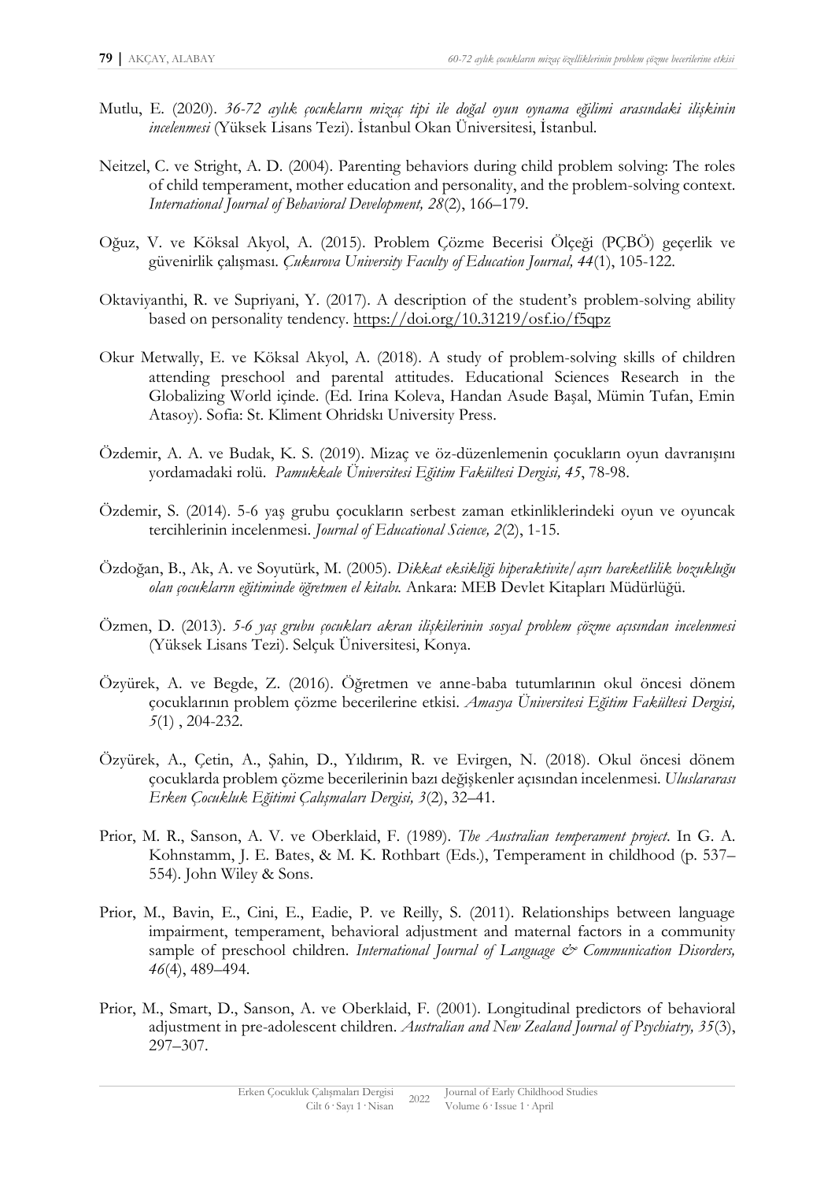- Mutlu, E. (2020). *36-72 aylık çocukların mizaç tipi ile doğal oyun oynama eğilimi arasındaki ilişkinin incelenmesi* (Yüksek Lisans Tezi). İstanbul Okan Üniversitesi, İstanbul.
- Neitzel, C. ve Stright, A. D. (2004). Parenting behaviors during child problem solving: The roles of child temperament, mother education and personality, and the problem-solving context. *International Journal of Behavioral Development, 28*(2), 166–179.
- Oğuz, V. ve Köksal Akyol, A. (2015). Problem Çözme Becerisi Ölçeği (PÇBÖ) geçerlik ve güvenirlik çalışması. *Çukurova University Faculty of Education Journal, 44*(1), 105-122.
- Oktaviyanthi, R. ve Supriyani, Y. (2017). A description of the student's problem-solving ability based on personality tendency.<https://doi.org/10.31219/osf.io/f5qpz>
- Okur Metwally, E. ve Köksal Akyol, A. (2018). A study of problem-solving skills of children attending preschool and parental attitudes. Educational Sciences Research in the Globalizing World içinde. (Ed. Irina Koleva, Handan Asude Başal, Mümin Tufan, Emin Atasoy). Sofia: St. Kliment Ohridskı University Press.
- Özdemir, A. A. ve Budak, K. S. (2019). Mizaç ve öz-düzenlemenin çocukların oyun davranışını yordamadaki rolü. *Pamukkale Üniversitesi Eğitim Fakültesi Dergisi, 45*, 78-98.
- Özdemir, S. (2014). 5-6 yaş grubu çocukların serbest zaman etkinliklerindeki oyun ve oyuncak tercihlerinin incelenmesi. *Journal of Educational Science, 2*(2), 1-15.
- Özdoğan, B., Ak, A. ve Soyutürk, M. (2005). *Dikkat eksikliği hiperaktivite/aşırı hareketlilik bozukluğu olan çocukların eğitiminde öğretmen el kitabı.* Ankara: MEB Devlet Kitapları Müdürlüğü.
- Özmen, D. (2013). *5-6 yaş grubu çocukları akran ilişkilerinin sosyal problem çözme açısından incelenmesi* (Yüksek Lisans Tezi). Selçuk Üniversitesi, Konya.
- Özyürek, A. ve Begde, Z. (2016). Öğretmen ve anne-baba tutumlarının okul öncesi dönem çocuklarının problem çözme becerilerine etkisi. *Amasya Üniversitesi Eğitim Fakültesi Dergisi, 5*(1) , 204-232.
- Özyürek, A., Çetin, A., Şahin, D., Yıldırım, R. ve Evirgen, N. (2018). Okul öncesi dönem çocuklarda problem çözme becerilerinin bazı değişkenler açısından incelenmesi. *Uluslararası Erken Çocukluk Eğitimi Çalışmaları Dergisi, 3*(2), 32–41.
- Prior, M. R., Sanson, A. V. ve Oberklaid, F. (1989). *The Australian temperament project*. In G. A. Kohnstamm, J. E. Bates, & M. K. Rothbart (Eds.), Temperament in childhood (p. 537– 554). John Wiley & Sons.
- Prior, M., Bavin, E., Cini, E., Eadie, P. ve Reilly, S. (2011). Relationships between language impairment, temperament, behavioral adjustment and maternal factors in a community sample of preschool children. *International Journal of Language*  $\breve{c}$  *Communication Disorders, 46*(4), 489–494.
- Prior, M., Smart, D., Sanson, A. ve Oberklaid, F. (2001). Longitudinal predictors of behavioral adjustment in pre-adolescent children. *Australian and New Zealand Journal of Psychiatry, 35*(3), 297–307.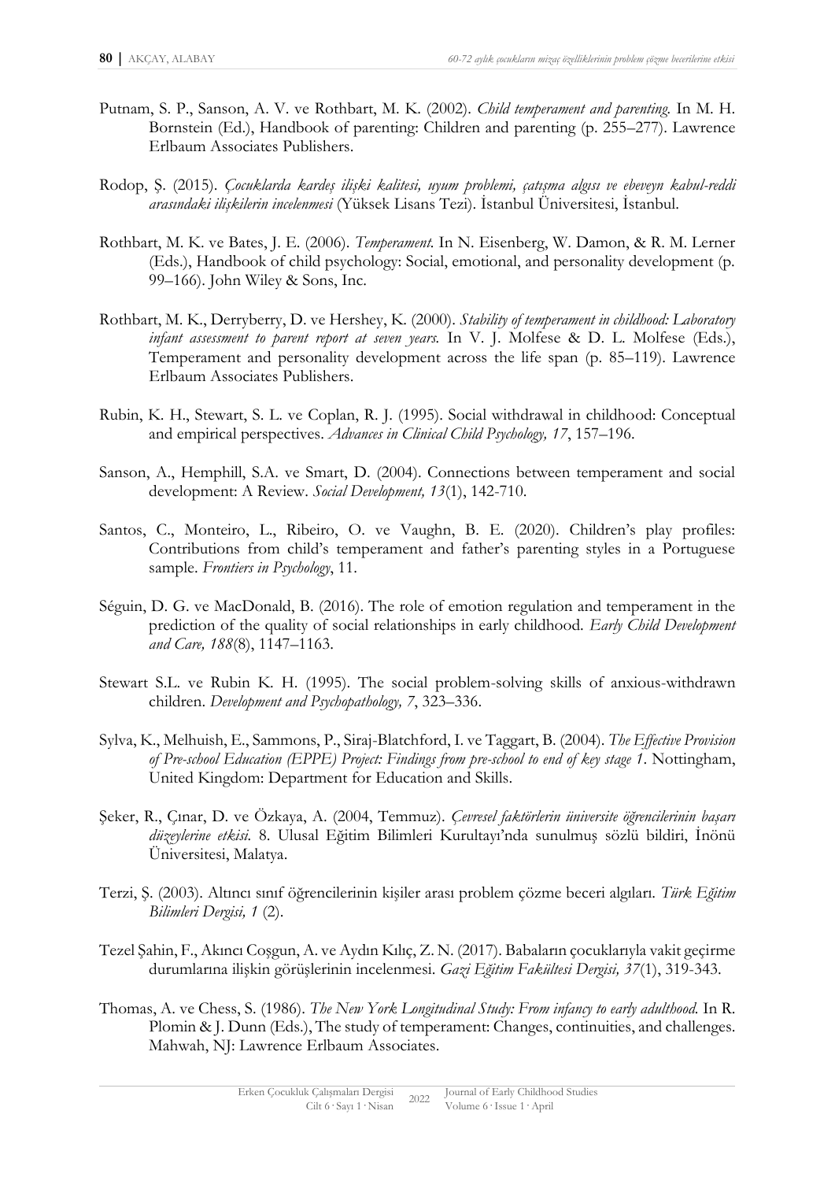- Putnam, S. P., Sanson, A. V. ve Rothbart, M. K. (2002). *Child temperament and parenting.* In M. H. Bornstein (Ed.), Handbook of parenting: Children and parenting (p. 255–277). Lawrence Erlbaum Associates Publishers.
- Rodop, Ş. (2015). *Çocuklarda kardeş ilişki kalitesi, uyum problemi, çatışma algısı ve ebeveyn kabul-reddi arasındaki ilişkilerin incelenmesi* (Yüksek Lisans Tezi). İstanbul Üniversitesi, İstanbul.
- Rothbart, M. K. ve Bates, J. E. (2006). *Temperament.* In N. Eisenberg, W. Damon, & R. M. Lerner (Eds.), Handbook of child psychology: Social, emotional, and personality development (p. 99–166). John Wiley & Sons, Inc.
- Rothbart, M. K., Derryberry, D. ve Hershey, K. (2000). *Stability of temperament in childhood: Laboratory infant assessment to parent report at seven years.* In V. J. Molfese & D. L. Molfese (Eds.), Temperament and personality development across the life span (p. 85–119). Lawrence Erlbaum Associates Publishers.
- Rubin, K. H., Stewart, S. L. ve Coplan, R. J. (1995). Social withdrawal in childhood: Conceptual and empirical perspectives. *Advances in Clinical Child Psychology, 17*, 157–196.
- Sanson, A., Hemphill, S.A. ve Smart, D. (2004). Connections between temperament and social development: A Review. *Social Development, 13*(1), 142-710.
- Santos, C., Monteiro, L., Ribeiro, O. ve Vaughn, B. E. (2020). Children's play profiles: Contributions from child's temperament and father's parenting styles in a Portuguese sample. *Frontiers in Psychology*, 11.
- Séguin, D. G. ve MacDonald, B. (2016). The role of emotion regulation and temperament in the prediction of the quality of social relationships in early childhood. *Early Child Development and Care, 188*(8), 1147–1163.
- Stewart S.L. ve Rubin K. H. (1995). The social problem-solving skills of anxious-withdrawn children. *Development and Psychopathology, 7*, 323–336.
- Sylva, K., Melhuish, E., Sammons, P., Siraj-Blatchford, I. ve Taggart, B. (2004). *The Effective Provision of Pre-school Education (EPPE) Project: Findings from pre-school to end of key stage 1*. Nottingham, United Kingdom: Department for Education and Skills.
- Şeker, R., Çınar, D. ve Özkaya, A. (2004, Temmuz). *Çevresel faktörlerin üniversite öğrencilerinin başarı düzeylerine etkisi.* 8. Ulusal Eğitim Bilimleri Kurultayı'nda sunulmuş sözlü bildiri, İnönü Üniversitesi, Malatya.
- Terzi, Ş. (2003). Altıncı sınıf öğrencilerinin kişiler arası problem çözme beceri algıları. *Türk Eğitim Bilimleri Dergisi, 1* (2).
- Tezel Şahin, F., Akıncı Coşgun, A. ve Aydın Kılıç, Z. N. (2017). Babaların çocuklarıyla vakit geçirme durumlarına ilişkin görüşlerinin incelenmesi. *Gazi Eğitim Fakültesi Dergisi, 37*(1), 319-343.
- Thomas, A. ve Chess, S. (1986). *The New York Longitudinal Study: From infancy to early adulthood.* In R. Plomin & J. Dunn (Eds.), The study of temperament: Changes, continuities, and challenges. Mahwah, NJ: Lawrence Erlbaum Associates.